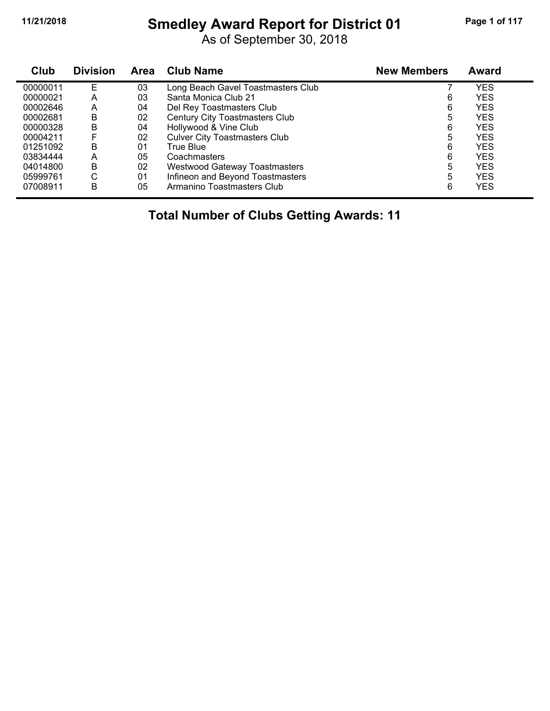# **11/21/2018 Smedley Award Report for District 01 Page 1 of 117**

As of September 30, 2018

| Club     | <b>Division</b> | Area | <b>Club Name</b>                      | <b>New Members</b> | Award      |
|----------|-----------------|------|---------------------------------------|--------------------|------------|
| 00000011 | E               | 03   | Long Beach Gavel Toastmasters Club    |                    | YES        |
| 00000021 | A               | 03   | Santa Monica Club 21                  | 6                  | <b>YES</b> |
| 00002646 | A               | 04   | Del Rey Toastmasters Club             | 6                  | <b>YES</b> |
| 00002681 | В               | 02   | <b>Century City Toastmasters Club</b> | 5                  | <b>YES</b> |
| 00000328 | В               | 04   | Hollywood & Vine Club                 | 6                  | <b>YES</b> |
| 00004211 |                 | 02   | <b>Culver City Toastmasters Club</b>  | 5                  | <b>YES</b> |
| 01251092 | B               | 01   | True Blue                             | 6                  | <b>YES</b> |
| 03834444 | A               | 05   | Coachmasters                          | 6                  | <b>YES</b> |
| 04014800 | В               | 02   | <b>Westwood Gateway Toastmasters</b>  | 5                  | <b>YES</b> |
| 05999761 | С               | 01   | Infineon and Beyond Toastmasters      | 5                  | <b>YES</b> |
| 07008911 | В               | 05   | Armanino Toastmasters Club            | 6                  | YES        |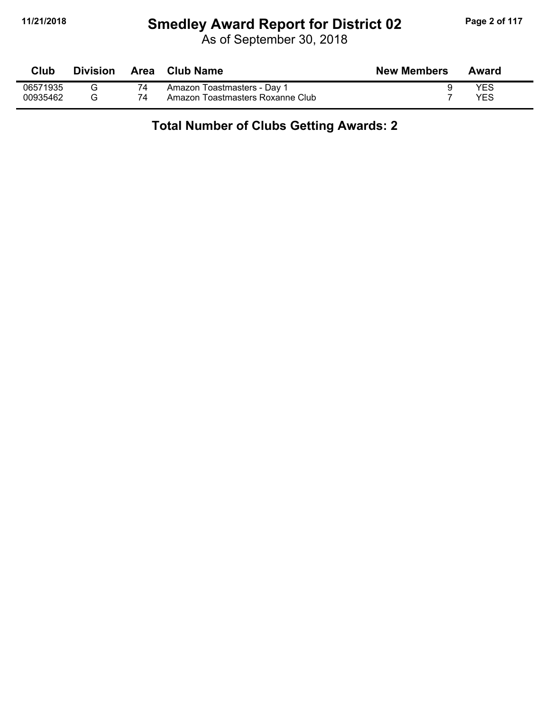# **11/21/2018 Smedley Award Report for District 02 Page 2 of 117**

As of September 30, 2018

| Club     | <b>Division</b> | Area | Club Name                        | <b>New Members</b> | Award |
|----------|-----------------|------|----------------------------------|--------------------|-------|
| 06571935 |                 |      | Amazon Toastmasters - Day 1      |                    | YES   |
| 00935462 |                 | 74   | Amazon Toastmasters Roxanne Club |                    | YES   |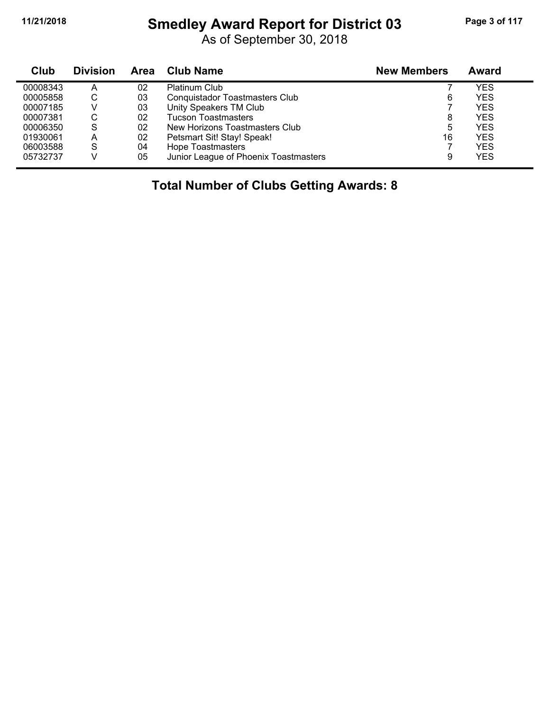#### **11/21/2018 Smedley Award Report for District 03 Page 3 of 117**

As of September 30, 2018

| Club     | <b>Division</b> | Area | Club Name                             | <b>New Members</b> | Award      |
|----------|-----------------|------|---------------------------------------|--------------------|------------|
| 00008343 | А               | 02   | <b>Platinum Club</b>                  |                    | YES        |
| 00005858 | C               | 03   | <b>Conquistador Toastmasters Club</b> | 6                  | <b>YES</b> |
| 00007185 |                 | 03   | Unity Speakers TM Club                |                    | <b>YES</b> |
| 00007381 | С               | 02   | <b>Tucson Toastmasters</b>            | 8                  | YES        |
| 00006350 | S               | 02   | New Horizons Toastmasters Club        | 5                  | YES        |
| 01930061 | А               | 02   | Petsmart Sit! Stay! Speak!            | 16                 | <b>YES</b> |
| 06003588 | S               | 04   | <b>Hope Toastmasters</b>              |                    | <b>YES</b> |
| 05732737 |                 | 05   | Junior League of Phoenix Toastmasters | 9                  | <b>YES</b> |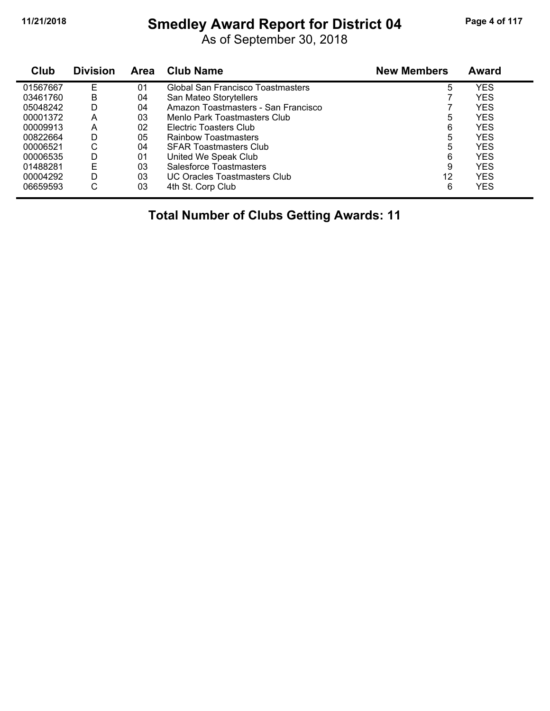# **11/21/2018 Smedley Award Report for District 04 Page 4 of 117**

As of September 30, 2018

| Club     | <b>Division</b> | <b>Area</b> | <b>Club Name</b>                    | <b>New Members</b> | <b>Award</b> |
|----------|-----------------|-------------|-------------------------------------|--------------------|--------------|
| 01567667 | F               | 01          | Global San Francisco Toastmasters   | 5                  | YES          |
| 03461760 | В               | 04          | San Mateo Storytellers              |                    | <b>YES</b>   |
| 05048242 | D               | 04          | Amazon Toastmasters - San Francisco |                    | <b>YES</b>   |
| 00001372 | Α               | 03          | Menlo Park Toastmasters Club        | 5                  | <b>YES</b>   |
| 00009913 | Α               | 02          | Electric Toasters Club              | 6                  | <b>YES</b>   |
| 00822664 | D               | 05          | Rainbow Toastmasters                | 5                  | <b>YES</b>   |
| 00006521 | С               | 04          | <b>SFAR Toastmasters Club</b>       | 5                  | <b>YES</b>   |
| 00006535 | D               | 01          | United We Speak Club                | 6                  | <b>YES</b>   |
| 01488281 | E               | 03          | Salesforce Toastmasters             | 9                  | <b>YES</b>   |
| 00004292 | D               | 03          | UC Oracles Toastmasters Club        | 12                 | <b>YES</b>   |
| 06659593 | ⌒<br>U          | 03          | 4th St. Corp Club                   | 6                  | YES          |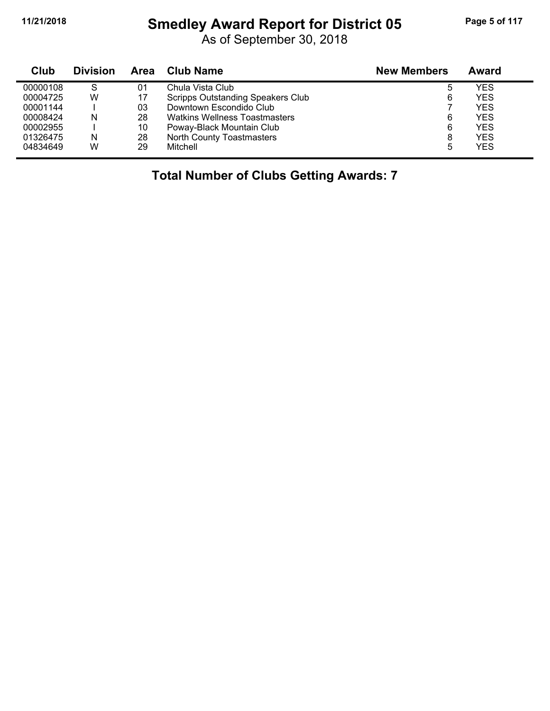# **11/21/2018 Smedley Award Report for District 05 Page 5 of 117**

As of September 30, 2018

| Club     | <b>Division</b> | Area | Club Name                                | <b>New Members</b> | Award      |  |
|----------|-----------------|------|------------------------------------------|--------------------|------------|--|
| 00000108 | S               | 01   | Chula Vista Club                         | 5                  | YES        |  |
| 00004725 | W               | 17   | <b>Scripps Outstanding Speakers Club</b> | 6                  | YES        |  |
| 00001144 |                 | 03   | Downtown Escondido Club                  |                    | <b>YES</b> |  |
| 00008424 | N               | 28   | <b>Watkins Wellness Toastmasters</b>     | 6                  | <b>YES</b> |  |
| 00002955 |                 | 10   | Poway-Black Mountain Club                | 6                  | <b>YES</b> |  |
| 01326475 | N               | 28   | North County Toastmasters                | 8                  | <b>YES</b> |  |
| 04834649 | W               | 29   | Mitchell                                 | 5                  | YES        |  |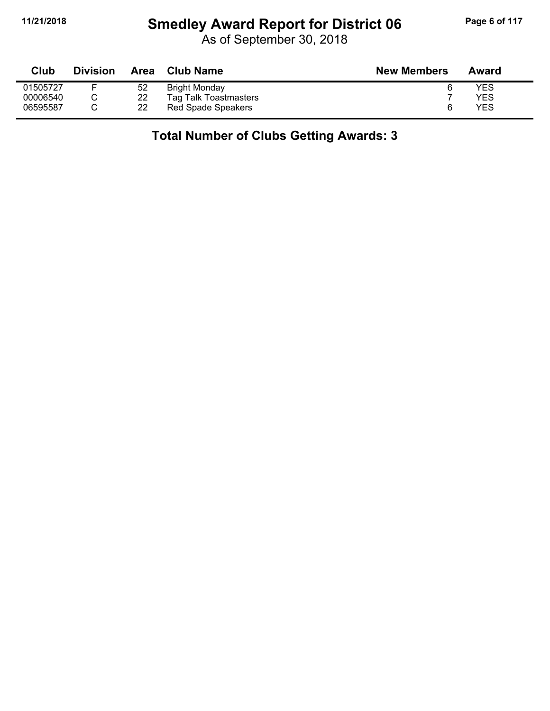# **11/21/2018 Smedley Award Report for District 06 Page 6 of 117**

As of September 30, 2018

| <b>Club</b> | Division | Area | <b>Club Name</b>      | <b>New Members</b> | Award |
|-------------|----------|------|-----------------------|--------------------|-------|
| 01505727    |          | 52   | <b>Bright Monday</b>  |                    | YES   |
| 00006540    |          | 22   | Tag Talk Toastmasters |                    | YES   |
| 06595587    |          | 22   | Red Spade Speakers    |                    | YES   |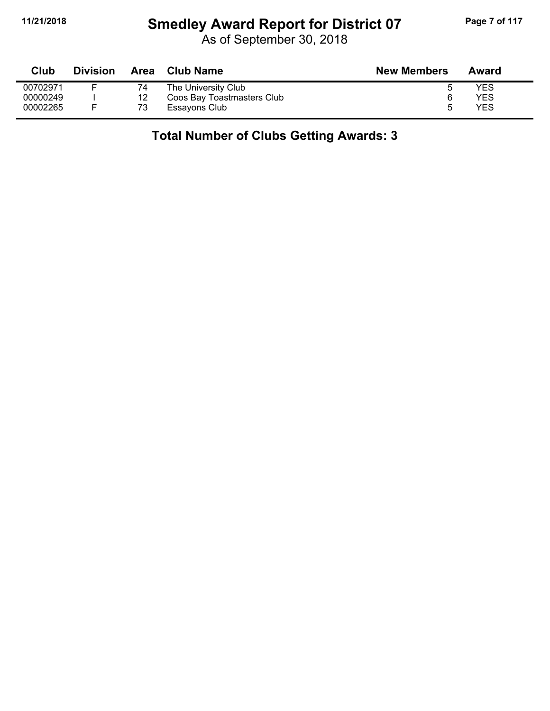# **11/21/2018 Smedley Award Report for District 07 Page 7 of 117**

As of September 30, 2018

| Club     | <b>Division</b> |    | Area Club Name             | <b>New Members</b> | Award      |
|----------|-----------------|----|----------------------------|--------------------|------------|
| 00702971 |                 | 74 | The University Club        |                    | YES        |
| 00000249 |                 | 12 | Coos Bay Toastmasters Club |                    | <b>YES</b> |
| 00002265 |                 | 73 | Essayons Club              | ∽                  | <b>YES</b> |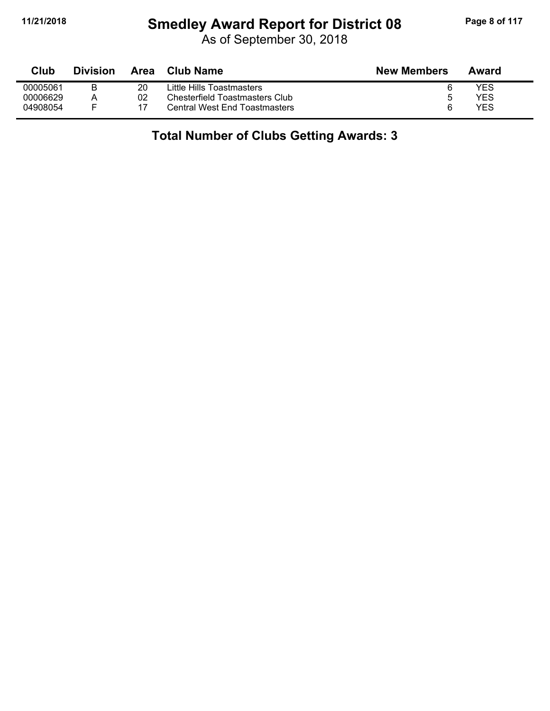# **11/21/2018 Smedley Award Report for District 08 Page 8 of 117**

As of September 30, 2018

| Club     | <b>Division</b> | Area | Club Name                            | <b>New Members</b> | Award |
|----------|-----------------|------|--------------------------------------|--------------------|-------|
| 00005061 |                 | 20   | Little Hills Toastmasters            |                    | YES   |
| 00006629 | Α               | 02   | Chesterfield Toastmasters Club       | 5                  | YES   |
| 04908054 |                 |      | <b>Central West End Toastmasters</b> | ี                  | YES   |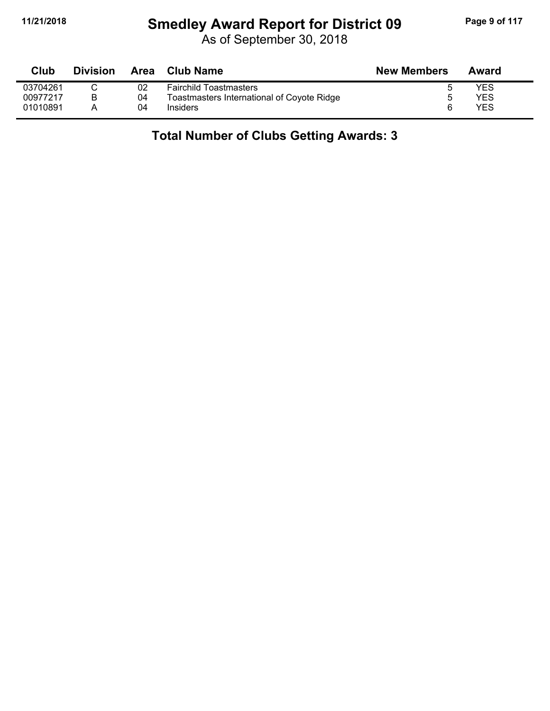# **11/21/2018 Smedley Award Report for District 09 Page 9 of 117**

| Club     | <b>Division</b> | <b>Area</b> | <b>Club Name</b>                           | <b>New Members</b> | Award |  |
|----------|-----------------|-------------|--------------------------------------------|--------------------|-------|--|
| 03704261 |                 | 02          | <b>Fairchild Toastmasters</b>              |                    | YES   |  |
| 00977217 |                 | 04          | Toastmasters International of Coyote Ridge |                    | YES   |  |
| 01010891 |                 | 04          | <b>Insiders</b>                            |                    | YES   |  |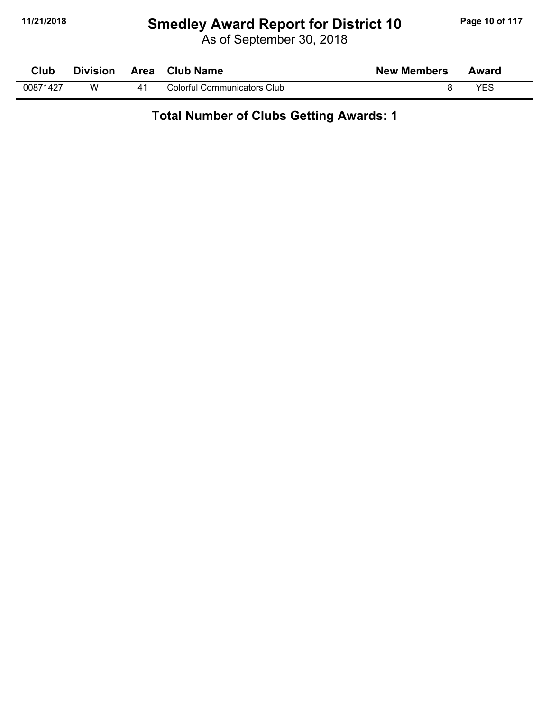# **11/21/2018 Smedley Award Report for District 10 Page 10 of 117**

As of September 30, 2018

| Club     | <b>Division</b> |                | Area Club Name              | <b>New Members</b> | Award |  |
|----------|-----------------|----------------|-----------------------------|--------------------|-------|--|
| 00871427 | w               | 4 <sup>1</sup> | Colorful Communicators Club |                    | YES   |  |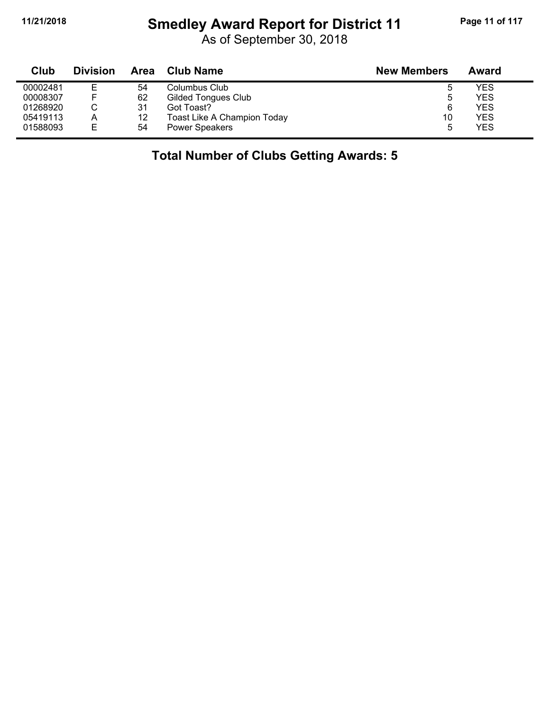# **11/21/2018 Smedley Award Report for District 11 Page 11 of 117**

As of September 30, 2018

| Club     | <b>Division</b> | Area | <b>Club Name</b>                   | <b>New Members</b> | Award      |
|----------|-----------------|------|------------------------------------|--------------------|------------|
| 00002481 |                 | 54   | Columbus Club                      | ь                  | YES        |
| 00008307 |                 | 62   | <b>Gilded Tongues Club</b>         | ხ                  | YES        |
| 01268920 |                 | 31   | Got Toast?                         | 6                  | YES        |
| 05419113 | Α               | 12   | <b>Toast Like A Champion Today</b> | 10                 | <b>YES</b> |
| 01588093 | Е               | 54   | <b>Power Speakers</b>              | 5                  | YES        |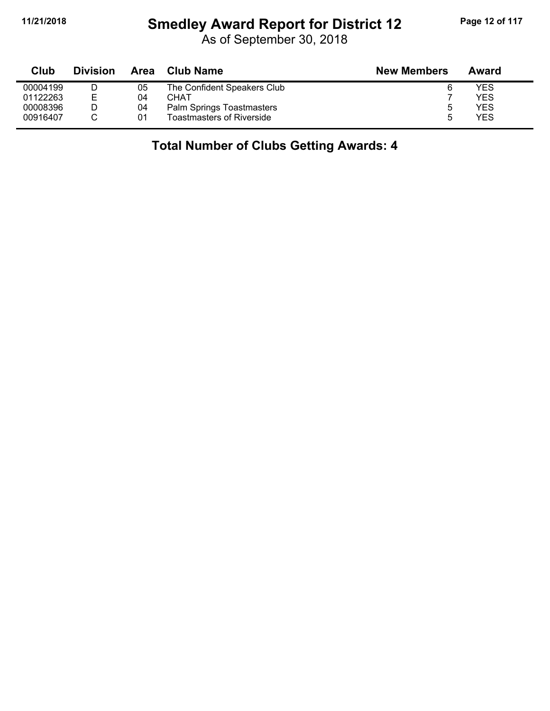#### **11/21/2018 Smedley Award Report for District 12 Page 12 of 117**

As of September 30, 2018

| Club     | <b>Division</b> | Area | Club Name                        | <b>New Members</b> | Award |
|----------|-----------------|------|----------------------------------|--------------------|-------|
| 00004199 |                 | 05   | The Confident Speakers Club      |                    | YES   |
| 01122263 | E.              | 04   | CHAT                             |                    | YFS   |
| 00008396 |                 | 04   | Palm Springs Toastmasters        |                    | YES   |
| 00916407 |                 | 01   | <b>Toastmasters of Riverside</b> |                    | YES   |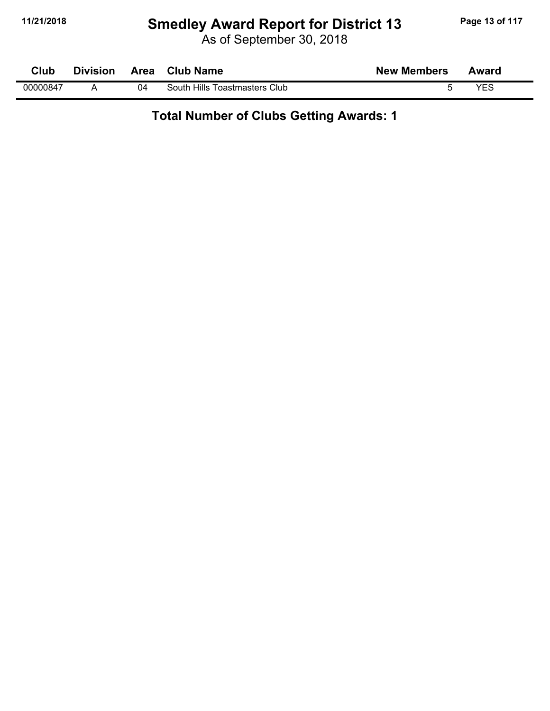# **11/21/2018 Smedley Award Report for District 13 Page 13 of 117**

As of September 30, 2018

| Club     | <b>Division</b> |    | Area Club Name                | <b>New Members</b> | Award |
|----------|-----------------|----|-------------------------------|--------------------|-------|
| 00000847 |                 | 04 | South Hills Toastmasters Club |                    | VEC   |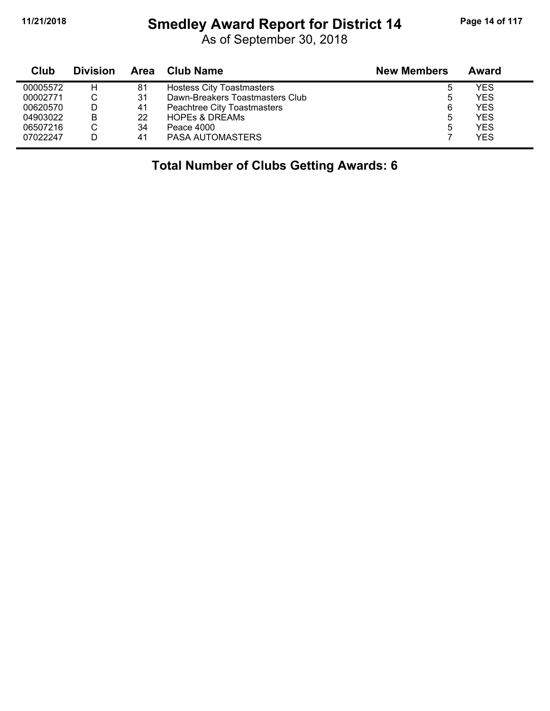#### **11/21/2018 Smedley Award Report for District 14 Page 14 of 117**

As of September 30, 2018

| Club     | <b>Division</b> | Area | <b>Club Name</b>                 | <b>New Members</b> | Award      |
|----------|-----------------|------|----------------------------------|--------------------|------------|
| 00005572 | н               | 81   | <b>Hostess City Toastmasters</b> |                    | YES        |
| 00002771 |                 | 31   | Dawn-Breakers Toastmasters Club  |                    | <b>YES</b> |
| 00620570 |                 | 41   | Peachtree City Toastmasters      | 6                  | <b>YES</b> |
| 04903022 | B               | 22   | <b>HOPES &amp; DREAMS</b>        |                    | <b>YES</b> |
| 06507216 |                 | 34   | Peace 4000                       |                    | <b>YES</b> |
| 07022247 |                 | 41   | PASA AUTOMASTERS                 |                    | <b>YES</b> |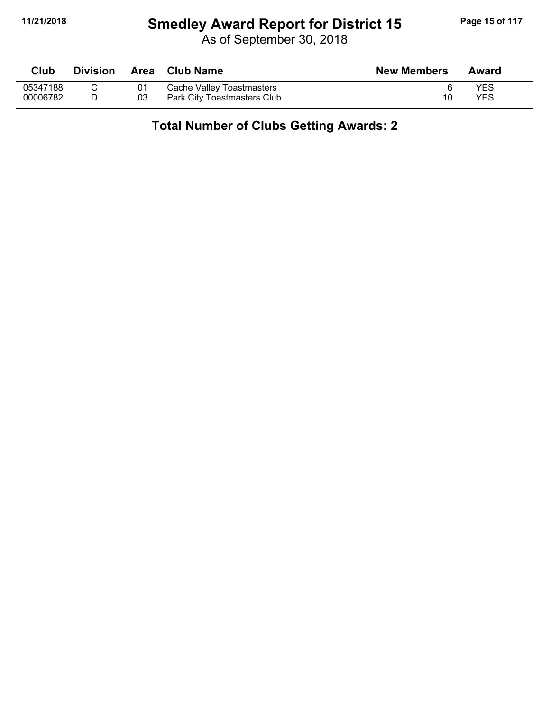# **11/21/2018 Smedley Award Report for District 15 Page 15 of 117**

As of September 30, 2018

| Club     | <b>Division</b> |    | Area Club Name              | <b>New Members</b> | Award |
|----------|-----------------|----|-----------------------------|--------------------|-------|
| 05347188 |                 |    | Cache Valley Toastmasters   |                    | YES   |
| 00006782 |                 | 03 | Park City Toastmasters Club | 10                 | YES   |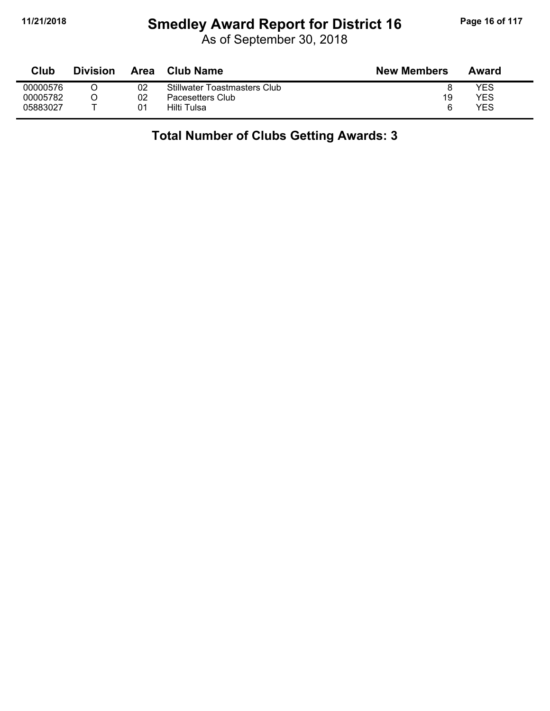# **11/21/2018 Smedley Award Report for District 16 Page 16 of 117**

As of September 30, 2018

| Club     | Division | Area | Club Name                    | <b>New Members</b> | Award |
|----------|----------|------|------------------------------|--------------------|-------|
| 00000576 |          | 02   | Stillwater Toastmasters Club |                    | YES   |
| 00005782 |          | 02   | Pacesetters Club             | 19                 | YES   |
| 05883027 |          | 01   | Hilti Tulsa                  | ี                  | YES   |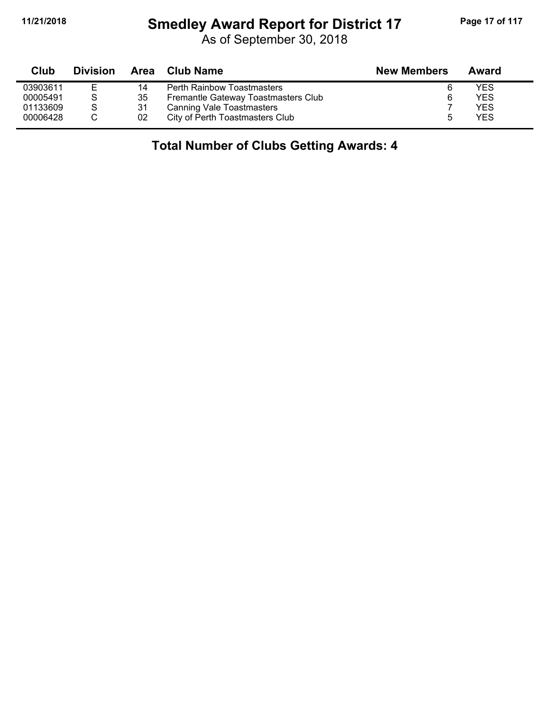#### **11/21/2018 Smedley Award Report for District 17 Page 17 of 117**

As of September 30, 2018

| Club     | <b>Division</b> |    | Area Club Name                      | <b>New Members</b> | Award      |  |
|----------|-----------------|----|-------------------------------------|--------------------|------------|--|
| 03903611 | Е               | 14 | <b>Perth Rainbow Toastmasters</b>   | 6                  | YES        |  |
| 00005491 | S               | 35 | Fremantle Gateway Toastmasters Club | 6                  | YES        |  |
| 01133609 | S               | 31 | <b>Canning Vale Toastmasters</b>    |                    | <b>YES</b> |  |
| 00006428 |                 | 02 | City of Perth Toastmasters Club     |                    | YES        |  |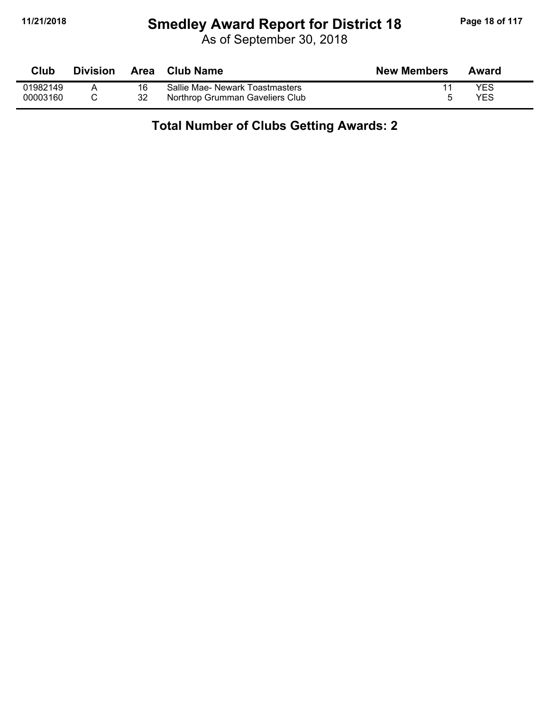#### **11/21/2018 Smedley Award Report for District 18 Page 18 of 117**

As of September 30, 2018

| Club     | <b>Division</b> | <b>Area</b> | Club Name                       | <b>New Members</b> | Award |
|----------|-----------------|-------------|---------------------------------|--------------------|-------|
| 01982149 |                 |             | Sallie Mae- Newark Toastmasters |                    | YES   |
| 00003160 |                 | 32          | Northrop Grumman Gaveliers Club |                    | YES   |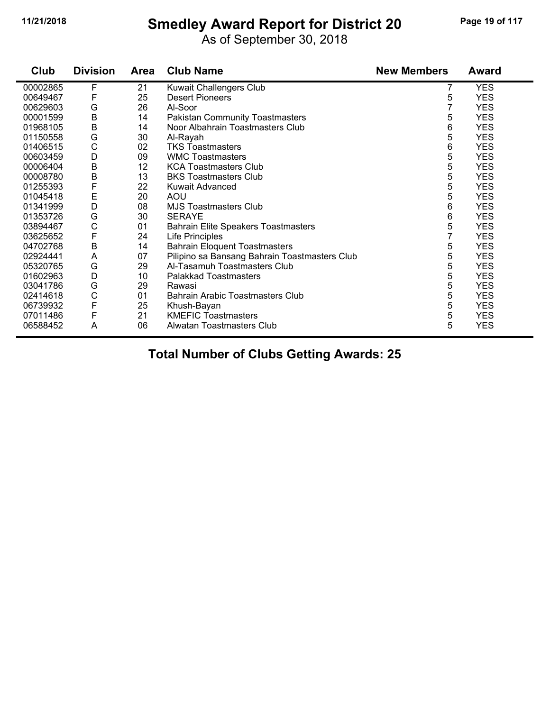# **11/21/2018 Smedley Award Report for District 20 Page 19 of 117**

As of September 30, 2018

| Club     | <b>Division</b> | <b>Area</b> | <b>Club Name</b>                              | <b>New Members</b> | <b>Award</b> |
|----------|-----------------|-------------|-----------------------------------------------|--------------------|--------------|
| 00002865 | F               | 21          | Kuwait Challengers Club                       | 7                  | <b>YES</b>   |
| 00649467 | F               | 25          | <b>Desert Pioneers</b>                        | 5                  | <b>YES</b>   |
| 00629603 | G               | 26          | Al-Soor                                       | 7                  | <b>YES</b>   |
| 00001599 | $\mathsf B$     | 14          | <b>Pakistan Community Toastmasters</b>        | 5                  | <b>YES</b>   |
| 01968105 | $\sf B$         | 14          | Noor Albahrain Toastmasters Club              | 6                  | <b>YES</b>   |
| 01150558 | G               | 30          | Al-Rayah                                      | 5                  | <b>YES</b>   |
| 01406515 | $\mathsf{C}$    | 02          | <b>TKS Toastmasters</b>                       | 6                  | <b>YES</b>   |
| 00603459 | D               | 09          | <b>WMC Toastmasters</b>                       | 5                  | <b>YES</b>   |
| 00006404 | B               | 12          | <b>KCA Toastmasters Club</b>                  | 5                  | <b>YES</b>   |
| 00008780 | B               | 13          | <b>BKS Toastmasters Club</b>                  | 5                  | <b>YES</b>   |
| 01255393 | F               | 22          | Kuwait Advanced                               | 5                  | <b>YES</b>   |
| 01045418 | Ε               | 20          | <b>AOU</b>                                    | 5                  | <b>YES</b>   |
| 01341999 | D               | 08          | <b>MJS Toastmasters Club</b>                  | 6                  | <b>YES</b>   |
| 01353726 | G               | 30          | <b>SERAYE</b>                                 | 6                  | <b>YES</b>   |
| 03894467 | C               | 01          | <b>Bahrain Elite Speakers Toastmasters</b>    | 5                  | <b>YES</b>   |
| 03625652 | F               | 24          | Life Principles                               |                    | <b>YES</b>   |
| 04702768 | B               | 14          | <b>Bahrain Eloquent Toastmasters</b>          | 5                  | <b>YES</b>   |
| 02924441 | A               | 07          | Pilipino sa Bansang Bahrain Toastmasters Club | 5                  | <b>YES</b>   |
| 05320765 | G               | 29          | Al-Tasamuh Toastmasters Club                  | 5                  | <b>YES</b>   |
| 01602963 | D               | 10          | Palakkad Toastmasters                         | 5                  | <b>YES</b>   |
| 03041786 | G               | 29          | Rawasi                                        | 5                  | <b>YES</b>   |
| 02414618 | $\mathsf{C}$    | 01          | Bahrain Arabic Toastmasters Club              | 5                  | <b>YES</b>   |
| 06739932 | F               | 25          | Khush-Bayan                                   | 5                  | <b>YES</b>   |
| 07011486 | F               | 21          | <b>KMEFIC Toastmasters</b>                    | 5                  | <b>YES</b>   |
| 06588452 | A               | 06          | Alwatan Toastmasters Club                     | 5                  | <b>YES</b>   |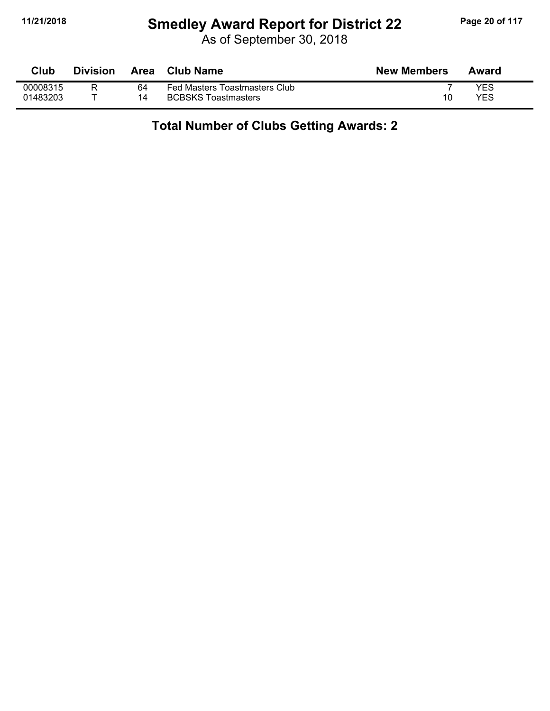# **11/21/2018 Smedley Award Report for District 22 Page 20 of 117**

As of September 30, 2018

| Club     | <b>Division</b> | Area | <b>Club Name</b>              | <b>New Members</b> | Award |
|----------|-----------------|------|-------------------------------|--------------------|-------|
| 00008315 |                 | 64   | Fed Masters Toastmasters Club |                    | YES   |
| 01483203 |                 | 14   | <b>BCBSKS Toastmasters</b>    | 10                 | YES   |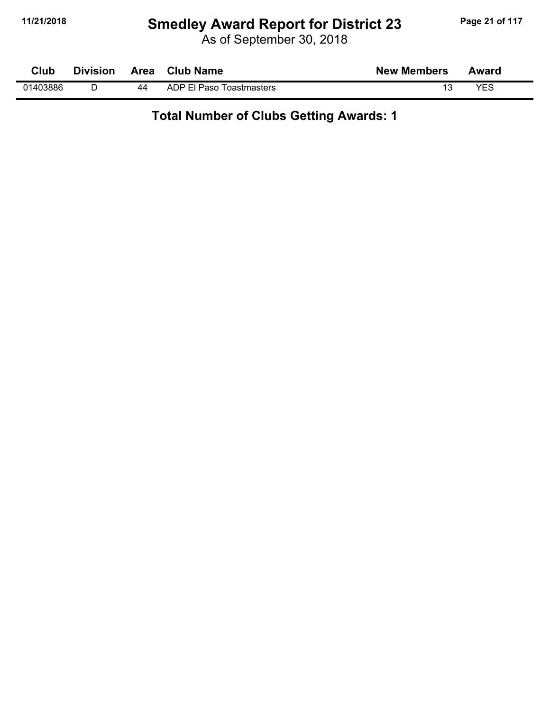# **11/21/2018 Smedley Award Report for District 23 Page 21 of 117**

As of September 30, 2018

| Club     | <b>Division</b> |    | Area Club Name           | <b>New Members</b> | Award |  |
|----------|-----------------|----|--------------------------|--------------------|-------|--|
| 01403886 |                 | 44 | ADP El Paso Toastmasters |                    | YES   |  |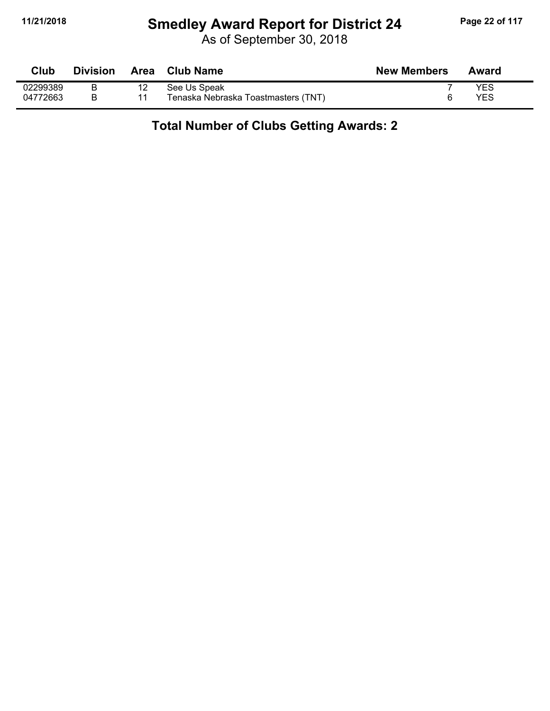# **11/21/2018 Smedley Award Report for District 24 Page 22 of 117**

As of September 30, 2018

| Club     | <b>Division</b> | Area | Club Name                           | <b>New Members</b> | Award |
|----------|-----------------|------|-------------------------------------|--------------------|-------|
| 02299389 |                 | 12   | See Us Speak                        |                    | YES   |
| 04772663 |                 |      | Tenaska Nebraska Toastmasters (TNT) |                    | YES   |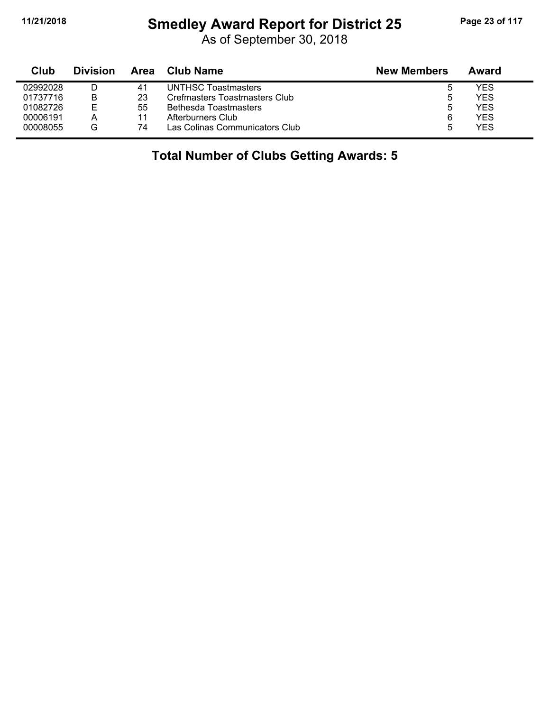# **11/21/2018 Smedley Award Report for District 25 Page 23 of 117**

As of September 30, 2018

| Club     | <b>Division</b> | Area | Club Name                      | <b>New Members</b> | Award |
|----------|-----------------|------|--------------------------------|--------------------|-------|
| 02992028 | D               | 41   | UNTHSC Toastmasters            |                    | YES   |
| 01737716 | B               | 23   | Crefmasters Toastmasters Club  | 5                  | YES   |
| 01082726 | Е               | 55   | Bethesda Toastmasters          | 5.                 | YES   |
| 00006191 | А               |      | Afterburners Club              | 6                  | YES   |
| 00008055 | G               | 74   | Las Colinas Communicators Club | :5                 | YES   |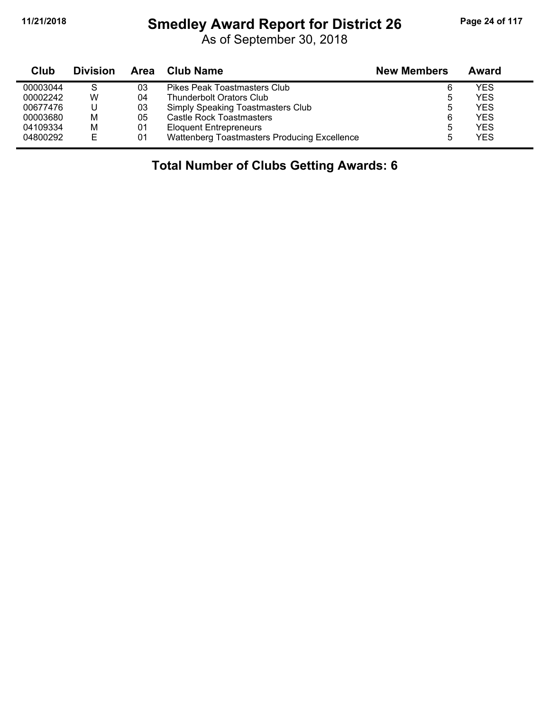#### **11/21/2018 Smedley Award Report for District 26 Page 24 of 117**

As of September 30, 2018

| Club     | <b>Division</b> | Area | <b>Club Name</b>                             | <b>New Members</b> | Award |
|----------|-----------------|------|----------------------------------------------|--------------------|-------|
| 00003044 | S               | 03   | Pikes Peak Toastmasters Club                 | 6                  | YES   |
| 00002242 | W               | 04   | <b>Thunderbolt Orators Club</b>              | ა                  | YES   |
| 00677476 |                 | 03   | Simply Speaking Toastmasters Club            | 5                  | YES   |
| 00003680 | M               | 05   | Castle Rock Toastmasters                     | 6                  | YES   |
| 04109334 | M               | 01   | <b>Eloquent Entrepreneurs</b>                | 5                  | YES   |
| 04800292 | Е               | 01   | Wattenberg Toastmasters Producing Excellence | b                  | YES   |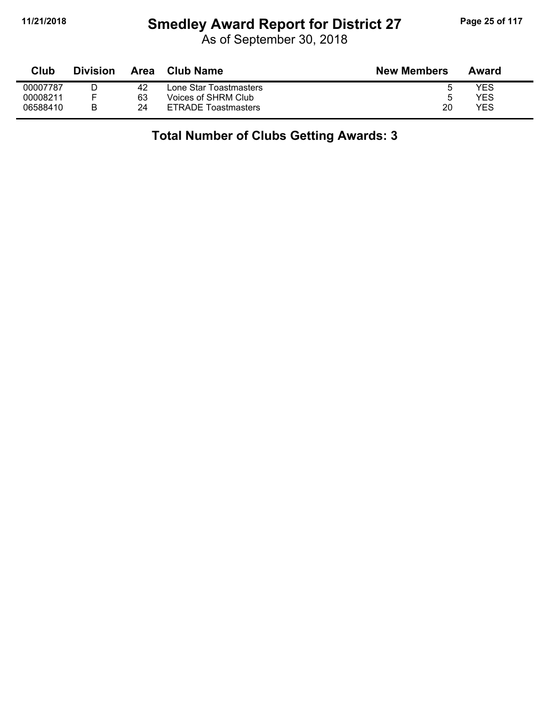# **11/21/2018 Smedley Award Report for District 27 Page 25 of 117**

As of September 30, 2018

| Club     | <b>Division</b> | Area | <b>Club Name</b>           | <b>New Members</b> | Award |
|----------|-----------------|------|----------------------------|--------------------|-------|
| 00007787 |                 | 42   | Lone Star Toastmasters     | đ                  | YES   |
| 00008211 |                 | 63   | Voices of SHRM Club_       | ა                  | YES   |
| 06588410 |                 | 24   | <b>ETRADE Toastmasters</b> | 20                 | YES   |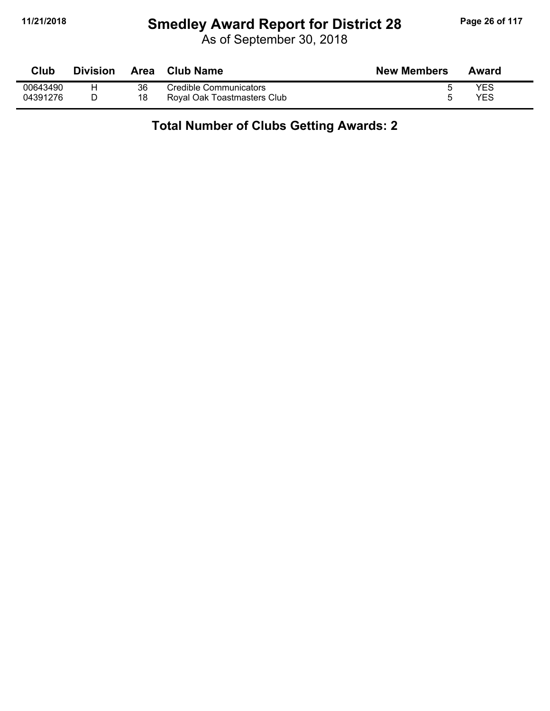# **11/21/2018 Smedley Award Report for District 28 Page 26 of 117**

As of September 30, 2018

| Club     | <b>Division</b> | <b>Area</b> | <b>Club Name</b>            | <b>New Members</b> | Award |
|----------|-----------------|-------------|-----------------------------|--------------------|-------|
| 00643490 |                 | 36          | Credible Communicators      |                    | YES   |
| 04391276 |                 | 18          | Royal Oak Toastmasters Club |                    | YES   |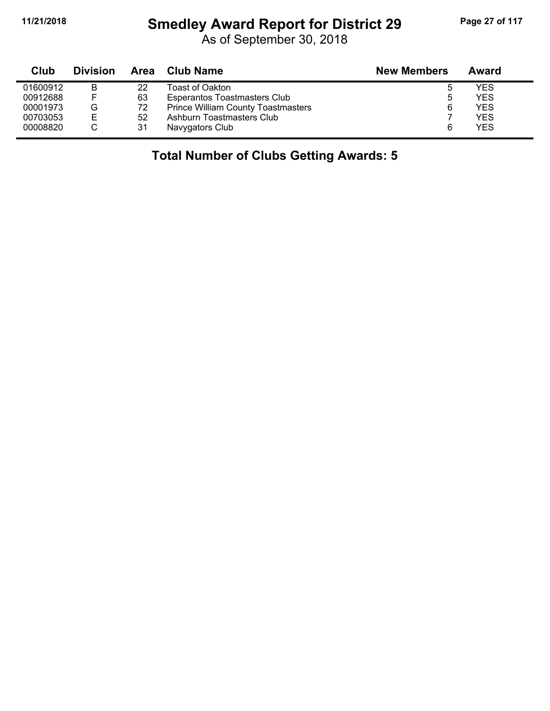# **11/21/2018 Smedley Award Report for District 29 Page 27 of 117**

As of September 30, 2018

| Club     | <b>Division</b> | Area | Club Name                                 | <b>New Members</b> | Award |
|----------|-----------------|------|-------------------------------------------|--------------------|-------|
| 01600912 | B               | 22   | Toast of Oakton                           | ა                  | YES   |
| 00912688 | F               | 63   | <b>Esperantos Toastmasters Club</b>       | 5                  | YES   |
| 00001973 | G               | 72   | <b>Prince William County Toastmasters</b> | 6                  | YES   |
| 00703053 | E               | 52   | Ashburn Toastmasters Club                 |                    | YES   |
| 00008820 |                 | 31   | Navygators Club                           | 6                  | YES   |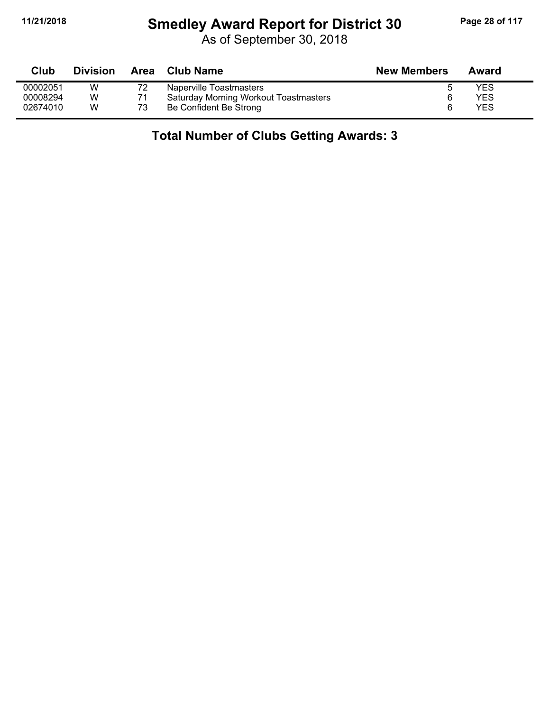# **11/21/2018 Smedley Award Report for District 30 Page 28 of 117**

As of September 30, 2018

| Club     | <b>Division</b> | Area | <b>Club Name</b>                             | <b>New Members</b> | Award |
|----------|-----------------|------|----------------------------------------------|--------------------|-------|
| 00002051 | W               | 72   | Naperville Toastmasters                      |                    | YES   |
| 00008294 | W               |      | <b>Saturday Morning Workout Toastmasters</b> |                    | YES   |
| 02674010 | W               | 73   | Be Confident Be Strong                       | 6                  | YES   |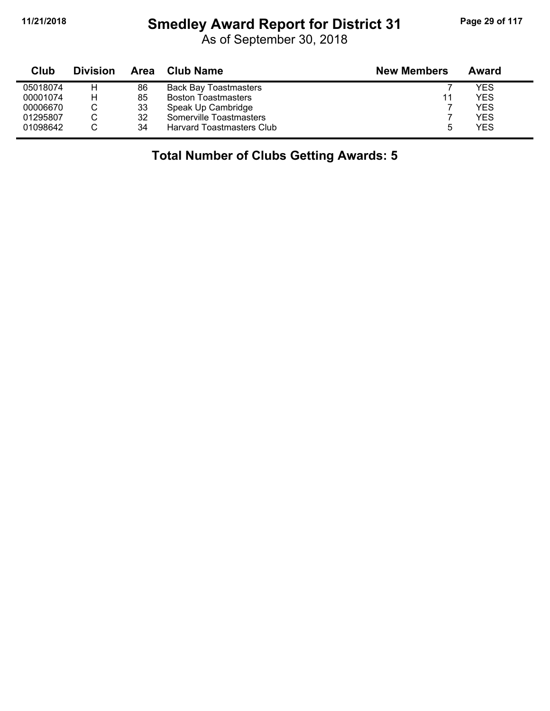$\blacksquare$ 

# **11/21/2018 Smedley Award Report for District 31 Page 29 of 117**

As of September 30, 2018

| Club     | <b>Division</b> | Area | Club Name                    | <b>New Members</b> | Award |
|----------|-----------------|------|------------------------------|--------------------|-------|
| 05018074 | н               | 86   | <b>Back Bay Toastmasters</b> |                    | YES   |
| 00001074 | Н               | 85   | <b>Boston Toastmasters</b>   | 11                 | YES   |
| 00006670 |                 | 33   | Speak Up Cambridge           |                    | YES   |
| 01295807 |                 | 32   | Somerville Toastmasters      |                    | YES   |
| 01098642 |                 | 34   | Harvard Toastmasters Club    | 5                  | YES   |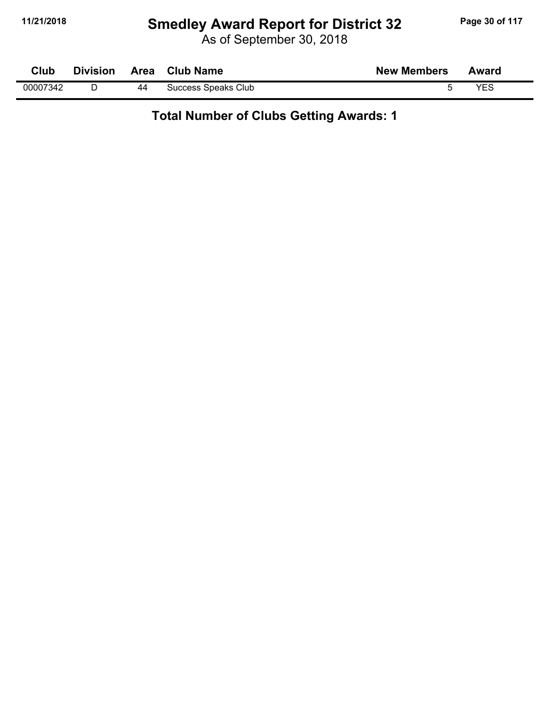# **11/21/2018 Smedley Award Report for District 32 Page 30 of 117**

As of September 30, 2018

| Club     | <b>Division</b> | Area | <b>Club Name</b>    | <b>New Members</b> | Award |
|----------|-----------------|------|---------------------|--------------------|-------|
| 00007342 |                 | 44   | Success Speaks Club |                    | VES   |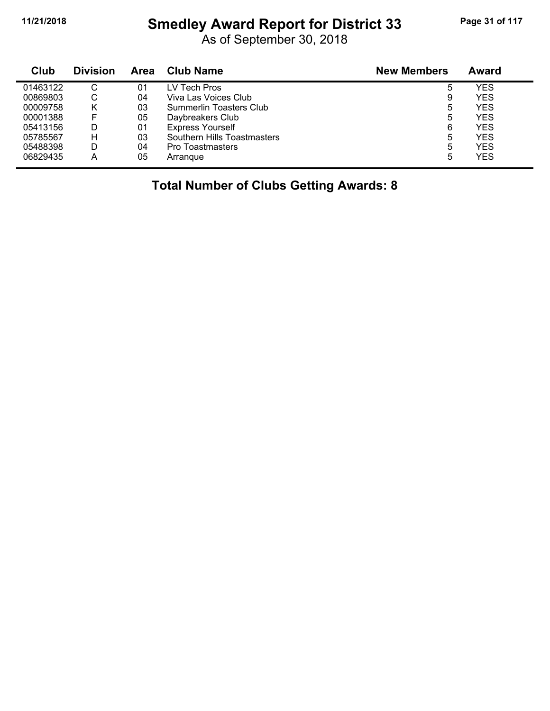#### **11/21/2018 Smedley Award Report for District 33 Page 31 of 117**

As of September 30, 2018

| Club     | <b>Division</b> | Area | <b>Club Name</b>            | <b>New Members</b> | <b>Award</b> |
|----------|-----------------|------|-----------------------------|--------------------|--------------|
| 01463122 | $\cap$<br>◡     | 01   | LV Tech Pros                | 5                  | YES          |
| 00869803 | ◡               | 04   | Viva Las Voices Club        | 9                  | <b>YES</b>   |
| 00009758 | κ               | 03   | Summerlin Toasters Club     | 5                  | YES          |
| 00001388 |                 | 05   | Daybreakers Club            | 5                  | YES          |
| 05413156 |                 | 01   | <b>Express Yourself</b>     | 6                  | YES          |
| 05785567 | н               | 03   | Southern Hills Toastmasters | 5                  | YES          |
| 05488398 |                 | 04   | <b>Pro Toastmasters</b>     | 5                  | YES          |
| 06829435 | А               | 05   | Arrangue                    | 5                  | YES          |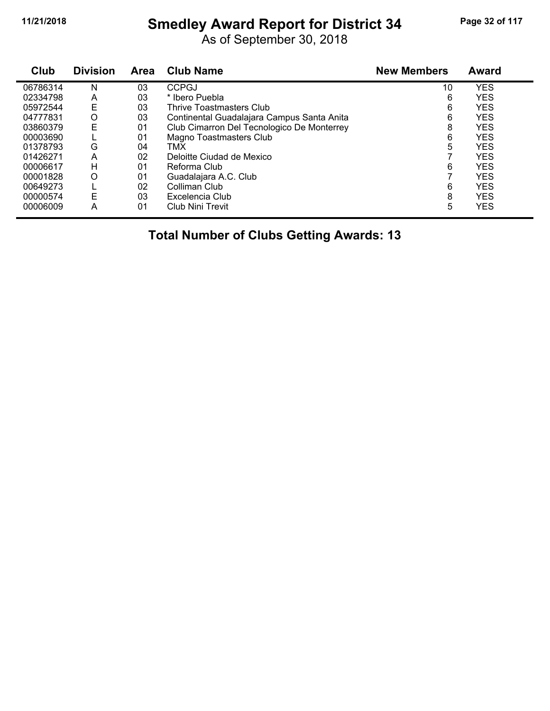# **11/21/2018 Smedley Award Report for District 34 Page 32 of 117**

As of September 30, 2018

| Club     | <b>Division</b> | <b>Area</b> | <b>Club Name</b>                           | <b>New Members</b> | <b>Award</b> |
|----------|-----------------|-------------|--------------------------------------------|--------------------|--------------|
| 06786314 | N               | 03          | <b>CCPGJ</b>                               | 10                 | <b>YES</b>   |
| 02334798 | Α               | 03          | * Ibero Puebla                             | 6                  | <b>YES</b>   |
| 05972544 | Ε               | 03          | Thrive Toastmasters Club                   | 6                  | <b>YES</b>   |
| 04777831 | O               | 03          | Continental Guadalajara Campus Santa Anita | 6                  | <b>YES</b>   |
| 03860379 | Е               | 01          | Club Cimarron Del Tecnologico De Monterrey | 8                  | <b>YES</b>   |
| 00003690 |                 | 01          | Magno Toastmasters Club                    | 6                  | <b>YES</b>   |
| 01378793 | G               | 04          | TMX                                        | 5                  | <b>YES</b>   |
| 01426271 | A               | 02          | Deloitte Ciudad de Mexico                  |                    | <b>YES</b>   |
| 00006617 | н               | 01          | Reforma Club                               | 6                  | <b>YES</b>   |
| 00001828 | O               | 01          | Guadalajara A.C. Club                      |                    | <b>YES</b>   |
| 00649273 |                 | 02          | Colliman Club                              | 6                  | <b>YES</b>   |
| 00000574 | Е               | 03          | Excelencia Club                            | 8                  | <b>YES</b>   |
| 00006009 | Α               | 01          | Club Nini Trevit                           | 5                  | <b>YES</b>   |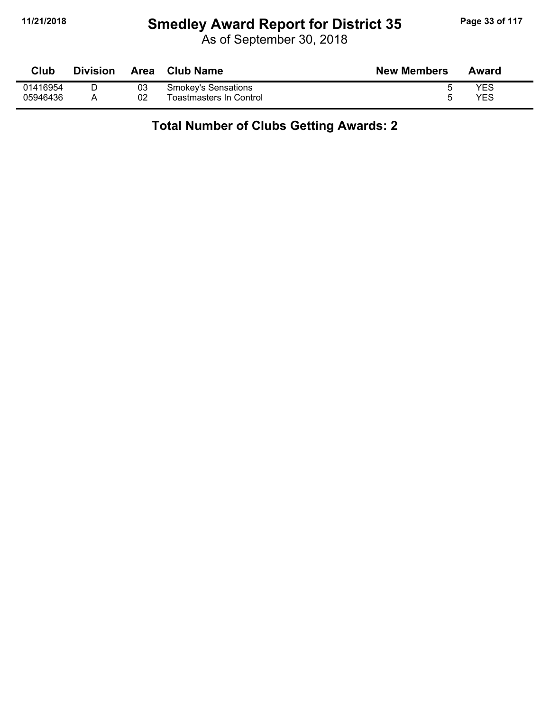# **11/21/2018 Smedley Award Report for District 35 Page 33 of 117**

As of September 30, 2018

| Club     | <b>Division</b> | <b>Area</b> | <b>Club Name</b>           | <b>New Members</b> | Award |
|----------|-----------------|-------------|----------------------------|--------------------|-------|
| 01416954 |                 | 03          | <b>Smokey's Sensations</b> |                    | YES   |
| 05946436 |                 | 02          | Toastmasters In Control    |                    | YES   |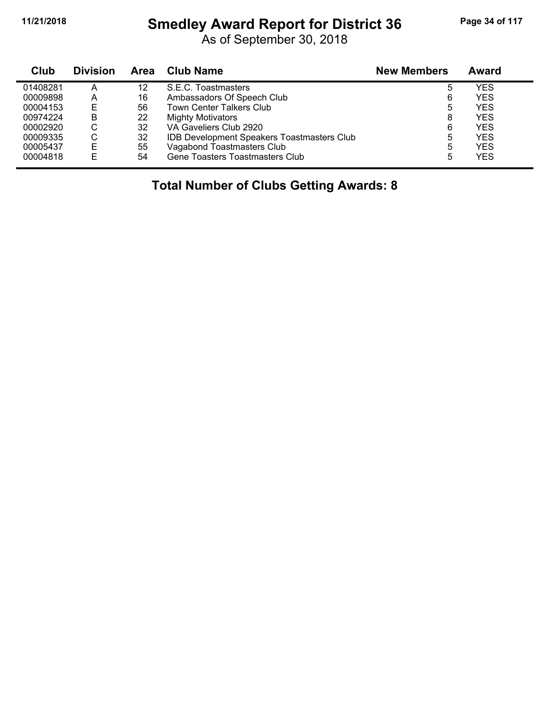#### **11/21/2018 Smedley Award Report for District 36 Page 34 of 117**

As of September 30, 2018

| Club     | <b>Division</b> | Area | Club Name                                  | <b>New Members</b> | Award |
|----------|-----------------|------|--------------------------------------------|--------------------|-------|
| 01408281 | А               | 12   | S.E.C. Toastmasters                        | 5                  | YES   |
| 00009898 | A               | 16   | Ambassadors Of Speech Club                 | 6                  | YES   |
| 00004153 | Ε               | 56   | <b>Town Center Talkers Club</b>            | 5                  | YES   |
| 00974224 | B               | 22   | <b>Mighty Motivators</b>                   | 8                  | YES   |
| 00002920 | С               | 32   | VA Gaveliers Club 2920                     | 6                  | YES   |
| 00009335 | С               | 32   | IDB Development Speakers Toastmasters Club | 5                  | YES   |
| 00005437 | E               | 55   | Vagabond Toastmasters Club                 | 5                  | YES   |
| 00004818 | E               | 54   | Gene Toasters Toastmasters Club            | 5                  | YES   |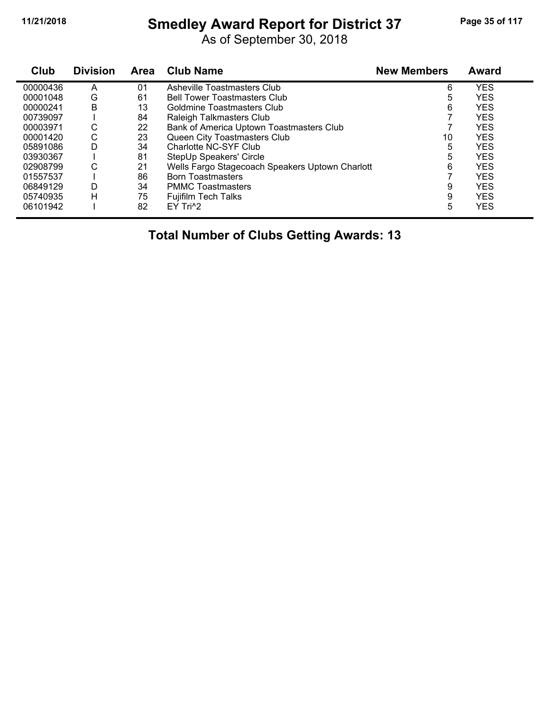# **11/21/2018 Smedley Award Report for District 37 Page 35 of 117**

As of September 30, 2018

| Club     | <b>Division</b> | <b>Area</b> | <b>Club Name</b>                                | <b>New Members</b> | Award      |
|----------|-----------------|-------------|-------------------------------------------------|--------------------|------------|
| 00000436 | A               | 01          | Asheville Toastmasters Club                     | 6                  | <b>YES</b> |
| 00001048 | G               | 61          | <b>Bell Tower Toastmasters Club</b>             | 5                  | <b>YES</b> |
| 00000241 | B               | 13          | Goldmine Toastmasters Club                      | 6                  | <b>YES</b> |
| 00739097 |                 | 84          | Raleigh Talkmasters Club                        |                    | <b>YES</b> |
| 00003971 | С               | 22          | Bank of America Uptown Toastmasters Club        |                    | YES        |
| 00001420 | C               | 23          | Queen City Toastmasters Club                    | 10                 | <b>YES</b> |
| 05891086 | D               | 34          | Charlotte NC-SYF Club                           | 5                  | <b>YES</b> |
| 03930367 |                 | 81          | StepUp Speakers' Circle                         | 5                  | <b>YES</b> |
| 02908799 | C               | 21          | Wells Fargo Stagecoach Speakers Uptown Charlott | 6                  | <b>YES</b> |
| 01557537 |                 | 86          | <b>Born Toastmasters</b>                        |                    | <b>YES</b> |
| 06849129 | D               | 34          | <b>PMMC Toastmasters</b>                        | 9                  | <b>YES</b> |
| 05740935 | н               | 75          | <b>Fujifilm Tech Talks</b>                      | 9                  | <b>YES</b> |
| 06101942 |                 | 82          | EY Tri <sup>^2</sup>                            | 5                  | <b>YES</b> |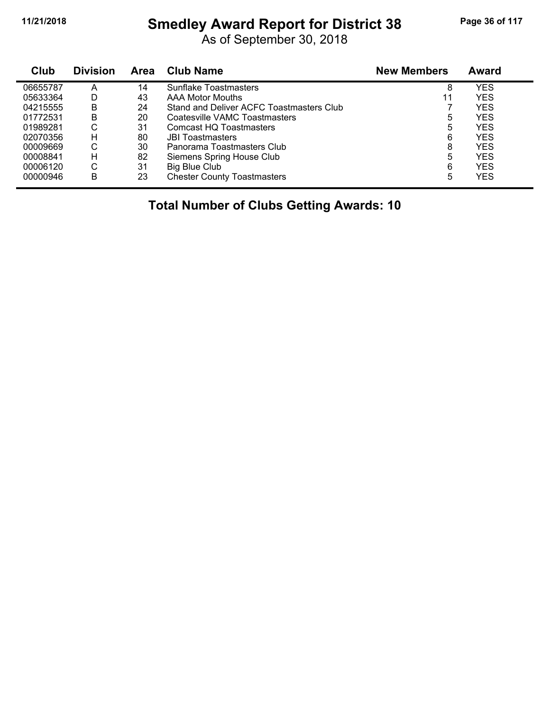# **11/21/2018 Smedley Award Report for District 38 Page 36 of 117**

As of September 30, 2018

| Club     | <b>Division</b> | Area | <b>Club Name</b>                         | <b>New Members</b> | <b>Award</b> |
|----------|-----------------|------|------------------------------------------|--------------------|--------------|
| 06655787 | А               | 14   | Sunflake Toastmasters                    | 8                  | YES          |
| 05633364 | D               | 43   | AAA Motor Mouths                         | 11                 | YES          |
| 04215555 | в               | 24   | Stand and Deliver ACFC Toastmasters Club |                    | YES          |
| 01772531 | в               | 20   | Coatesville VAMC Toastmasters            | 5                  | YES          |
| 01989281 | С               | 31   | Comcast HQ Toastmasters                  | 5                  | YES          |
| 02070356 | н               | 80   | <b>JBI Toastmasters</b>                  | 6                  | YES          |
| 00009669 | С               | 30   | Panorama Toastmasters Club               | 8                  | YES          |
| 00008841 | н               | 82   | Siemens Spring House Club                | 5                  | YES          |
| 00006120 | С               | 31   | Big Blue Club                            | 6                  | YES          |
| 00000946 | B               | 23   | <b>Chester County Toastmasters</b>       | 5                  | YES          |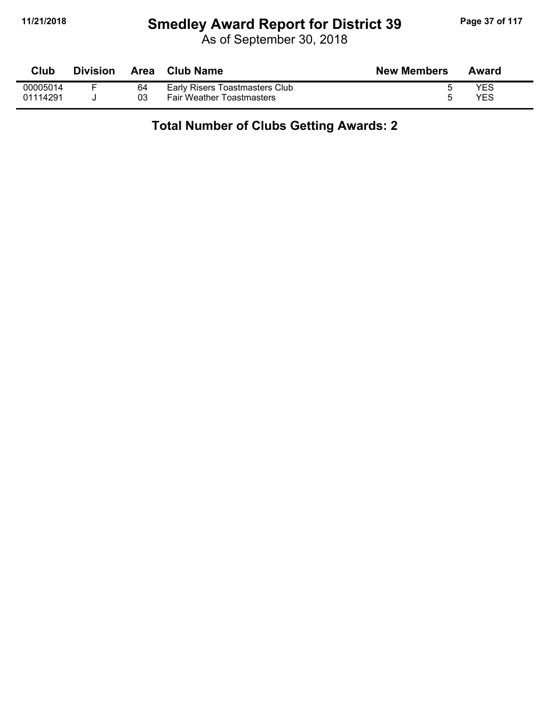#### **11/21/2018 Smedley Award Report for District 39 Page 37 of 117**

As of September 30, 2018

| <b>Club</b> | <b>Division</b> |    | Area Club Name                   | <b>New Members</b> | Award      |
|-------------|-----------------|----|----------------------------------|--------------------|------------|
| 00005014    |                 | 64 | Early Risers Toastmasters Club   |                    | <b>YES</b> |
| 01114291    |                 | 03 | <b>Fair Weather Toastmasters</b> |                    | <b>YES</b> |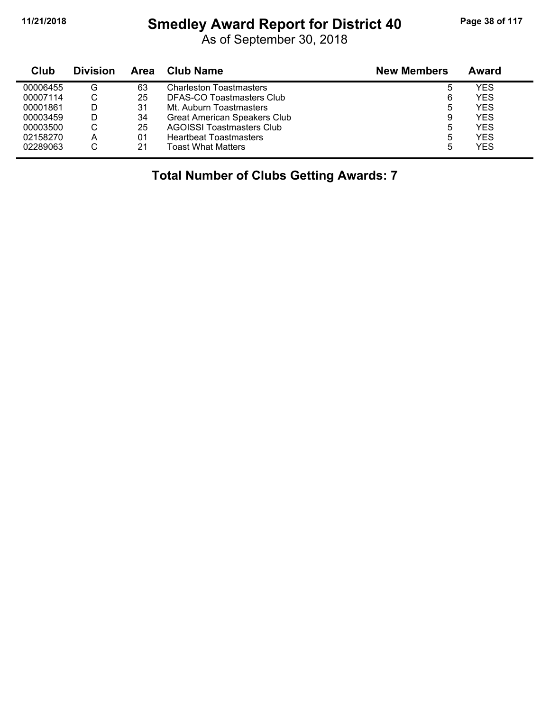# **11/21/2018 Smedley Award Report for District 40 Page 38 of 117**

As of September 30, 2018

| Club     | <b>Division</b> | Area | <b>Club Name</b>                    | <b>New Members</b> | Award      |
|----------|-----------------|------|-------------------------------------|--------------------|------------|
| 00006455 | G               | 63   | <b>Charleston Toastmasters</b>      | 5                  | YES        |
| 00007114 | U               | 25   | DFAS-CO Toastmasters Club           | 6                  | <b>YES</b> |
| 00001861 |                 | 31   | Mt. Auburn Toastmasters             | 5                  | <b>YES</b> |
| 00003459 |                 | 34   | <b>Great American Speakers Club</b> | 9                  | <b>YES</b> |
| 00003500 | С               | 25   | <b>AGOISSI Toastmasters Club</b>    | 5                  | <b>YES</b> |
| 02158270 | А               | 01   | <b>Heartbeat Toastmasters</b>       | 5                  | <b>YES</b> |
| 02289063 | С               | 21   | <b>Toast What Matters</b>           | 5                  | <b>YES</b> |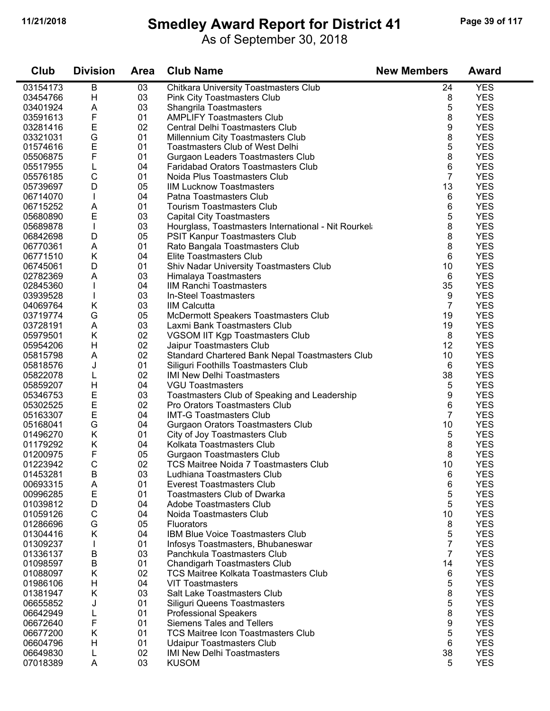#### **11/21/2018 Smedley Award Report for District 41 Page 39 of 117**

As of September 30, 2018

| Club     | <b>Division</b> | <b>Area</b> | <b>Club Name</b>                                     | <b>New Members</b> | <b>Award</b> |
|----------|-----------------|-------------|------------------------------------------------------|--------------------|--------------|
| 03154173 | B               | 03          | Chitkara University Toastmasters Club                | 24                 | <b>YES</b>   |
| 03454766 | Н               | 03          | <b>Pink City Toastmasters Club</b>                   | 8                  | <b>YES</b>   |
| 03401924 | A               | 03          | Shangrila Toastmasters                               | 5                  | <b>YES</b>   |
| 03591613 | F               | 01          | <b>AMPLIFY Toastmasters Club</b>                     | 8                  | <b>YES</b>   |
| 03281416 | E               | 02          | Central Delhi Toastmasters Club                      | 9                  | <b>YES</b>   |
| 03321031 | G               | 01          | Millennium City Toastmasters Club                    | 8                  | <b>YES</b>   |
| 01574616 | E               | 01          | Toastmasters Club of West Delhi                      | 5                  | <b>YES</b>   |
| 05506875 | F               | 01          | Gurgaon Leaders Toastmasters Club                    | 8                  | <b>YES</b>   |
| 05517955 | L               | 04          | <b>Faridabad Orators Toastmasters Club</b>           | 6                  | <b>YES</b>   |
| 05576185 | $\mathsf C$     | 01          | Noida Plus Toastmasters Club                         | $\overline{7}$     | <b>YES</b>   |
| 05739697 | D               | 05          | <b>IIM Lucknow Toastmasters</b>                      | 13                 | <b>YES</b>   |
| 06714070 |                 | 04          | Patna Toastmasters Club                              | 6                  | <b>YES</b>   |
| 06715252 | A               | 01          | <b>Tourism Toastmasters Club</b>                     | 6                  | <b>YES</b>   |
| 05680890 | E               | 03          | <b>Capital City Toastmasters</b>                     | 5                  | <b>YES</b>   |
| 05689878 | $\mathsf{I}$    | 03          | Hourglass, Toastmasters International - Nit Rourkel: | 8                  | <b>YES</b>   |
| 06842698 | D               | 05          | PSIT Kanpur Toastmasters Club                        | 8                  | <b>YES</b>   |
| 06770361 | A               | 01          | Rato Bangala Toastmasters Club                       | 8                  | <b>YES</b>   |
| 06771510 | Κ               | 04          | Elite Toastmasters Club                              | 6                  | <b>YES</b>   |
| 06745061 | D               | 01          | Shiv Nadar University Toastmasters Club              | 10                 | <b>YES</b>   |
| 02782369 | A               | 03          | Himalaya Toastmasters                                | 6                  | <b>YES</b>   |
| 02845360 | L               | 04          | <b>IIM Ranchi Toastmasters</b>                       | 35                 | <b>YES</b>   |
| 03939528 |                 | 03          | In-Steel Toastmasters                                | 9                  | <b>YES</b>   |
| 04069764 | Κ               | 03          | <b>IIM Calcutta</b>                                  | 7                  | <b>YES</b>   |
| 03719774 | G               | 05          | McDermott Speakers Toastmasters Club                 | 19                 | <b>YES</b>   |
| 03728191 | Α               | 03          | Laxmi Bank Toastmasters Club                         | 19                 | <b>YES</b>   |
| 05979501 | Κ               | 02          | VGSOM IIT Kgp Toastmasters Club                      | 8                  | <b>YES</b>   |
| 05954206 | Н               | 02          | Jaipur Toastmasters Club                             | 12                 | <b>YES</b>   |
| 05815798 | A               | 02          | Standard Chartered Bank Nepal Toastmasters Club      | 10                 | <b>YES</b>   |
| 05818576 | J               | 01          | Siliguri Foothills Toastmasters Club                 | 6                  | <b>YES</b>   |
| 05822078 | L               | 02          | <b>IMI New Delhi Toastmasters</b>                    | 38                 | <b>YES</b>   |
| 05859207 | Η               | 04          | <b>VGU Toastmasters</b>                              | 5                  | <b>YES</b>   |
| 05346753 | E               | 03          | Toastmasters Club of Speaking and Leadership         | 9                  | <b>YES</b>   |
| 05302525 | E               | 02          | Pro Orators Toastmasters Club                        | 6                  | <b>YES</b>   |
| 05163307 | E               | 04          | <b>IMT-G Toastmasters Club</b>                       | 7                  | <b>YES</b>   |
| 05168041 | G               | 04          | Gurgaon Orators Toastmasters Club                    | 10                 | <b>YES</b>   |
| 01496270 | Κ               | 01          | City of Joy Toastmasters Club                        | 5                  | <b>YES</b>   |
| 01179292 | Κ               | 04          | Kolkata Toastmasters Club                            | 8                  | <b>YES</b>   |
| 01200975 | F               | 05          | <b>Gurgaon Toastmasters Club</b>                     | 8                  | <b>YES</b>   |
| 01223942 | $\mathsf{C}$    | 02          | <b>TCS Maitree Noida 7 Toastmasters Club</b>         | 10                 | <b>YES</b>   |
| 01453281 | $\sf B$         | 03          | Ludhiana Toastmasters Club                           | 6                  | <b>YES</b>   |
| 00693315 | A               | 01          | <b>Everest Toastmasters Club</b>                     | 6                  | <b>YES</b>   |
| 00996285 | E               | 01          | <b>Toastmasters Club of Dwarka</b>                   | 5                  | <b>YES</b>   |
| 01039812 | D               | 04          | Adobe Toastmasters Club                              | 5                  | <b>YES</b>   |
| 01059126 | $\mathsf C$     | 04          | Noida Toastmasters Club                              | 10                 | <b>YES</b>   |
| 01286696 | G               | 05          | Fluorators                                           | 8                  | <b>YES</b>   |
| 01304416 | Κ               | 04          | <b>IBM Blue Voice Toastmasters Club</b>              | 5                  | <b>YES</b>   |
| 01309237 |                 | 01          | Infosys Toastmasters, Bhubaneswar                    | $\overline{7}$     | <b>YES</b>   |
| 01336137 | B               | 03          | Panchkula Toastmasters Club                          | $\overline{7}$     | <b>YES</b>   |
| 01098597 | B               | 01          | <b>Chandigarh Toastmasters Club</b>                  | 14                 | <b>YES</b>   |
| 01088097 | Κ               | 02          | <b>TCS Maitree Kolkata Toastmasters Club</b>         | 6                  | <b>YES</b>   |
| 01986106 | Η               | 04          | <b>VIT Toastmasters</b>                              | 5                  | <b>YES</b>   |
| 01381947 | Κ               | 03          | Salt Lake Toastmasters Club                          | 8                  | <b>YES</b>   |
| 06655852 | J               | 01          | <b>Siliguri Queens Toastmasters</b>                  | 5                  | <b>YES</b>   |
| 06642949 | L               | 01          | <b>Professional Speakers</b>                         | 8                  | <b>YES</b>   |
| 06672640 | F               | 01          | <b>Siemens Tales and Tellers</b>                     | 9                  | <b>YES</b>   |
| 06677200 | Κ               | 01          | <b>TCS Maitree Icon Toastmasters Club</b>            | 5                  | <b>YES</b>   |
| 06604796 | Η               | 01          | <b>Udaipur Toastmasters Club</b>                     | 6                  | <b>YES</b>   |
| 06649830 | L               | 02          | <b>IMI New Delhi Toastmasters</b>                    | 38                 | <b>YES</b>   |
| 07018389 | A               | 03          | <b>KUSOM</b>                                         | 5                  | <b>YES</b>   |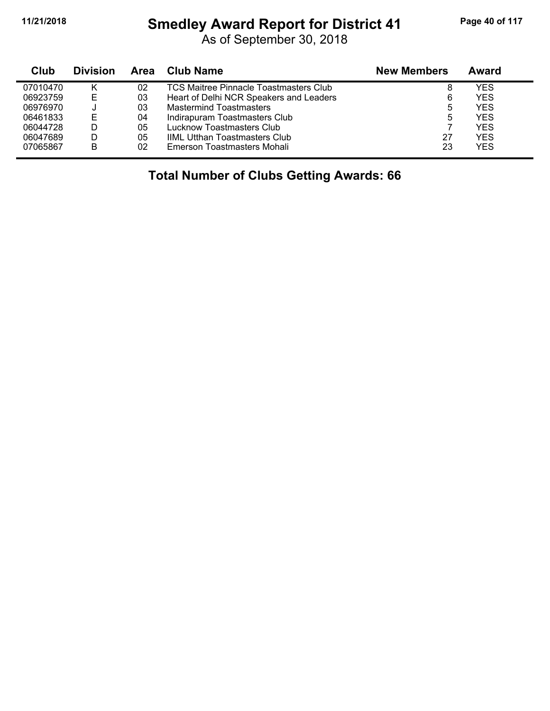# **11/21/2018 Smedley Award Report for District 41 Page 40 of 117**

As of September 30, 2018

| Club     | <b>Division</b> | Area | <b>Club Name</b>                              | <b>New Members</b> | Award      |
|----------|-----------------|------|-----------------------------------------------|--------------------|------------|
| 07010470 |                 | 02   | <b>TCS Maitree Pinnacle Toastmasters Club</b> | 8                  | YES        |
| 06923759 | Е               | 03   | Heart of Delhi NCR Speakers and Leaders       | 6                  | <b>YES</b> |
| 06976970 |                 | 03   | <b>Mastermind Toastmasters</b>                | 5                  | <b>YES</b> |
| 06461833 | E               | 04   | Indirapuram Toastmasters Club                 | 5                  | <b>YES</b> |
| 06044728 |                 | 05   | Lucknow Toastmasters Club                     |                    | <b>YES</b> |
| 06047689 | D               | 05   | <b>IIML Utthan Toastmasters Club</b>          | 27                 | <b>YES</b> |
| 07065867 | в               | 02   | Emerson Toastmasters Mohali                   | 23                 | <b>YES</b> |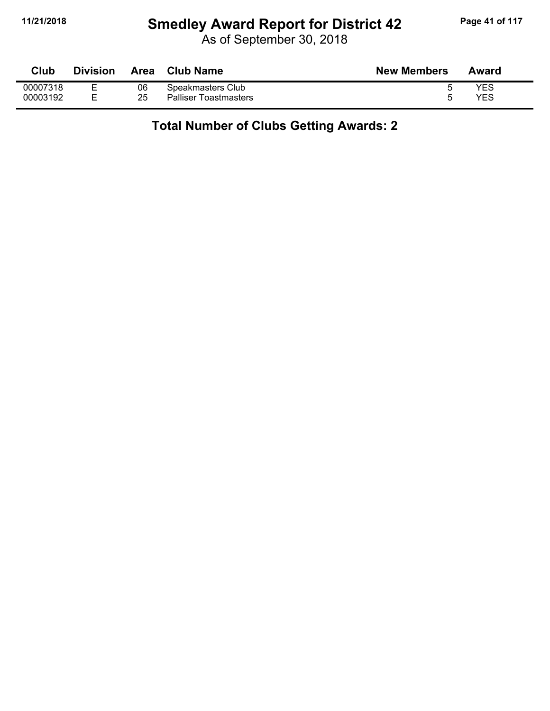# **11/21/2018 Smedley Award Report for District 42 Page 41 of 117**

As of September 30, 2018

| Club     | <b>Division</b> | Area | <b>Club Name</b>             | <b>New Members</b> | Award |
|----------|-----------------|------|------------------------------|--------------------|-------|
| 00007318 | ▃               | 06   | Speakmasters Club            |                    | YES   |
| 00003192 |                 | 25   | <b>Palliser Toastmasters</b> |                    | YES   |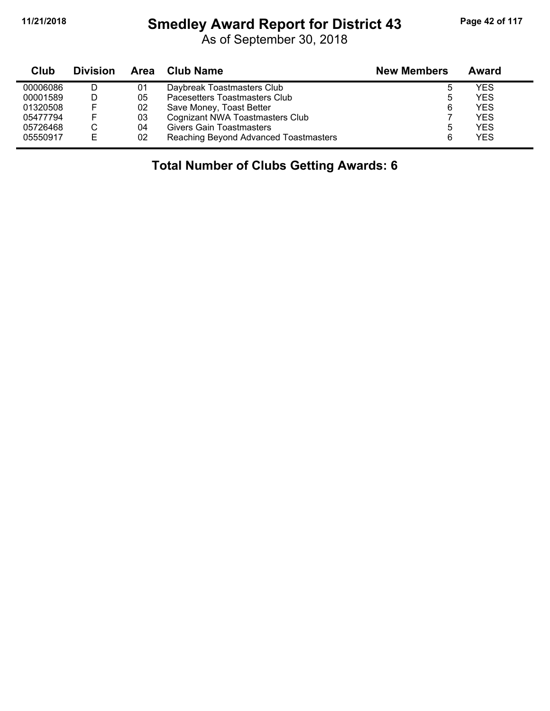$\blacksquare$ 

#### **11/21/2018 Smedley Award Report for District 43 Page 42 of 117**

As of September 30, 2018

| Club     | <b>Division</b> | Area | <b>Club Name</b>                      | <b>New Members</b> | Award      |
|----------|-----------------|------|---------------------------------------|--------------------|------------|
| 00006086 |                 | 01   | Daybreak Toastmasters Club            | đ                  | YES        |
| 00001589 |                 | 05   | Pacesetters Toastmasters Club         | ა                  | <b>YES</b> |
| 01320508 | F               | 02   | Save Money, Toast Better              | 6                  | YES        |
| 05477794 | E.              | 03   | Cognizant NWA Toastmasters Club       |                    | <b>YES</b> |
| 05726468 |                 | 04   | <b>Givers Gain Toastmasters</b>       | 5                  | YES        |
| 05550917 | E               | 02   | Reaching Beyond Advanced Toastmasters | 6                  | <b>YES</b> |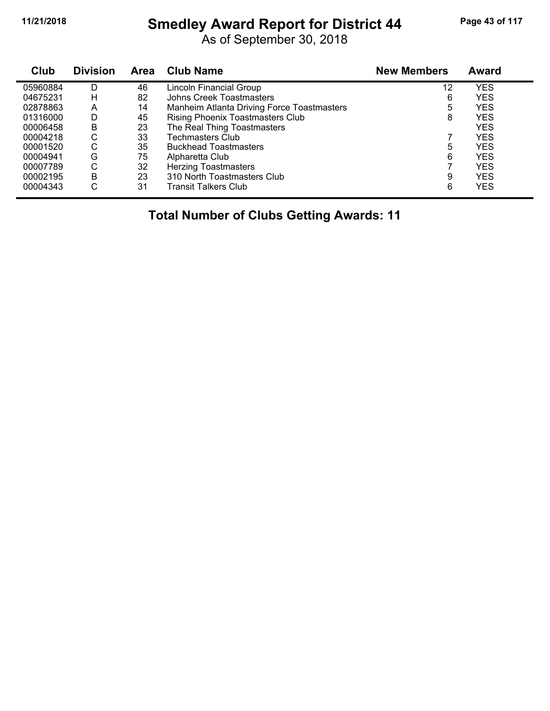# **11/21/2018 Smedley Award Report for District 44 Page 43 of 117**

As of September 30, 2018

| Club     | <b>Division</b> | Area | <b>Club Name</b>                           | <b>New Members</b> | <b>Award</b> |
|----------|-----------------|------|--------------------------------------------|--------------------|--------------|
| 05960884 | D               | 46   | Lincoln Financial Group                    | 12                 | <b>YES</b>   |
| 04675231 | н               | 82   | <b>Johns Creek Toastmasters</b>            | 6                  | <b>YES</b>   |
| 02878863 | A               | 14   | Manheim Atlanta Driving Force Toastmasters | 5                  | <b>YES</b>   |
| 01316000 | D               | 45   | <b>Rising Phoenix Toastmasters Club</b>    | 8                  | <b>YES</b>   |
| 00006458 | B               | 23   | The Real Thing Toastmasters                |                    | <b>YES</b>   |
| 00004218 | С               | 33   | <b>Techmasters Club</b>                    |                    | <b>YES</b>   |
| 00001520 | С               | 35   | <b>Buckhead Toastmasters</b>               | 5                  | <b>YES</b>   |
| 00004941 | G               | 75   | Alpharetta Club                            | 6                  | <b>YES</b>   |
| 00007789 | С               | 32   | <b>Herzing Toastmasters</b>                |                    | <b>YES</b>   |
| 00002195 | B               | 23   | 310 North Toastmasters Club                | 9                  | <b>YES</b>   |
| 00004343 | С               | 31   | Transit Talkers Club                       | 6                  | <b>YES</b>   |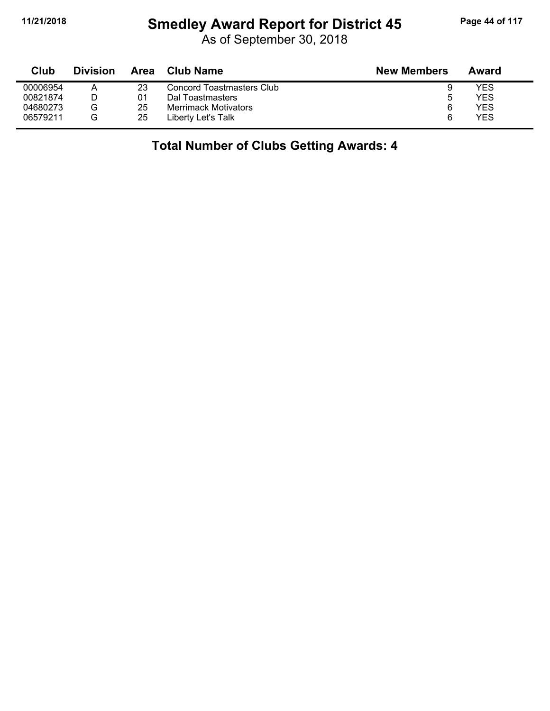#### **11/21/2018 Smedley Award Report for District 45 Page 44 of 117**

As of September 30, 2018

| Club     | <b>Division</b> | Area | Club Name                   | <b>New Members</b> | Award |
|----------|-----------------|------|-----------------------------|--------------------|-------|
| 00006954 | А               | 23   | Concord Toastmasters Club   |                    | YES   |
| 00821874 |                 | 01   | Dal Toastmasters            | 5                  | YES   |
| 04680273 | G               | 25   | <b>Merrimack Motivators</b> | 6                  | YES   |
| 06579211 | G               | 25   | Liberty Let's Talk          | 6                  | YES   |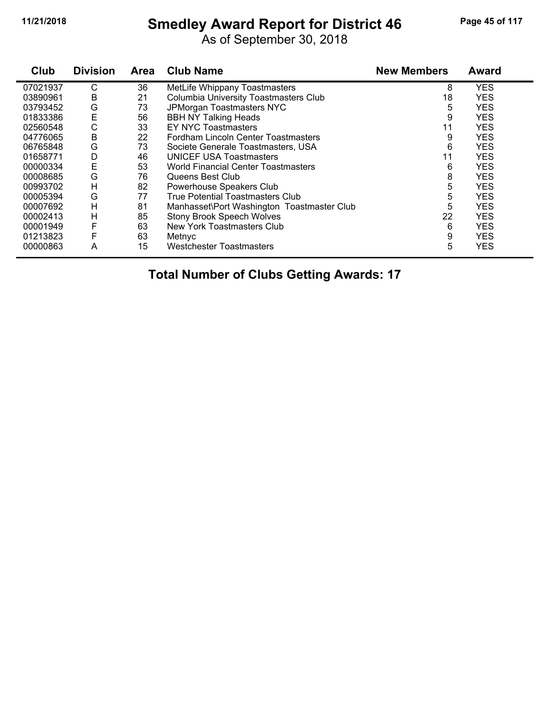#### **11/21/2018 Smedley Award Report for District 46 Page 45 of 117**

As of September 30, 2018

| Club     | <b>Division</b> | <b>Area</b> | <b>Club Name</b>                           | <b>New Members</b> | Award      |
|----------|-----------------|-------------|--------------------------------------------|--------------------|------------|
| 07021937 | С               | 36          | MetLife Whippany Toastmasters              | 8                  | <b>YES</b> |
| 03890961 | B               | 21          | Columbia University Toastmasters Club      | 18                 | <b>YES</b> |
| 03793452 | G               | 73          | JPMorgan Toastmasters NYC                  | 5                  | <b>YES</b> |
| 01833386 | E               | 56          | <b>BBH NY Talking Heads</b>                | 9                  | <b>YES</b> |
| 02560548 | C               | 33          | <b>EY NYC Toastmasters</b>                 | 11                 | <b>YES</b> |
| 04776065 | B               | 22          | Fordham Lincoln Center Toastmasters        | 9                  | <b>YES</b> |
| 06765848 | G               | 73          | Societe Generale Toastmasters, USA         | 6                  | <b>YES</b> |
| 01658771 | D               | 46          | <b>UNICEF USA Toastmasters</b>             | 11                 | <b>YES</b> |
| 00000334 | E               | 53          | <b>World Financial Center Toastmasters</b> | 6                  | <b>YES</b> |
| 00008685 | G               | 76          | Queens Best Club                           | 8                  | <b>YES</b> |
| 00993702 | H               | 82          | Powerhouse Speakers Club                   | 5                  | <b>YES</b> |
| 00005394 | G               | 77          | True Potential Toastmasters Club           | 5                  | <b>YES</b> |
| 00007692 | н               | 81          | Manhasset\Port Washington Toastmaster Club | 5                  | <b>YES</b> |
| 00002413 | н               | 85          | <b>Stony Brook Speech Wolves</b>           | 22                 | <b>YES</b> |
| 00001949 | F               | 63          | New York Toastmasters Club                 | 6                  | <b>YES</b> |
| 01213823 | F               | 63          | Metnyc                                     | 9                  | <b>YES</b> |
| 00000863 | A               | 15          | <b>Westchester Toastmasters</b>            | 5                  | <b>YES</b> |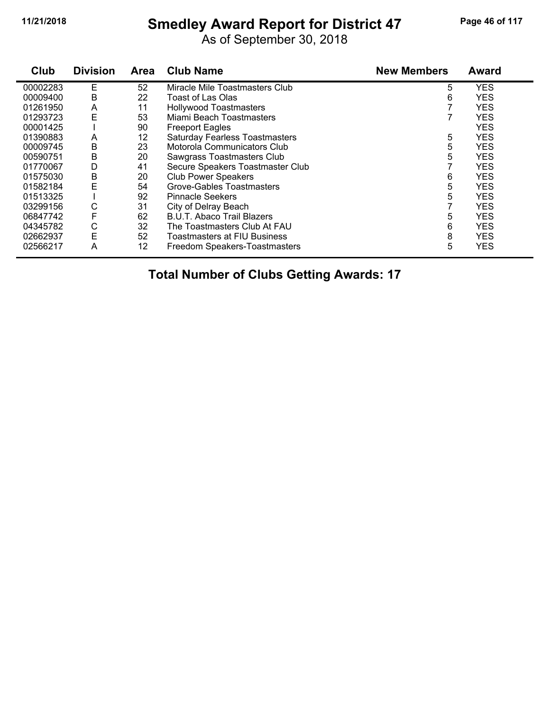# **11/21/2018 Smedley Award Report for District 47 Page 46 of 117**

As of September 30, 2018

| Club     | <b>Division</b> | <b>Area</b> | <b>Club Name</b>                      | <b>New Members</b> | <b>Award</b> |
|----------|-----------------|-------------|---------------------------------------|--------------------|--------------|
| 00002283 | Е               | 52          | Miracle Mile Toastmasters Club        | 5                  | <b>YES</b>   |
| 00009400 | B               | 22          | Toast of Las Olas                     | 6                  | <b>YES</b>   |
| 01261950 | A               | 11          | <b>Hollywood Toastmasters</b>         |                    | <b>YES</b>   |
| 01293723 | E               | 53          | Miami Beach Toastmasters              |                    | <b>YES</b>   |
| 00001425 |                 | 90          | <b>Freeport Eagles</b>                |                    | <b>YES</b>   |
| 01390883 | A               | 12          | <b>Saturday Fearless Toastmasters</b> | 5                  | <b>YES</b>   |
| 00009745 | B               | 23          | Motorola Communicators Club           | 5                  | <b>YES</b>   |
| 00590751 | B               | 20          | Sawgrass Toastmasters Club            | 5                  | <b>YES</b>   |
| 01770067 | D               | 41          | Secure Speakers Toastmaster Club      |                    | <b>YES</b>   |
| 01575030 | В               | 20          | <b>Club Power Speakers</b>            | 6                  | <b>YES</b>   |
| 01582184 | E               | 54          | <b>Grove-Gables Toastmasters</b>      | 5                  | <b>YES</b>   |
| 01513325 |                 | 92          | <b>Pinnacle Seekers</b>               | 5                  | <b>YES</b>   |
| 03299156 | С               | 31          | City of Delray Beach                  |                    | <b>YES</b>   |
| 06847742 | F               | 62          | B.U.T. Abaco Trail Blazers            | 5                  | <b>YES</b>   |
| 04345782 | С               | 32          | The Toastmasters Club At FAU          | 6                  | <b>YES</b>   |
| 02662937 | E               | 52          | Toastmasters at FIU Business          | 8                  | <b>YES</b>   |
| 02566217 | Α               | 12          | Freedom Speakers-Toastmasters         | 5                  | <b>YES</b>   |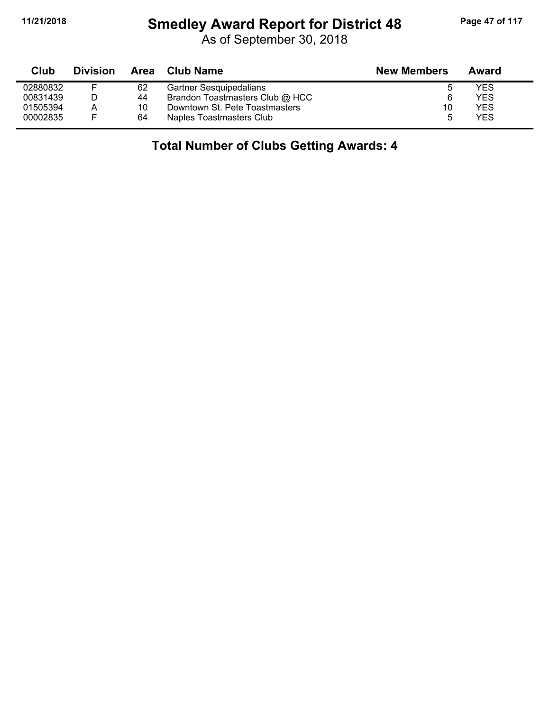#### **11/21/2018 Smedley Award Report for District 48 Page 47 of 117**

As of September 30, 2018

| Club     | <b>Division</b> | Area | Club Name                       | <b>New Members</b> | Award |
|----------|-----------------|------|---------------------------------|--------------------|-------|
| 02880832 |                 | 62   | <b>Gartner Sesquipedalians</b>  | ა                  | YES   |
| 00831439 |                 | 44   | Brandon Toastmasters Club @ HCC | 6                  | YES   |
| 01505394 | А               | 10   | Downtown St. Pete Toastmasters  | 10                 | YES   |
| 00002835 |                 | 64   | Naples Toastmasters Club        |                    | YES   |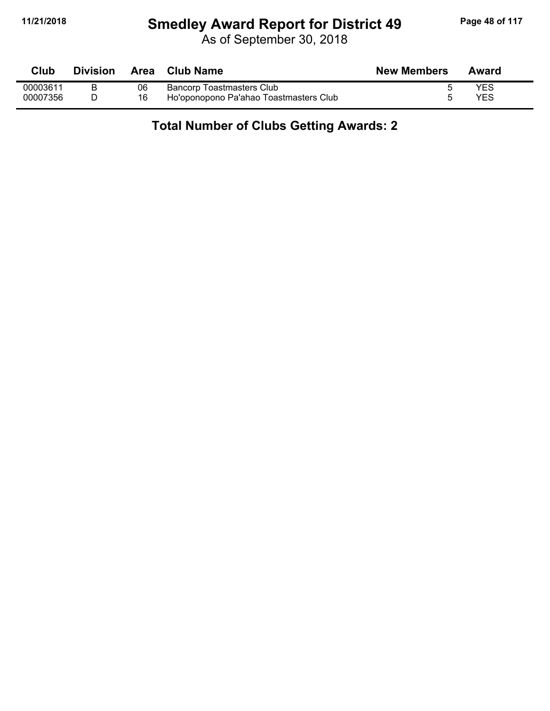#### **11/21/2018 Smedley Award Report for District 49 Page 48 of 117**

As of September 30, 2018

| Club     | <b>Division</b> | Area | Club Name                              | <b>New Members</b> | Award |
|----------|-----------------|------|----------------------------------------|--------------------|-------|
| 00003611 |                 | 06   | <b>Bancorp Toastmasters Club</b>       |                    | YES   |
| 00007356 |                 | 16   | Ho'oponopono Pa'ahao Toastmasters Club |                    | YES   |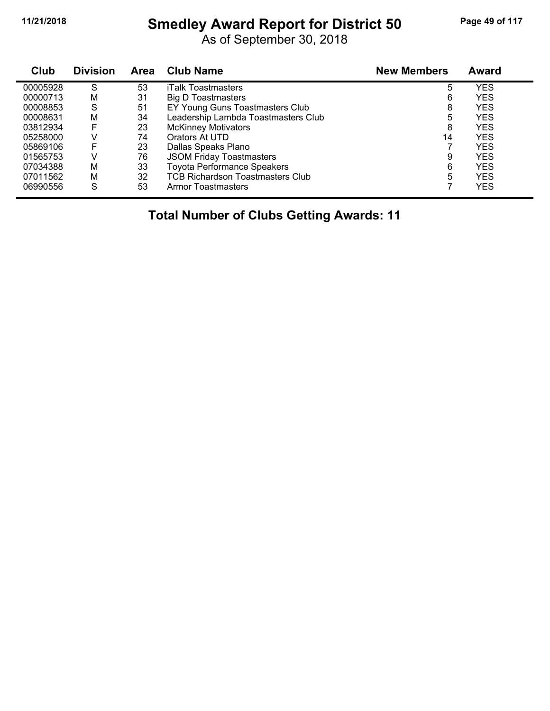# **11/21/2018 Smedley Award Report for District 50 Page 49 of 117**

As of September 30, 2018

| Club     | <b>Division</b> | <b>Area</b> | <b>Club Name</b>                        | <b>New Members</b> | Award      |
|----------|-----------------|-------------|-----------------------------------------|--------------------|------------|
| 00005928 | S               | 53          | <b>iTalk Toastmasters</b>               | 5                  | YES        |
| 00000713 | M               | 31          | Big D Toastmasters                      | 6                  | <b>YES</b> |
| 00008853 | S               | 51          | EY Young Guns Toastmasters Club         | 8                  | YES        |
| 00008631 | M               | 34          | Leadership Lambda Toastmasters Club     | 5                  | YES        |
| 03812934 | F               | 23          | <b>McKinney Motivators</b>              | 8                  | YES        |
| 05258000 | V               | 74          | Orators At UTD                          | 14                 | <b>YES</b> |
| 05869106 | F               | 23          | Dallas Speaks Plano                     |                    | YES        |
| 01565753 | v               | 76          | <b>JSOM Friday Toastmasters</b>         | 9                  | YES        |
| 07034388 | M               | 33          | <b>Toyota Performance Speakers</b>      | 6                  | YES        |
| 07011562 | м               | 32          | <b>TCB Richardson Toastmasters Club</b> | 5                  | YES        |
| 06990556 | S               | 53          | Armor Toastmasters                      |                    | YES        |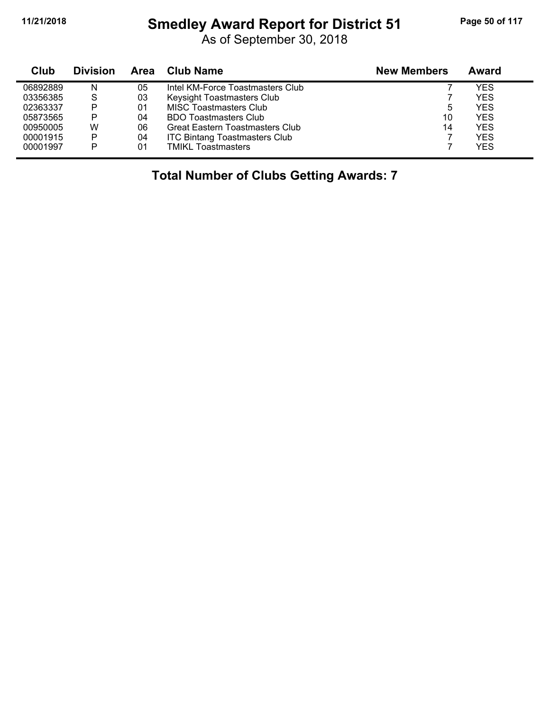# **11/21/2018 Smedley Award Report for District 51 Page 50 of 117**

As of September 30, 2018

| Club     | <b>Division</b> | Area | <b>Club Name</b>                       | <b>New Members</b> | Award      |
|----------|-----------------|------|----------------------------------------|--------------------|------------|
| 06892889 | N               | 05   | Intel KM-Force Toastmasters Club       |                    | <b>YES</b> |
| 03356385 | S               | 03   | Keysight Toastmasters Club             |                    | <b>YES</b> |
| 02363337 | P               | 01   | <b>MISC Toastmasters Club</b>          | 5                  | <b>YES</b> |
| 05873565 | P               | 04   | <b>BDO Toastmasters Club</b>           | 10                 | <b>YES</b> |
| 00950005 | w               | 06   | <b>Great Eastern Toastmasters Club</b> | 14                 | <b>YES</b> |
| 00001915 | P               | 04   | <b>ITC Bintang Toastmasters Club</b>   |                    | <b>YES</b> |
| 00001997 | Þ               | 01   | <b>TMIKL Toastmasters</b>              |                    | <b>YES</b> |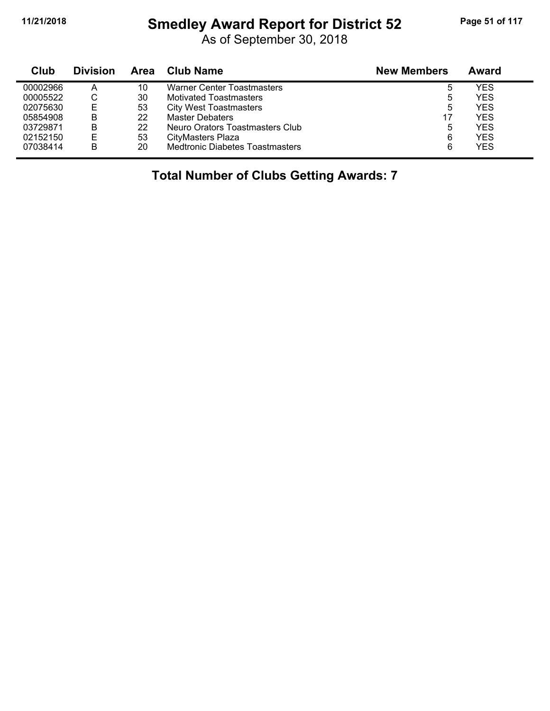# **11/21/2018 Smedley Award Report for District 52 Page 51 of 117**

As of September 30, 2018

| Club     | <b>Division</b> | Area | <b>Club Name</b>                       | <b>New Members</b> | Award      |  |
|----------|-----------------|------|----------------------------------------|--------------------|------------|--|
| 00002966 | А               | 10   | <b>Warner Center Toastmasters</b>      |                    | YES        |  |
| 00005522 | ◡               | 30   | <b>Motivated Toastmasters</b>          | 5                  | YES        |  |
| 02075630 | E               | 53   | <b>City West Toastmasters</b>          | 5                  | YES        |  |
| 05854908 | B               | 22   | Master Debaters                        | 17                 | YES        |  |
| 03729871 | B               | 22   | Neuro Orators Toastmasters Club        | 5                  | YES        |  |
| 02152150 | E               | 53   | CityMasters Plaza                      | 6                  | YES        |  |
| 07038414 | B               | 20   | <b>Medtronic Diabetes Toastmasters</b> | 6                  | <b>YES</b> |  |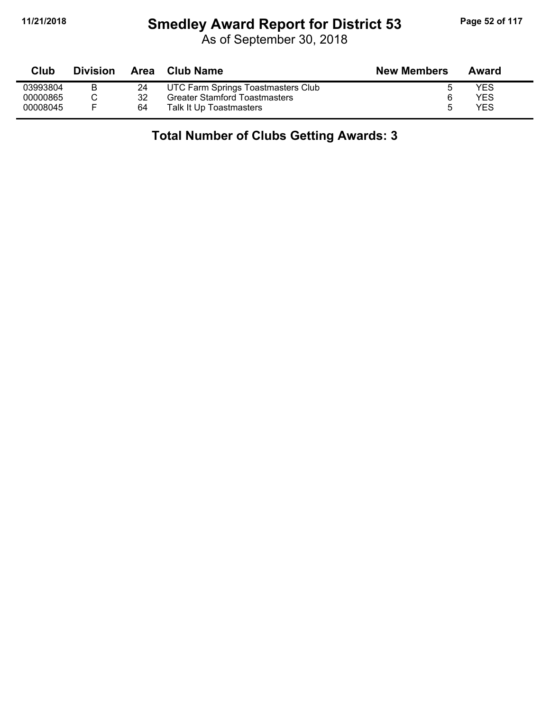# **11/21/2018 Smedley Award Report for District 53 Page 52 of 117**

As of September 30, 2018

| Club     | <b>Division</b> | Area | Club Name                            | <b>New Members</b> | Award      |
|----------|-----------------|------|--------------------------------------|--------------------|------------|
| 03993804 |                 |      | UTC Farm Springs Toastmasters Club   |                    | <b>YES</b> |
| 00000865 |                 | 32   | <b>Greater Stamford Toastmasters</b> | 6                  | YES        |
| 00008045 |                 | 64   | Talk It Up Toastmasters              | .5                 | <b>YES</b> |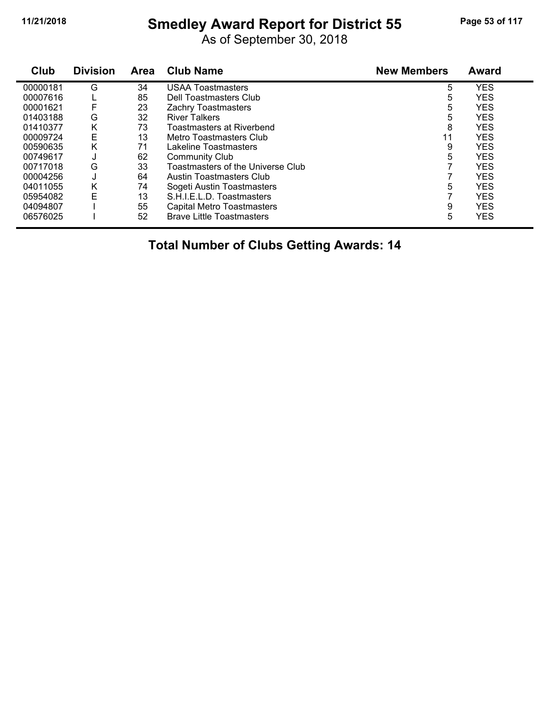# **11/21/2018 Smedley Award Report for District 55 Page 53 of 117**

As of September 30, 2018

| Club     | <b>Division</b> | <b>Area</b> | <b>Club Name</b>                  | <b>New Members</b> | <b>Award</b> |
|----------|-----------------|-------------|-----------------------------------|--------------------|--------------|
| 00000181 | G               | 34          | <b>USAA Toastmasters</b>          | 5                  | <b>YES</b>   |
| 00007616 |                 | 85          | Dell Toastmasters Club            | 5                  | <b>YES</b>   |
| 00001621 | F               | 23          | <b>Zachry Toastmasters</b>        | 5                  | <b>YES</b>   |
| 01403188 | G               | 32          | <b>River Talkers</b>              | 5                  | <b>YES</b>   |
| 01410377 | Κ               | 73          | <b>Toastmasters at Riverbend</b>  | 8                  | <b>YES</b>   |
| 00009724 | E               | 13          | Metro Toastmasters Club           | 11                 | <b>YES</b>   |
| 00590635 | K               | 71          | Lakeline Toastmasters             | 9                  | <b>YES</b>   |
| 00749617 | J               | 62          | <b>Community Club</b>             | 5                  | <b>YES</b>   |
| 00717018 | G               | 33          | Toastmasters of the Universe Club |                    | <b>YES</b>   |
| 00004256 | J               | 64          | Austin Toastmasters Club          |                    | <b>YES</b>   |
| 04011055 | Κ               | 74          | Sogeti Austin Toastmasters        | 5                  | <b>YES</b>   |
| 05954082 | E               | 13          | S.H.I.E.L.D. Toastmasters         |                    | <b>YES</b>   |
| 04094807 |                 | 55          | <b>Capital Metro Toastmasters</b> | 9                  | <b>YES</b>   |
| 06576025 |                 | 52          | <b>Brave Little Toastmasters</b>  | 5                  | <b>YES</b>   |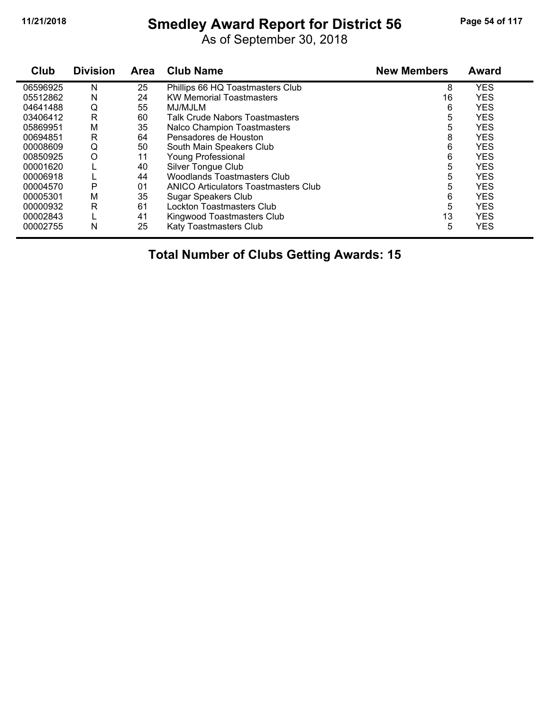# **11/21/2018 Smedley Award Report for District 56 Page 54 of 117**

As of September 30, 2018

| Club     | <b>Division</b> | <b>Area</b> | <b>Club Name</b>                     | <b>New Members</b> | <b>Award</b> |  |
|----------|-----------------|-------------|--------------------------------------|--------------------|--------------|--|
| 06596925 | N               | 25          | Phillips 66 HQ Toastmasters Club     | 8                  | <b>YES</b>   |  |
| 05512862 | N               | 24          | <b>KW Memorial Toastmasters</b>      | 16                 | <b>YES</b>   |  |
| 04641488 | Q               | 55          | MJ/MJLM                              | 6                  | <b>YES</b>   |  |
| 03406412 | R               | 60          | Talk Crude Nabors Toastmasters       | 5                  | <b>YES</b>   |  |
| 05869951 | M               | 35          | <b>Nalco Champion Toastmasters</b>   | 5                  | <b>YES</b>   |  |
| 00694851 | R               | 64          | Pensadores de Houston                | 8                  | <b>YES</b>   |  |
| 00008609 | Q               | 50          | South Main Speakers Club             | 6                  | <b>YES</b>   |  |
| 00850925 | $\circ$         | 11          | <b>Young Professional</b>            | 6                  | <b>YES</b>   |  |
| 00001620 |                 | 40          | Silver Tongue Club                   | 5                  | <b>YES</b>   |  |
| 00006918 |                 | 44          | Woodlands Toastmasters Club          | 5                  | <b>YES</b>   |  |
| 00004570 | P               | 01          | ANICO Articulators Toastmasters Club | 5                  | <b>YES</b>   |  |
| 00005301 | М               | 35          | Sugar Speakers Club                  | 6                  | <b>YES</b>   |  |
| 00000932 | R               | 61          | Lockton Toastmasters Club            | 5                  | <b>YES</b>   |  |
| 00002843 | ┗               | 41          | Kingwood Toastmasters Club           | 13                 | <b>YES</b>   |  |
| 00002755 | N               | 25          | Katy Toastmasters Club               | 5                  | <b>YES</b>   |  |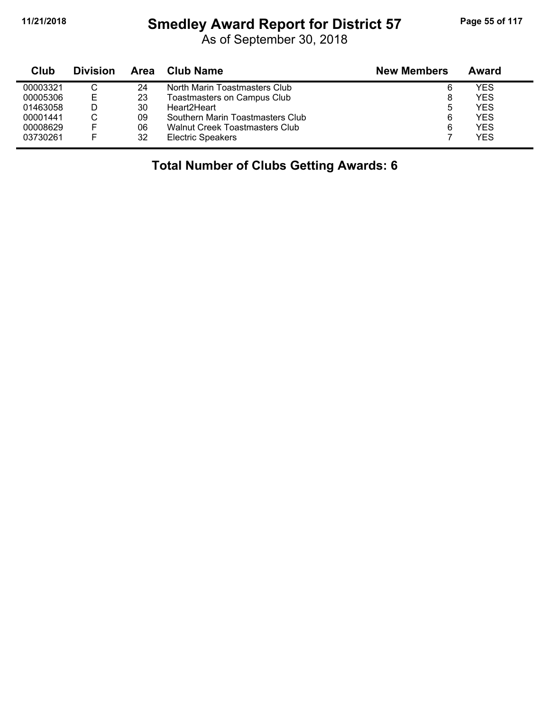#### **11/21/2018 Smedley Award Report for District 57 Page 55 of 117**

As of September 30, 2018

| Club     | <b>Division</b> | Area | <b>Club Name</b>                 | <b>New Members</b> | Award |
|----------|-----------------|------|----------------------------------|--------------------|-------|
| 00003321 |                 | 24   | North Marin Toastmasters Club    | 6                  | YES   |
| 00005306 | Е               | 23   | Toastmasters on Campus Club      | 8                  | YES   |
| 01463058 |                 | 30   | Heart2Heart                      | 5                  | YES   |
| 00001441 |                 | 09   | Southern Marin Toastmasters Club | 6                  | YES   |
| 00008629 | E               | 06   | Walnut Creek Toastmasters Club   | 6                  | YES   |
| 03730261 | F               | 32   | <b>Electric Speakers</b>         |                    | YES   |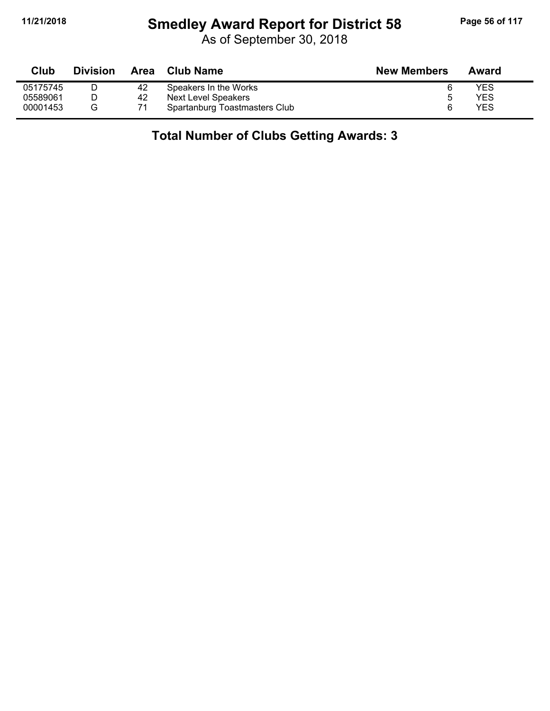# **11/21/2018 Smedley Award Report for District 58 Page 56 of 117**

As of September 30, 2018

| Club     | <b>Division</b> | Area | Club Name                     | <b>New Members</b> | Award |
|----------|-----------------|------|-------------------------------|--------------------|-------|
| 05175745 |                 | 42   | Speakers In the Works         |                    | YES   |
| 05589061 |                 | 42   | Next Level Speakers           |                    | YES   |
| 00001453 | G               |      | Spartanburg Toastmasters Club |                    | YES   |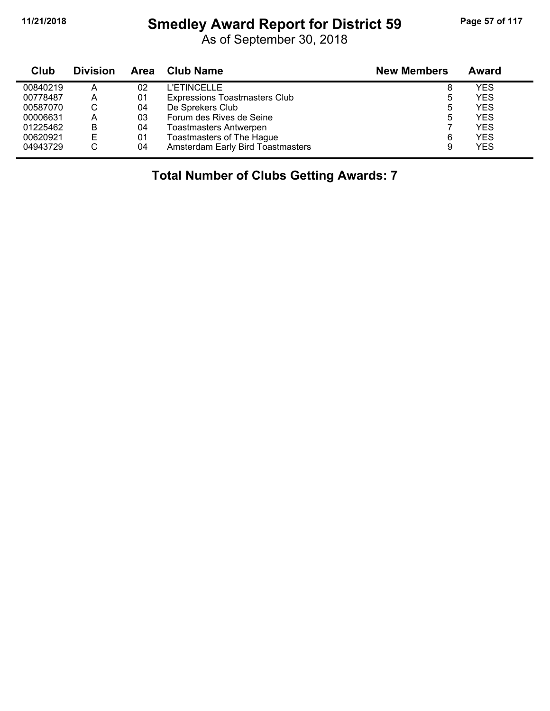# **11/21/2018 Smedley Award Report for District 59 Page 57 of 117**

As of September 30, 2018

| Club     | <b>Division</b> | Area | <b>Club Name</b>                     | <b>New Members</b> | Award      |
|----------|-----------------|------|--------------------------------------|--------------------|------------|
| 00840219 | A               | 02   | <b>L'ETINCELLE</b>                   | 8                  | <b>YES</b> |
| 00778487 | A               | 01   | <b>Expressions Toastmasters Club</b> | 5                  | <b>YES</b> |
| 00587070 | С               | 04   | De Sprekers Club                     | 5                  | <b>YES</b> |
| 00006631 | A               | 03   | Forum des Rives de Seine             | 5                  | <b>YES</b> |
| 01225462 | B               | 04   | <b>Toastmasters Antwerpen</b>        |                    | <b>YES</b> |
| 00620921 | Е               | 01   | Toastmasters of The Hague            | 6                  | <b>YES</b> |
| 04943729 | С               | 04   | Amsterdam Early Bird Toastmasters    | 9                  | <b>YES</b> |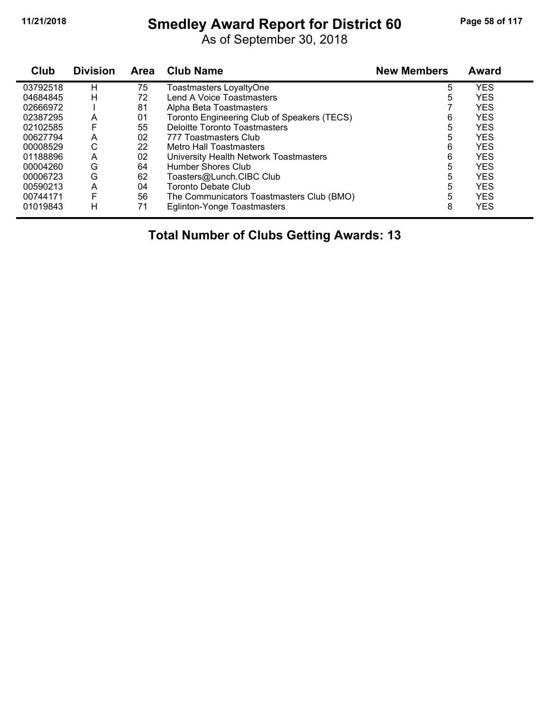# **11/21/2018 Smedley Award Report for District 60 Page 58 of 117**

As of September 30, 2018

| Club     | <b>Division</b> | Area | <b>Club Name</b>                            | <b>New Members</b> | Award      |  |
|----------|-----------------|------|---------------------------------------------|--------------------|------------|--|
| 03792518 | н               | 75   | Toastmasters LoyaltyOne                     | 5                  | <b>YES</b> |  |
| 04684845 | н               | 72   | Lend A Voice Toastmasters                   | 5                  | <b>YES</b> |  |
| 02666972 |                 | 81   | Alpha Beta Toastmasters                     |                    | <b>YES</b> |  |
| 02387295 | А               | 01   | Toronto Engineering Club of Speakers (TECS) | 6                  | <b>YES</b> |  |
| 02102585 | F               | 55   | Deloitte Toronto Toastmasters               | 5                  | <b>YES</b> |  |
| 00627794 | A               | 02   | 777 Toastmasters Club                       | 5                  | <b>YES</b> |  |
| 00008529 | С               | 22   | Metro Hall Toastmasters                     | 6                  | <b>YES</b> |  |
| 01188896 | A               | 02   | University Health Network Toastmasters      | 6                  | <b>YES</b> |  |
| 00004260 | G               | 64   | Humber Shores Club                          | 5                  | <b>YES</b> |  |
| 00006723 | G               | 62   | Toasters@Lunch.CIBC Club                    | 5                  | <b>YES</b> |  |
| 00590213 | A               | 04   | Toronto Debate Club                         | 5                  | <b>YES</b> |  |
| 00744171 | F               | 56   | The Communicators Toastmasters Club (BMO)   | 5                  | <b>YES</b> |  |
| 01019843 | н               | 71   | Eglinton-Yonge Toastmasters                 | 8                  | <b>YES</b> |  |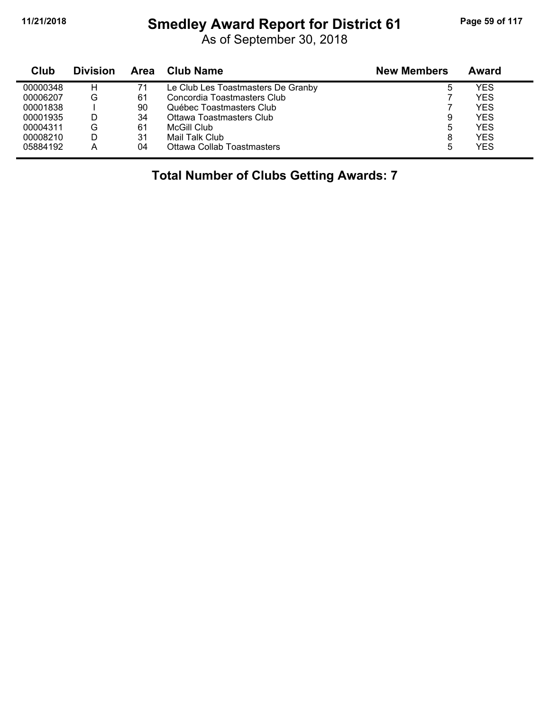# **11/21/2018 Smedley Award Report for District 61 Page 59 of 117**

As of September 30, 2018

| Club     | <b>Division</b> | Area | <b>Club Name</b>                   | <b>New Members</b> | Award |
|----------|-----------------|------|------------------------------------|--------------------|-------|
| 00000348 | н               | 71   | Le Club Les Toastmasters De Granby | 5                  | YES   |
| 00006207 | G               | 61   | Concordia Toastmasters Club        |                    | YES   |
| 00001838 |                 | 90   | Québec Toastmasters Club           |                    | YES   |
| 00001935 |                 | 34   | Ottawa Toastmasters Club           | 9                  | YES   |
| 00004311 | G               | 61   | <b>McGill Club</b>                 | 5                  | YES   |
| 00008210 |                 | 31   | Mail Talk Club                     | 8                  | YES   |
| 05884192 | А               | 04   | Ottawa Collab Toastmasters         | 5                  | YES   |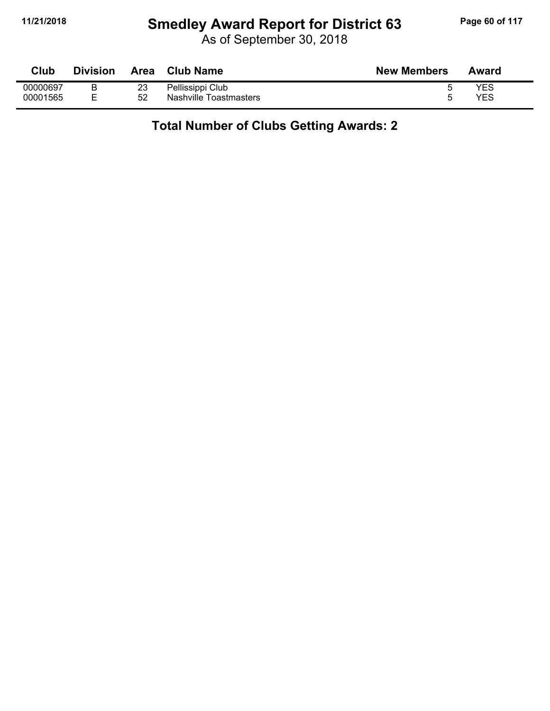### **11/21/2018 Smedley Award Report for District 63 Page 60 of 117**

As of September 30, 2018

#### **Total Number of Clubs Getting Awards: 2**

Nashville Toastmasters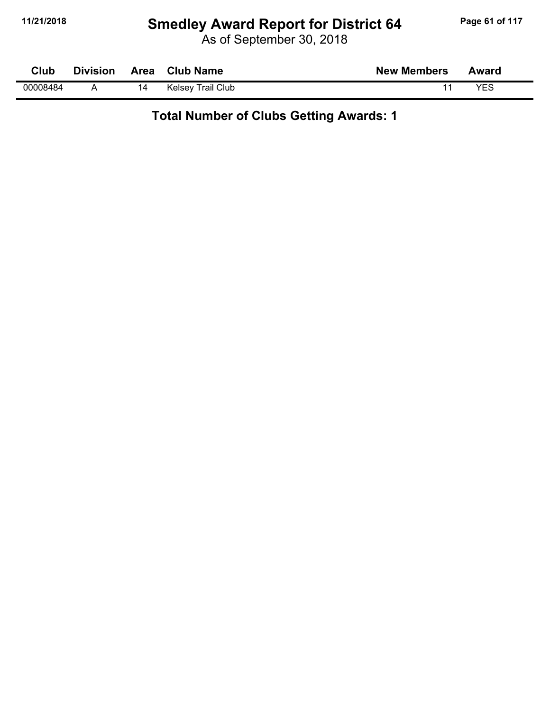# **11/21/2018 Smedley Award Report for District 64 Page 61 of 117**

As of September 30, 2018

| Club     | <b>Division</b> | <b>Area</b> | <b>Club Name</b>         | <b>New Members</b> | Award      |  |
|----------|-----------------|-------------|--------------------------|--------------------|------------|--|
| 00008484 |                 | 14          | <b>Kelsey Trail Club</b> |                    | <b>YES</b> |  |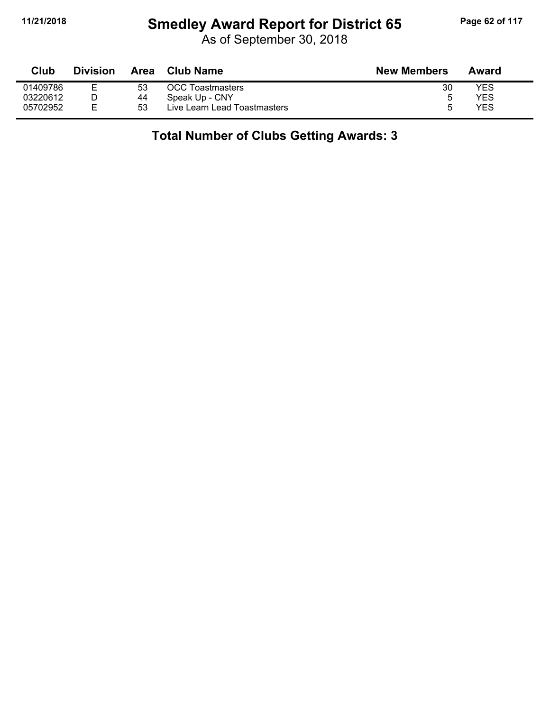# **11/21/2018 Smedley Award Report for District 65 Page 62 of 117**

As of September 30, 2018

| Club     | <b>Division</b> | Area | Club Name                    | <b>New Members</b> | Award |
|----------|-----------------|------|------------------------------|--------------------|-------|
| 01409786 |                 | 53   | <b>OCC Toastmasters</b>      | 30                 | YES   |
| 03220612 |                 | 44   | Speak Up - CNY               |                    | YES   |
| 05702952 |                 | 53   | Live Learn Lead Toastmasters |                    | YES   |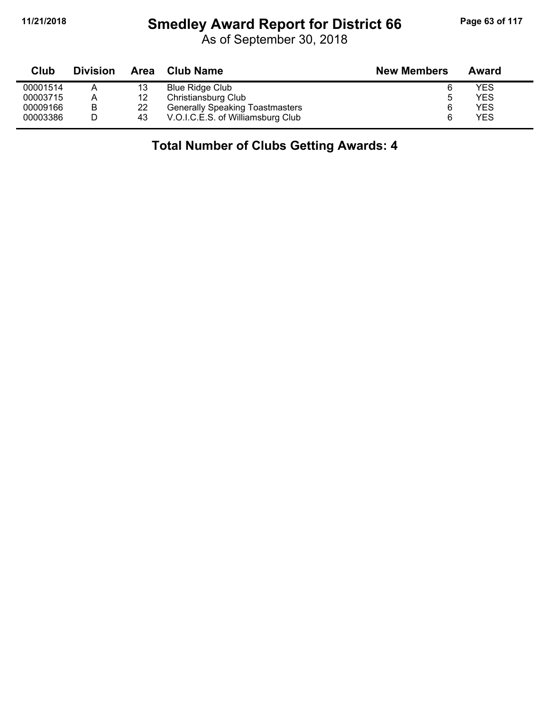#### **11/21/2018 Smedley Award Report for District 66 Page 63 of 117**

As of September 30, 2018

| Club     | <b>Division</b> | Area | <b>Club Name</b>                       | <b>New Members</b> | Award |
|----------|-----------------|------|----------------------------------------|--------------------|-------|
| 00001514 | A               | 13   | Blue Ridge Club                        |                    | YES   |
| 00003715 | A               | 12   | Christiansburg Club                    | 5                  | YES   |
| 00009166 | B               | 22   | <b>Generally Speaking Toastmasters</b> | 6                  | YES   |
| 00003386 |                 | -43  | V.O.I.C.E.S. of Williamsburg Club      |                    | YES   |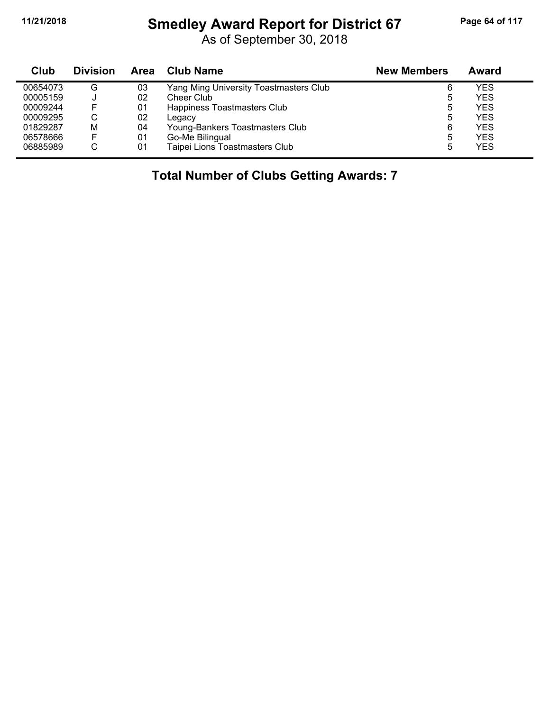$\blacksquare$ 

#### **11/21/2018 Smedley Award Report for District 67 Page 64 of 117**

As of September 30, 2018

| Club     | <b>Division</b> | <b>Area</b> | Club Name                              | <b>New Members</b> | Award      |
|----------|-----------------|-------------|----------------------------------------|--------------------|------------|
| 00654073 | G               | 03          | Yang Ming University Toastmasters Club | 6                  | YES        |
| 00005159 |                 | 02          | Cheer Club                             | 5                  | YES        |
| 00009244 | F               | 01          | Happiness Toastmasters Club            | 5                  | YES.       |
| 00009295 | ◡               | 02          | Legacy                                 | 5                  | <b>YES</b> |
| 01829287 | М               | 04          | Young-Bankers Toastmasters Club        | 6                  | YES.       |
| 06578666 | F               | 01          | Go-Me Bilingual                        | 5                  | YES        |
| 06885989 | ◡               | 01          | Taipei Lions Toastmasters Club         | 5                  | YES        |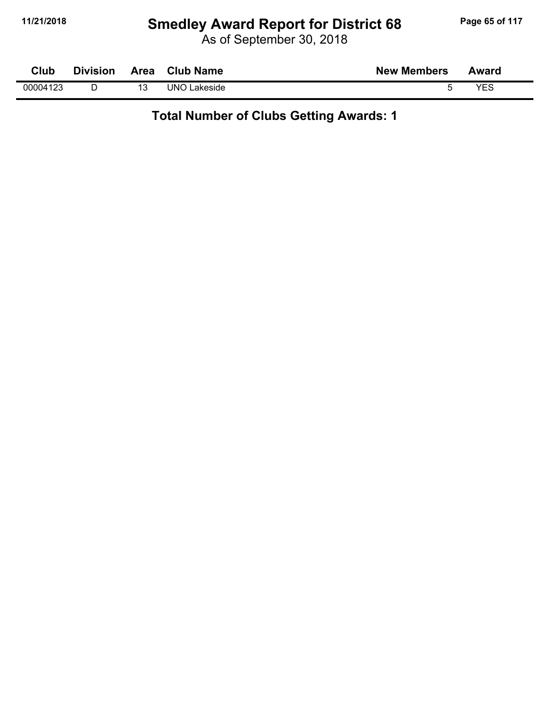# **11/21/2018 Smedley Award Report for District 68 Page 65 of 117**

As of September 30, 2018

| Club     | <b>Division</b> | Area | <b>Club Name</b>    | <b>New Members</b> | Award |
|----------|-----------------|------|---------------------|--------------------|-------|
| 00004123 |                 |      | <b>UNO Lakeside</b> |                    | VES   |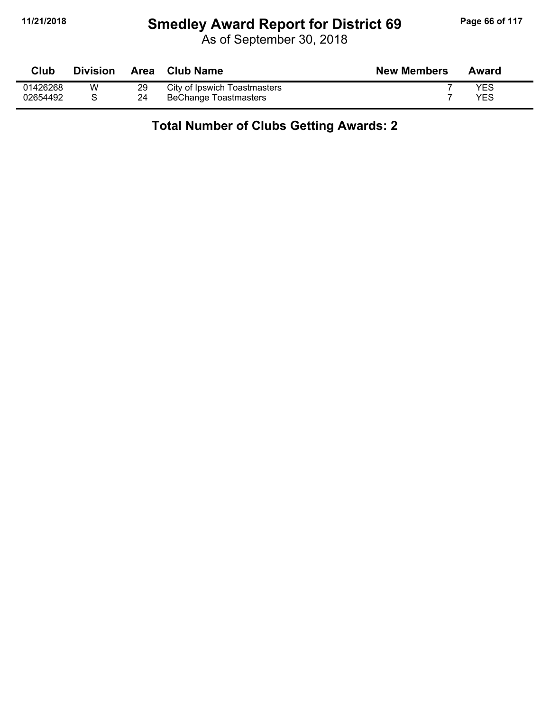# **11/21/2018 Smedley Award Report for District 69 Page 66 of 117**

As of September 30, 2018

| Club     | <b>Division</b> |    | Area Club Name               | <b>New Members</b> | Award |
|----------|-----------------|----|------------------------------|--------------------|-------|
| 01426268 | W               | 29 | City of Ipswich Toastmasters |                    | YES   |
| 02654492 |                 | 24 | BeChange Toastmasters        |                    | YES   |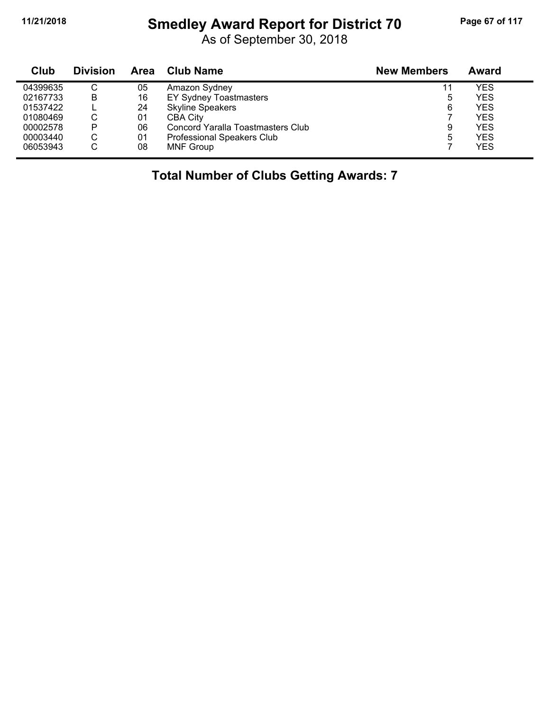# **11/21/2018 Smedley Award Report for District 70 Page 67 of 117**

As of September 30, 2018

| Club     | <b>Division</b> | Area | <b>Club Name</b>                  | <b>New Members</b> | Award      |
|----------|-----------------|------|-----------------------------------|--------------------|------------|
| 04399635 | C               | 05   | Amazon Sydney                     | 11                 | YES        |
| 02167733 | B               | 16   | <b>EY Sydney Toastmasters</b>     | 5                  | YES        |
| 01537422 |                 | 24   | <b>Skyline Speakers</b>           | 6                  | YES        |
| 01080469 | C               | 01   | CBA City                          |                    | <b>YES</b> |
| 00002578 | P               | 06   | Concord Yaralla Toastmasters Club | 9                  | YES        |
| 00003440 | C               | 01   | <b>Professional Speakers Club</b> | 5                  | <b>YES</b> |
| 06053943 | C               | 08   | <b>MNF Group</b>                  |                    | <b>YES</b> |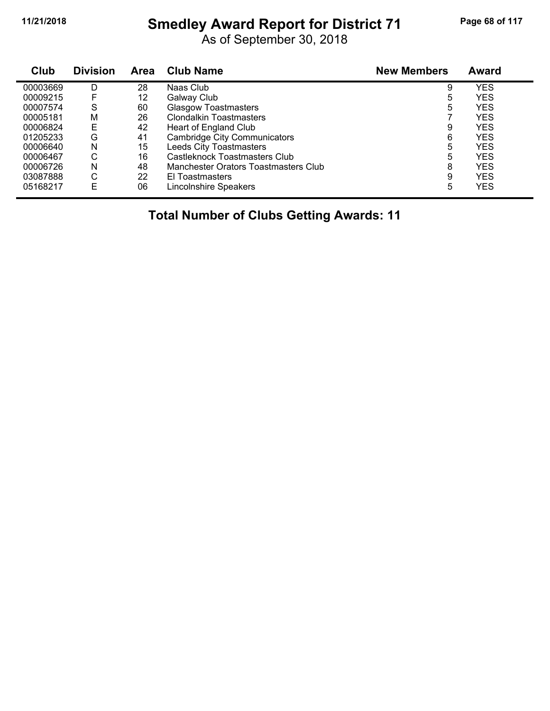# **11/21/2018 Smedley Award Report for District 71 Page 68 of 117**

As of September 30, 2018

| Club     | <b>Division</b> | Area | <b>Club Name</b>                     | <b>New Members</b> | <b>Award</b> |
|----------|-----------------|------|--------------------------------------|--------------------|--------------|
| 00003669 | D               | 28   | Naas Club                            | 9                  | YES          |
| 00009215 | F               | 12   | Galway Club                          | 5                  | <b>YES</b>   |
| 00007574 | S               | 60   | <b>Glasgow Toastmasters</b>          | 5                  | YES          |
| 00005181 | Μ               | 26   | <b>Clondalkin Toastmasters</b>       |                    | YES          |
| 00006824 | Ε               | 42   | Heart of England Club                | 9                  | <b>YES</b>   |
| 01205233 | G               | 41   | <b>Cambridge City Communicators</b>  | 6                  | YES          |
| 00006640 | N               | 15   | <b>Leeds City Toastmasters</b>       | 5                  | YES          |
| 00006467 | С               | 16   | Castleknock Toastmasters Club        | 5                  | <b>YES</b>   |
| 00006726 | N               | 48   | Manchester Orators Toastmasters Club | 8                  | YES          |
| 03087888 | С               | 22   | El Toastmasters                      | 9                  | <b>YES</b>   |
| 05168217 | E               | 06   | <b>Lincolnshire Speakers</b>         | 5                  | <b>YES</b>   |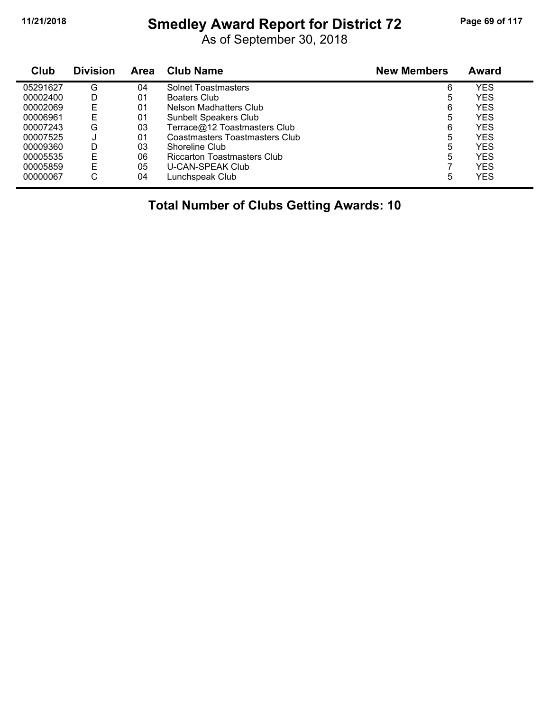#### **11/21/2018 Smedley Award Report for District 72 Page 69 of 117**

As of September 30, 2018

| Club     | <b>Division</b> | <b>Area</b> | <b>Club Name</b>               | <b>New Members</b> | Award      |  |
|----------|-----------------|-------------|--------------------------------|--------------------|------------|--|
| 05291627 | G               | 04          | <b>Solnet Toastmasters</b>     | 6                  | YES        |  |
| 00002400 | D               | 01          | Boaters Club                   | 5                  | YES        |  |
| 00002069 | Е               | 01          | Nelson Madhatters Club         | 6                  | YES        |  |
| 00006961 | E               | 01          | <b>Sunbelt Speakers Club</b>   | 5                  | YES        |  |
| 00007243 | G               | 03          | Terrace@12 Toastmasters Club   | 6                  | YES        |  |
| 00007525 | J               | 01          | Coastmasters Toastmasters Club | 5                  | YES        |  |
| 00009360 | D               | 03          | Shoreline Club                 | 5                  | YES        |  |
| 00005535 | E               | 06          | Riccarton Toastmasters Club    | 5                  | <b>YES</b> |  |
| 00005859 | Е               | 05          | U-CAN-SPEAK Club               |                    | YES        |  |
| 00000067 | С               | 04          | Lunchspeak Club                | 5                  | YES        |  |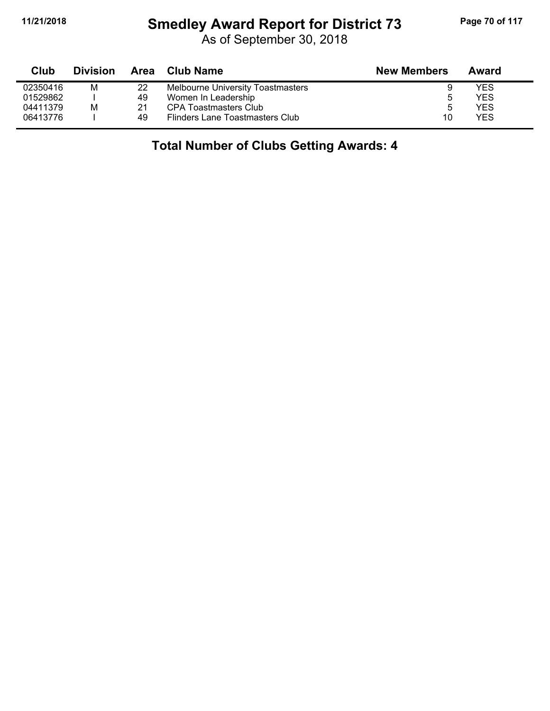#### **11/21/2018 Smedley Award Report for District 73 Page 70 of 117**

As of September 30, 2018

| Club     | <b>Division</b> | Area | Club Name                                | <b>New Members</b> | Award |
|----------|-----------------|------|------------------------------------------|--------------------|-------|
| 02350416 | М               | 22   | <b>Melbourne University Toastmasters</b> | 9                  | YES   |
| 01529862 |                 | 49   | Women In Leadership                      |                    | YES   |
| 04411379 | M               | 21   | CPA Toastmasters Club                    | ა                  | YES   |
| 06413776 |                 | 49   | Flinders Lane Toastmasters Club          | 10                 | YES   |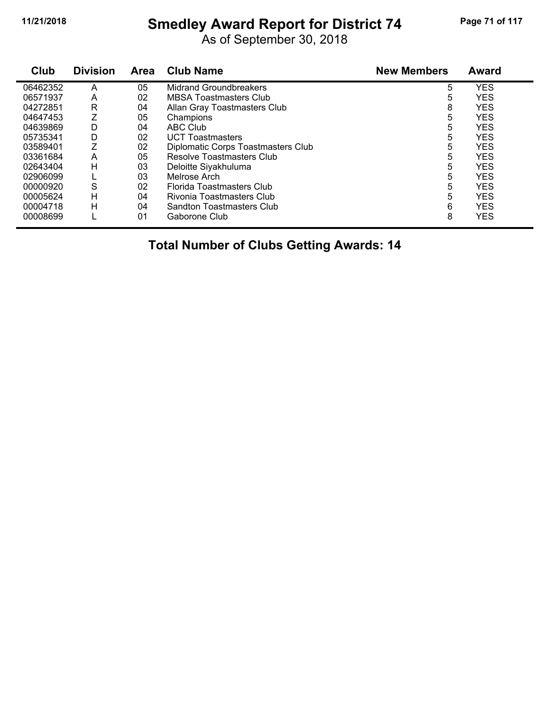# **11/21/2018 Smedley Award Report for District 74 Page 71 of 117**

As of September 30, 2018

| Club     | <b>Division</b> | <b>Area</b> | <b>Club Name</b>                   | <b>New Members</b> | <b>Award</b> |
|----------|-----------------|-------------|------------------------------------|--------------------|--------------|
| 06462352 | А               | 05          | <b>Midrand Groundbreakers</b>      | 5                  | <b>YES</b>   |
| 06571937 | A               | 02          | <b>MBSA Toastmasters Club</b>      | 5                  | <b>YES</b>   |
| 04272851 | R               | 04          | Allan Gray Toastmasters Club       | 8                  | <b>YES</b>   |
| 04647453 | Z               | 05          | Champions                          | 5                  | <b>YES</b>   |
| 04639869 | D               | 04          | ABC Club                           | 5                  | <b>YES</b>   |
| 05735341 | D               | 02          | <b>UCT Toastmasters</b>            | 5                  | <b>YES</b>   |
| 03589401 | Z               | 02          | Diplomatic Corps Toastmasters Club | 5                  | <b>YES</b>   |
| 03361684 | A               | 05          | Resolve Toastmasters Club          | 5                  | <b>YES</b>   |
| 02643404 | н               | 03          | Deloitte Siyakhuluma               | 5                  | <b>YES</b>   |
| 02906099 |                 | 03          | Melrose Arch                       | 5                  | <b>YES</b>   |
| 00000920 | S               | 02          | Florida Toastmasters Club          | 5                  | <b>YES</b>   |
| 00005624 | н               | 04          | Rivonia Toastmasters Club          | 5                  | <b>YES</b>   |
| 00004718 | н               | 04          | Sandton Toastmasters Club          | 6                  | <b>YES</b>   |
| 00008699 |                 | 01          | Gaborone Club                      | 8                  | <b>YES</b>   |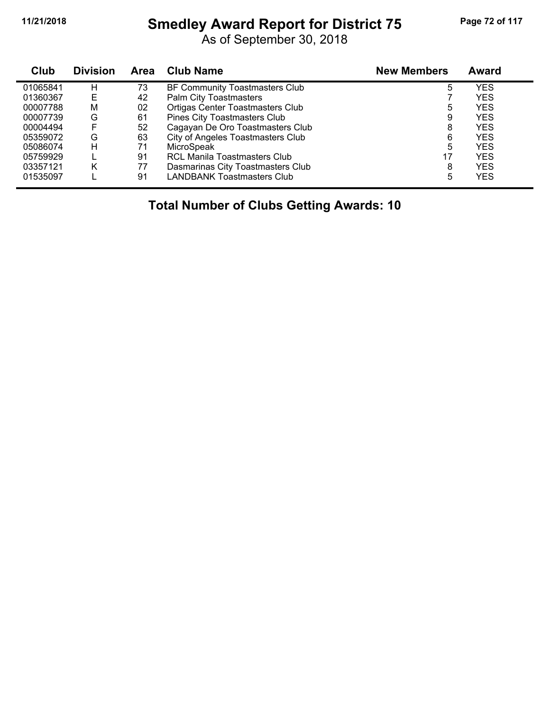#### **11/21/2018 Smedley Award Report for District 75 Page 72 of 117**

As of September 30, 2018

| Club     | <b>Division</b> | <b>Area</b> | Club Name                               | <b>New Members</b> | Award      |  |
|----------|-----------------|-------------|-----------------------------------------|--------------------|------------|--|
| 01065841 | н               | 73          | BF Community Toastmasters Club          | 5                  | YES        |  |
| 01360367 | E               | 42          | <b>Palm City Toastmasters</b>           |                    | YES        |  |
| 00007788 | М               | 02          | <b>Ortigas Center Toastmasters Club</b> | 5                  | YES        |  |
| 00007739 | G               | 61          | <b>Pines City Toastmasters Club</b>     | 9                  | YES        |  |
| 00004494 | F               | 52          | Cagayan De Oro Toastmasters Club        | 8                  | YES        |  |
| 05359072 | G               | 63          | City of Angeles Toastmasters Club       | 6                  | YES        |  |
| 05086074 | н               | 71          | MicroSpeak                              | 5                  | YES        |  |
| 05759929 |                 | 91          | <b>RCL Manila Toastmasters Club</b>     | 17                 | <b>YES</b> |  |
| 03357121 | Κ               | 77          | Dasmarinas City Toastmasters Club       | 8                  | <b>YES</b> |  |
| 01535097 |                 | 91          | <b>LANDBANK Toastmasters Club</b>       | 5                  | YES        |  |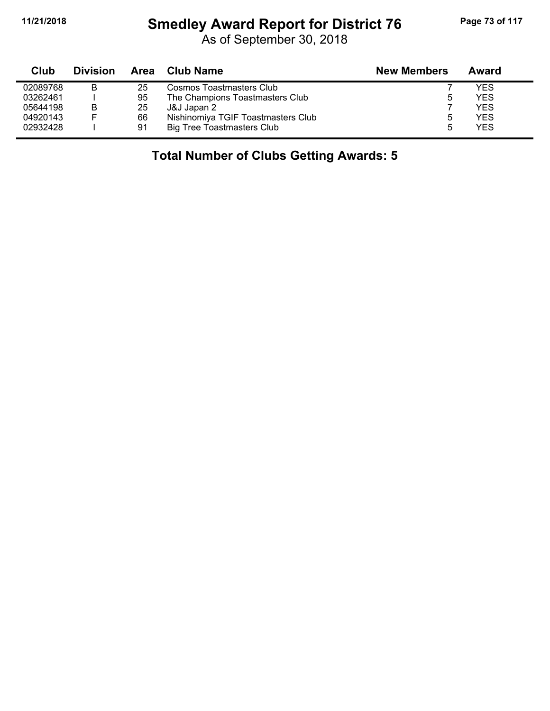# **11/21/2018 Smedley Award Report for District 76 Page 73 of 117**

As of September 30, 2018

| <b>Club</b> | <b>Division</b> |    | Area Club Name                     | <b>New Members</b> | Award |
|-------------|-----------------|----|------------------------------------|--------------------|-------|
| 02089768    | в               | 25 | Cosmos Toastmasters Club           |                    | YES   |
| 03262461    |                 | 95 | The Champions Toastmasters Club    | b                  | YES   |
| 05644198    | в               | 25 | J&J Japan 2                        |                    | YES   |
| 04920143    |                 | 66 | Nishinomiya TGIF Toastmasters Club |                    | YES   |
| 02932428    |                 | 91 | <b>Big Tree Toastmasters Club</b>  |                    | YES   |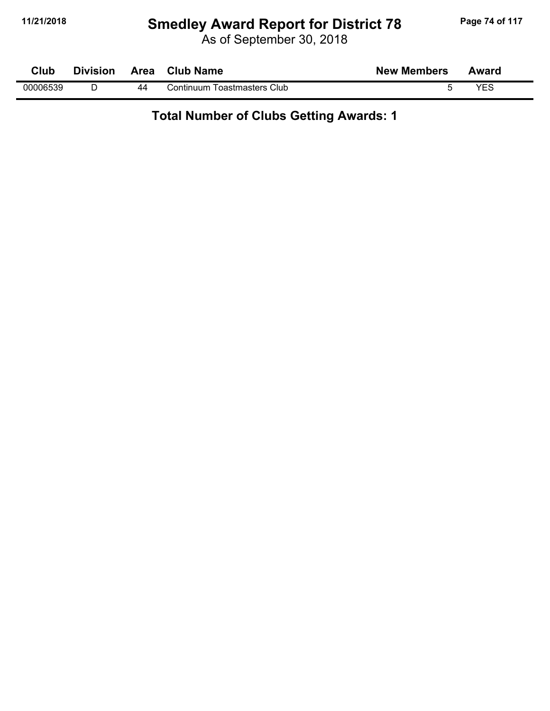# **11/21/2018 Smedley Award Report for District 78 Page 74 of 117**

As of September 30, 2018

| Club     | <b>Division</b> |    | Area Club Name              | <b>New Members</b> | Award |  |
|----------|-----------------|----|-----------------------------|--------------------|-------|--|
| 00006539 |                 | 44 | Continuum Toastmasters Club |                    | VES   |  |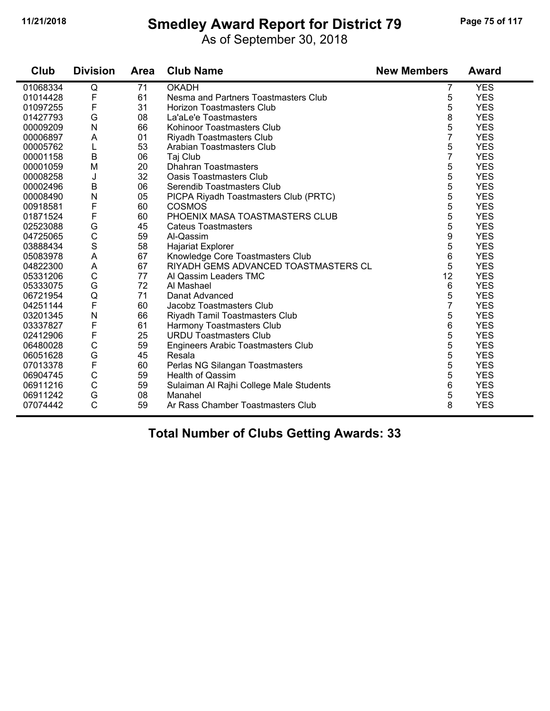#### **11/21/2018 Smedley Award Report for District 79 Page 75 of 117**

As of September 30, 2018

| Club     | <b>Division</b> | <b>Area</b> | <b>Club Name</b>                          | <b>New Members</b> | <b>Award</b> |
|----------|-----------------|-------------|-------------------------------------------|--------------------|--------------|
| 01068334 | Q               | 71          | <b>OKADH</b>                              | 7                  | <b>YES</b>   |
| 01014428 | F               | 61          | Nesma and Partners Toastmasters Club      | 5                  | <b>YES</b>   |
| 01097255 | F               | 31          | <b>Horizon Toastmasters Club</b>          | 5                  | <b>YES</b>   |
| 01427793 | G               | 08          | La'aLe'e Toastmasters                     | 8                  | <b>YES</b>   |
| 00009209 | N               | 66          | Kohinoor Toastmasters Club                | 5                  | <b>YES</b>   |
| 00006897 | A               | 01          | <b>Riyadh Toastmasters Club</b>           | 7                  | <b>YES</b>   |
| 00005762 | L               | 53          | Arabian Toastmasters Club                 | 5                  | <b>YES</b>   |
| 00001158 | $\sf B$         | 06          | Taj Club                                  | $\overline{7}$     | <b>YES</b>   |
| 00001059 | M               | 20          | <b>Dhahran Toastmasters</b>               | 5                  | <b>YES</b>   |
| 00008258 | J               | 32          | <b>Oasis Toastmasters Club</b>            | 5                  | <b>YES</b>   |
| 00002496 | $\sf B$         | 06          | Serendib Toastmasters Club                | 5                  | <b>YES</b>   |
| 00008490 | N               | 05          | PICPA Riyadh Toastmasters Club (PRTC)     | 5                  | <b>YES</b>   |
| 00918581 | F               | 60          | <b>COSMOS</b>                             | 5                  | <b>YES</b>   |
| 01871524 | F               | 60          | PHOENIX MASA TOASTMASTERS CLUB            | 5                  | <b>YES</b>   |
| 02523088 | G               | 45          | <b>Cateus Toastmasters</b>                | 5                  | <b>YES</b>   |
| 04725065 | $\mathsf C$     | 59          | Al-Qassim                                 | 9                  | <b>YES</b>   |
| 03888434 | $\mathbf S$     | 58          | <b>Hajariat Explorer</b>                  | 5                  | <b>YES</b>   |
| 05083978 | A               | 67          | Knowledge Core Toastmasters Club          | 6                  | <b>YES</b>   |
| 04822300 | A               | 67          | RIYADH GEMS ADVANCED TOASTMASTERS CL      | 5                  | <b>YES</b>   |
| 05331206 | $\mathsf C$     | 77          | Al Qassim Leaders TMC                     | 12                 | <b>YES</b>   |
| 05333075 | G               | 72          | Al Mashael                                | 6                  | <b>YES</b>   |
| 06721954 | Q               | 71          | Danat Advanced                            | 5                  | <b>YES</b>   |
| 04251144 | $\mathsf F$     | 60          | Jacobz Toastmasters Club                  | $\overline{7}$     | <b>YES</b>   |
| 03201345 | N               | 66          | Riyadh Tamil Toastmasters Club            | 5                  | <b>YES</b>   |
| 03337827 | F               | 61          | Harmony Toastmasters Club                 | 6                  | <b>YES</b>   |
| 02412906 | $\mathsf F$     | 25          | <b>URDU Toastmasters Club</b>             | 5                  | <b>YES</b>   |
| 06480028 | $\mathsf C$     | 59          | <b>Engineers Arabic Toastmasters Club</b> | 5                  | <b>YES</b>   |
| 06051628 | G               | 45          | Resala                                    | 5                  | <b>YES</b>   |
| 07013378 | $\mathsf F$     | 60          | Perlas NG Silangan Toastmasters           | 5                  | <b>YES</b>   |
| 06904745 | $\mathsf C$     | 59          | <b>Health of Qassim</b>                   | 5                  | <b>YES</b>   |
| 06911216 | $\mathsf{C}$    | 59          | Sulaiman Al Rajhi College Male Students   | 6                  | <b>YES</b>   |
| 06911242 | G               | 08          | Manahel                                   | 5                  | <b>YES</b>   |
| 07074442 | $\mathsf{C}$    | 59          | Ar Rass Chamber Toastmasters Club         | 8                  | <b>YES</b>   |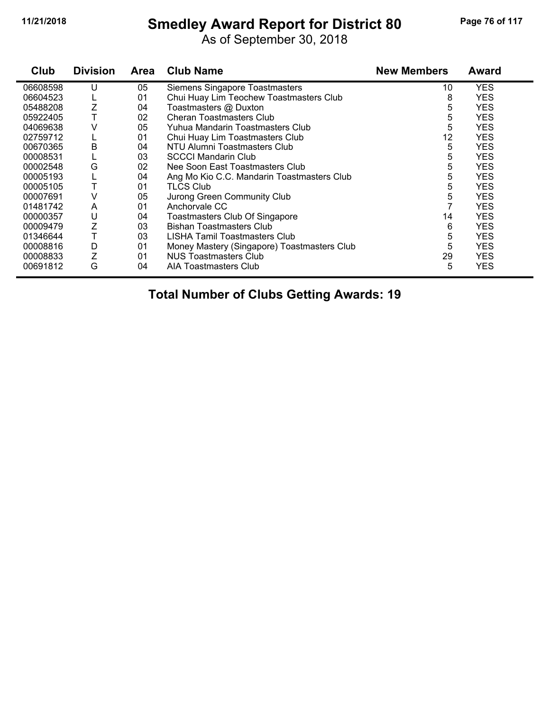# **11/21/2018 Smedley Award Report for District 80 Page 76 of 117**

As of September 30, 2018

| Club     | <b>Division</b> | <b>Area</b> | <b>Club Name</b>                            | <b>New Members</b> | <b>Award</b> |
|----------|-----------------|-------------|---------------------------------------------|--------------------|--------------|
| 06608598 | U               | 05          | Siemens Singapore Toastmasters              | 10                 | <b>YES</b>   |
| 06604523 |                 | 01          | Chui Huay Lim Teochew Toastmasters Club     | 8                  | <b>YES</b>   |
| 05488208 | Ζ               | 04          | Toastmasters @ Duxton                       | 5                  | <b>YES</b>   |
| 05922405 |                 | 02          | <b>Cheran Toastmasters Club</b>             | 5                  | <b>YES</b>   |
| 04069638 | V               | 05          | Yuhua Mandarin Toastmasters Club            | 5                  | <b>YES</b>   |
| 02759712 |                 | 01          | Chui Huay Lim Toastmasters Club             | 12                 | <b>YES</b>   |
| 00670365 | B               | 04          | NTU Alumni Toastmasters Club                | 5                  | <b>YES</b>   |
| 00008531 |                 | 03          | <b>SCCCI Mandarin Club</b>                  | 5                  | <b>YES</b>   |
| 00002548 | G               | 02          | Nee Soon East Toastmasters Club             | 5                  | <b>YES</b>   |
| 00005193 |                 | 04          | Ang Mo Kio C.C. Mandarin Toastmasters Club  | 5                  | <b>YES</b>   |
| 00005105 |                 | 01          | <b>TLCS Club</b>                            | 5                  | <b>YES</b>   |
| 00007691 | ٧               | 05          | Jurong Green Community Club                 | 5                  | <b>YES</b>   |
| 01481742 | A               | 01          | Anchorvale CC                               |                    | <b>YES</b>   |
| 00000357 | U               | 04          | Toastmasters Club Of Singapore              | 14                 | <b>YES</b>   |
| 00009479 |                 | 03          | <b>Bishan Toastmasters Club</b>             | 6                  | <b>YES</b>   |
| 01346644 |                 | 03          | LISHA Tamil Toastmasters Club               | 5                  | <b>YES</b>   |
| 00008816 | D               | 01          | Money Mastery (Singapore) Toastmasters Club | 5                  | <b>YES</b>   |
| 00008833 | Ζ               | 01          | <b>NUS Toastmasters Club</b>                | 29                 | <b>YES</b>   |
| 00691812 | G               | 04          | AIA Toastmasters Club                       | 5                  | <b>YES</b>   |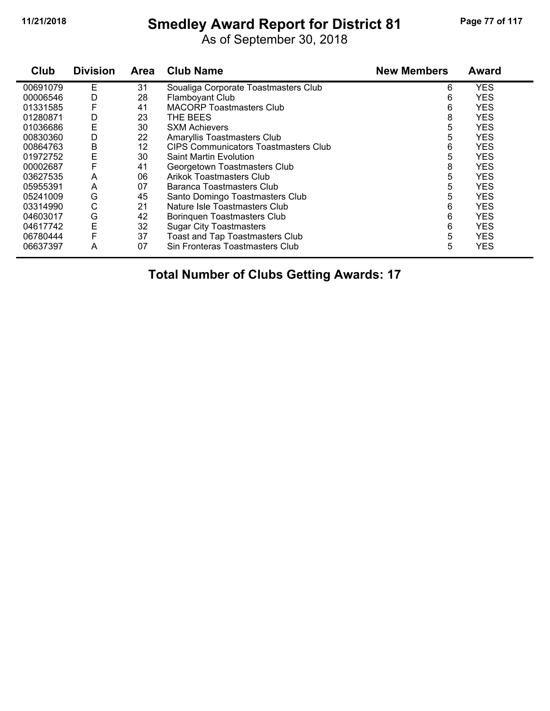# **11/21/2018 Smedley Award Report for District 81 Page 77 of 117**

As of September 30, 2018

| Club     | <b>Division</b> | Area | <b>Club Name</b>                            | <b>New Members</b> | <b>Award</b> |
|----------|-----------------|------|---------------------------------------------|--------------------|--------------|
| 00691079 | Ε               | 31   | Soualiga Corporate Toastmasters Club        | 6                  | <b>YES</b>   |
| 00006546 | D               | 28   | Flamboyant Club                             | 6                  | <b>YES</b>   |
| 01331585 | F               | 41   | <b>MACORP Toastmasters Club</b>             | 6                  | <b>YES</b>   |
| 01280871 | D               | 23   | THE BEES                                    | 8                  | <b>YES</b>   |
| 01036686 | E               | 30   | <b>SXM Achievers</b>                        | 5                  | <b>YES</b>   |
| 00830360 | D               | 22   | Amaryllis Toastmasters Club                 | 5                  | <b>YES</b>   |
| 00864763 | Β               | 12   | <b>CIPS Communicators Toastmasters Club</b> | 6                  | <b>YES</b>   |
| 01972752 | Ε               | 30   | <b>Saint Martin Evolution</b>               | 5                  | <b>YES</b>   |
| 00002687 | F               | 41   | Georgetown Toastmasters Club                | 8                  | <b>YES</b>   |
| 03627535 | A               | 06   | <b>Arikok Toastmasters Club</b>             | 5                  | <b>YES</b>   |
| 05955391 | A               | 07   | Baranca Toastmasters Club                   | 5                  | <b>YES</b>   |
| 05241009 | G               | 45   | Santo Domingo Toastmasters Club             | 5                  | <b>YES</b>   |
| 03314990 | C               | 21   | Nature Isle Toastmasters Club               | 6                  | <b>YES</b>   |
| 04603017 | G               | 42   | Boringuen Toastmasters Club                 | 6                  | <b>YES</b>   |
| 04617742 | E               | 32   | <b>Sugar City Toastmasters</b>              | 6                  | <b>YES</b>   |
| 06780444 | F               | 37   | <b>Toast and Tap Toastmasters Club</b>      | 5                  | <b>YES</b>   |
| 06637397 | A               | 07   | Sin Fronteras Toastmasters Club             | 5                  | <b>YES</b>   |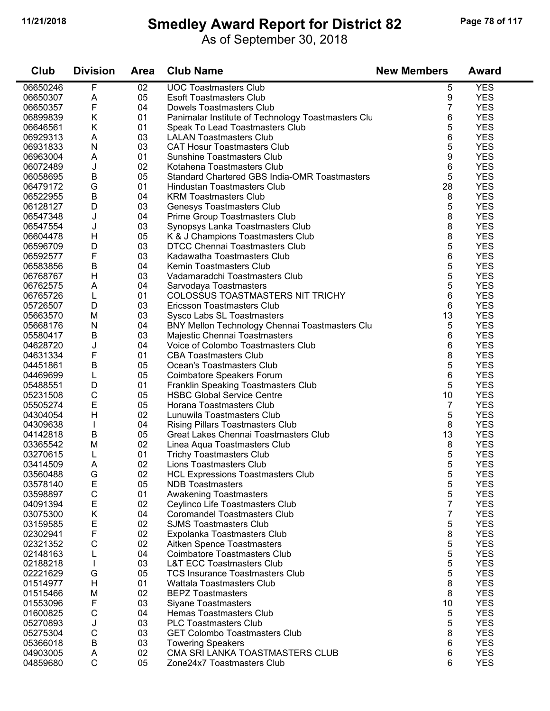$\blacksquare$ 

#### **11/21/2018 Smedley Award Report for District 82 Page 78 of 117**

As of September 30, 2018

| Club                 | <b>Division</b>   | <b>Area</b> | <b>Club Name</b>                                            | <b>New Members</b> | <b>Award</b>             |
|----------------------|-------------------|-------------|-------------------------------------------------------------|--------------------|--------------------------|
| 06650246             | F                 | 02          | <b>UOC Toastmasters Club</b>                                | 5                  | <b>YES</b>               |
| 06650307             | A                 | 05          | <b>Esoft Toastmasters Club</b>                              | 9                  | <b>YES</b>               |
| 06650357             | F                 | 04          | Dowels Toastmasters Club                                    | 7                  | <b>YES</b>               |
| 06899839             | Κ                 | 01          | Panimalar Institute of Technology Toastmasters Clu          | 6                  | <b>YES</b>               |
| 06646561             | Κ                 | 01          | Speak To Lead Toastmasters Club                             | 5                  | <b>YES</b>               |
| 06929313             | A                 | 03          | <b>LALAN Toastmasters Club</b>                              | 6                  | <b>YES</b>               |
| 06931833             | N                 | 03          | <b>CAT Hosur Toastmasters Club</b>                          | 5                  | <b>YES</b>               |
| 06963004             | A                 | 01          | <b>Sunshine Toastmasters Club</b>                           | 9                  | <b>YES</b>               |
| 06072489             | J                 | 02          | Kotahena Toastmasters Club                                  | 6                  | <b>YES</b>               |
| 06058695             | B                 | 05          | Standard Chartered GBS India-OMR Toastmasters               | 5                  | <b>YES</b>               |
| 06479172             | G                 | 01          | Hindustan Toastmasters Club                                 | 28                 | <b>YES</b>               |
| 06522955             | B                 | 04          | <b>KRM Toastmasters Club</b>                                | 8                  | <b>YES</b>               |
| 06128127             | D                 | 03          | Genesys Toastmasters Club                                   | 5                  | <b>YES</b>               |
| 06547348             | J                 | 04          | Prime Group Toastmasters Club                               | 8                  | <b>YES</b>               |
| 06547554             | J                 | 03          | Synopsys Lanka Toastmasters Club                            | 8                  | <b>YES</b>               |
| 06604478             | Н                 | 05          | K & J Champions Toastmasters Club                           | 8                  | <b>YES</b>               |
| 06596709             | D                 | 03          | <b>DTCC Chennai Toastmasters Club</b>                       | 5                  | <b>YES</b>               |
| 06592577             | F                 | 03          | Kadawatha Toastmasters Club                                 | 6                  | <b>YES</b>               |
| 06583856             | Β                 | 04          | Kemin Toastmasters Club                                     | 5                  | <b>YES</b>               |
| 06768767             | H                 | 03          | Vadamaradchi Toastmasters Club                              | 5                  | <b>YES</b>               |
| 06762575             | A                 | 04          | Sarvodaya Toastmasters                                      | 5                  | <b>YES</b>               |
| 06765726             | L                 | 01          | COLOSSUS TOASTMASTERS NIT TRICHY                            | 6                  | <b>YES</b>               |
| 05726507             | D                 | 03          | Ericsson Toastmasters Club                                  | 6                  | <b>YES</b>               |
| 05663570             | M                 | 03          | Sysco Labs SL Toastmasters                                  | 13                 | <b>YES</b>               |
| 05668176             | N                 | 04          | BNY Mellon Technology Chennai Toastmasters Clu              | 5                  | <b>YES</b>               |
| 05580417             | B                 | 03          | Majestic Chennai Toastmasters                               | 6                  | <b>YES</b>               |
| 04628720             | J                 | 04          | Voice of Colombo Toastmasters Club                          | 6                  | <b>YES</b>               |
| 04631334             | F                 | 01          | <b>CBA Toastmasters Club</b>                                | 8                  | <b>YES</b>               |
| 04451861             | $\mathsf B$       | 05          | Ocean's Toastmasters Club                                   | 5                  | <b>YES</b>               |
| 04469699             | L                 | 05          | Coimbatore Speakers Forum                                   | 6                  | <b>YES</b>               |
| 05488551             | D                 | 01          | Franklin Speaking Toastmasters Club                         | 5                  | <b>YES</b>               |
| 05231508             | $\mathsf{C}$      | 05          | <b>HSBC Global Service Centre</b>                           | 10                 | <b>YES</b>               |
| 05505274             | E                 | 05          | Horana Toastmasters Club                                    | 7                  | <b>YES</b>               |
| 04304054             | H                 | 02          | Lunuwila Toastmasters Club                                  | 5                  | <b>YES</b>               |
| 04309638             | T                 | 04          | <b>Rising Pillars Toastmasters Club</b>                     | 8                  | <b>YES</b>               |
| 04142818             | B                 | 05          | Great Lakes Chennai Toastmasters Club                       | 13                 | <b>YES</b>               |
| 03365542             | M                 | 02          | Linea Aqua Toastmasters Club                                | 8                  | <b>YES</b>               |
| 03270615             | L                 | 01          | <b>Trichy Toastmasters Club</b>                             | 5                  | <b>YES</b>               |
| 03414509             | Α                 | 02          | Lions Toastmasters Club                                     | 5                  | <b>YES</b>               |
| 03560488             | G                 | 02          | <b>HCL Expressions Toastmasters Club</b>                    | 5                  | <b>YES</b>               |
| 03578140             | Е                 | 05          | <b>NDB Toastmasters</b>                                     | 5                  | <b>YES</b>               |
| 03598897             | $\mathsf C$       | 01          | <b>Awakening Toastmasters</b>                               | 5                  | <b>YES</b>               |
| 04091394             | Ε                 | 02          | Ceylinco Life Toastmasters Club                             | 7                  | <b>YES</b>               |
| 03075300             | Κ                 | 04          | <b>Coromandel Toastmasters Club</b>                         | 7                  | <b>YES</b>               |
| 03159585             | Ε                 | 02          | <b>SJMS Toastmasters Club</b>                               | 5                  | <b>YES</b>               |
| 02302941             | F                 | 02          | Expolanka Toastmasters Club                                 | 8                  | <b>YES</b>               |
| 02321352             | $\mathsf{C}$      | 02          | Aitken Spence Toastmasters                                  | 5                  | <b>YES</b>               |
| 02148163             | L                 | 04          | <b>Coimbatore Toastmasters Club</b>                         | 5                  | <b>YES</b>               |
| 02188218             |                   | 03          | <b>L&amp;T ECC Toastmasters Club</b>                        | 5                  | <b>YES</b>               |
| 02221629             | G                 | 05          | <b>TCS Insurance Toastmasters Club</b>                      | 5                  | <b>YES</b>               |
| 01514977             | H                 | 01          | Wattala Toastmasters Club                                   | 8                  | <b>YES</b>               |
| 01515466             | M                 | 02          | <b>BEPZ Toastmasters</b>                                    | 8                  | <b>YES</b>               |
| 01553096             | F                 | 03          | <b>Siyane Toastmasters</b>                                  | 10                 | <b>YES</b>               |
| 01600825             | $\mathsf C$       | 04          | Hemas Toastmasters Club                                     | 5                  | <b>YES</b>               |
| 05270893             | J                 | 03          | <b>PLC Toastmasters Club</b>                                | 5                  | <b>YES</b>               |
| 05275304             | C                 | 03          | <b>GET Colombo Toastmasters Club</b>                        | 8                  | <b>YES</b><br><b>YES</b> |
| 05366018             | B                 | 03<br>02    | <b>Towering Speakers</b><br>CMA SRI LANKA TOASTMASTERS CLUB | 6                  | <b>YES</b>               |
| 04903005<br>04859680 | A<br>$\mathsf{C}$ | 05          | Zone24x7 Toastmasters Club                                  | 6<br>6             | <b>YES</b>               |
|                      |                   |             |                                                             |                    |                          |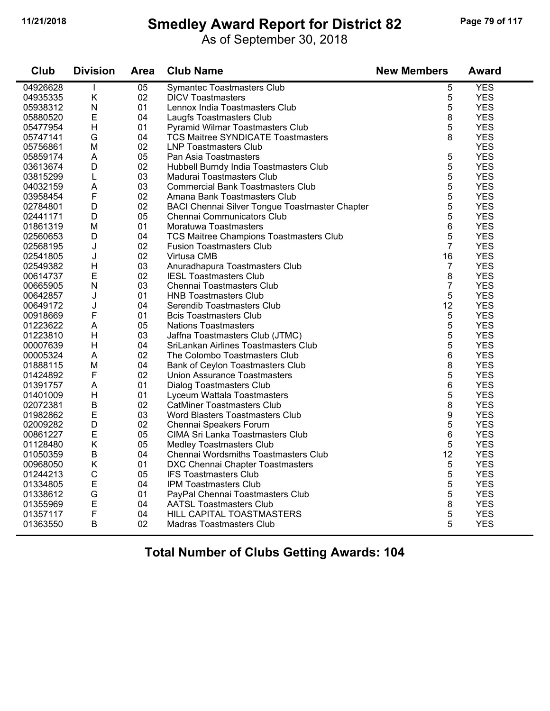# **11/21/2018 Smedley Award Report for District 82 Page 79 of 117**

As of September 30, 2018

| Club     | <b>Division</b> | Area | <b>Club Name</b>                                      | <b>New Members</b> | <b>Award</b> |
|----------|-----------------|------|-------------------------------------------------------|--------------------|--------------|
| 04926628 | $\mathbf{I}$    | 05   | Symantec Toastmasters Club                            | 5                  | <b>YES</b>   |
| 04935335 | Κ               | 02   | <b>DICV Toastmasters</b>                              | 5                  | <b>YES</b>   |
| 05938312 | N               | 01   | Lennox India Toastmasters Club                        | 5                  | <b>YES</b>   |
| 05880520 | E               | 04   | Laugfs Toastmasters Club                              | 8                  | <b>YES</b>   |
| 05477954 | H               | 01   | Pyramid Wilmar Toastmasters Club                      | 5                  | <b>YES</b>   |
| 05747141 | G               | 04   | <b>TCS Maitree SYNDICATE Toastmasters</b>             | 8                  | <b>YES</b>   |
| 05756861 | M               | 02   | <b>LNP Toastmasters Club</b>                          |                    | <b>YES</b>   |
| 05859174 | $\mathsf A$     | 05   | Pan Asia Toastmasters                                 | 5                  | <b>YES</b>   |
| 03613674 | D               | 02   | Hubbell Burndy India Toastmasters Club                | 5                  | <b>YES</b>   |
| 03815299 | L               | 03   | Madurai Toastmasters Club                             | 5                  | <b>YES</b>   |
| 04032159 | A               | 03   | <b>Commercial Bank Toastmasters Club</b>              | 5                  | <b>YES</b>   |
| 03958454 | $\mathsf F$     | 02   | Amana Bank Toastmasters Club                          | 5                  | <b>YES</b>   |
| 02784801 | D               | 02   | <b>BACI Chennai Silver Tongue Toastmaster Chapter</b> | 5                  | <b>YES</b>   |
| 02441171 | D               | 05   | Chennai Communicators Club                            | 5                  | <b>YES</b>   |
| 01861319 | M               | 01   | Moratuwa Toastmasters                                 | 6                  | <b>YES</b>   |
| 02560653 | D               | 04   | TCS Maitree Champions Toastmasters Club               | 5                  | <b>YES</b>   |
| 02568195 | J               | 02   | <b>Fusion Toastmasters Club</b>                       | $\overline{7}$     | <b>YES</b>   |
| 02541805 | J               | 02   | Virtusa CMB                                           | 16                 | <b>YES</b>   |
| 02549382 | H               | 03   | Anuradhapura Toastmasters Club                        | 7                  | <b>YES</b>   |
| 00614737 | E               | 02   | <b>IESL Toastmasters Club</b>                         | 8                  | <b>YES</b>   |
| 00665905 | N               | 03   | Chennai Toastmasters Club                             | 7                  | <b>YES</b>   |
| 00642857 | J               | 01   | <b>HNB Toastmasters Club</b>                          | 5                  | <b>YES</b>   |
| 00649172 | J               | 04   | Serendib Toastmasters Club                            | 12                 | <b>YES</b>   |
| 00918669 | F               | 01   | <b>Bcis Toastmasters Club</b>                         | 5                  | <b>YES</b>   |
| 01223622 | $\mathsf A$     | 05   | <b>Nations Toastmasters</b>                           | 5                  | <b>YES</b>   |
| 01223810 | Н               | 03   | Jaffna Toastmasters Club (JTMC)                       | 5                  | <b>YES</b>   |
| 00007639 | H               | 04   | SriLankan Airlines Toastmasters Club                  | 5                  | <b>YES</b>   |
| 00005324 | A               | 02   | The Colombo Toastmasters Club                         | 6                  | <b>YES</b>   |
| 01888115 | M               | 04   | Bank of Ceylon Toastmasters Club                      | 8                  | <b>YES</b>   |
| 01424892 | F               | 02   | <b>Union Assurance Toastmasters</b>                   | 5                  | <b>YES</b>   |
| 01391757 | A               | 01   | Dialog Toastmasters Club                              | 6                  | <b>YES</b>   |
| 01401009 | $\mathsf{H}$    | 01   | Lyceum Wattala Toastmasters                           | 5                  | <b>YES</b>   |
| 02072381 | $\sf B$         | 02   | <b>CatMiner Toastmasters Club</b>                     | 8                  | <b>YES</b>   |
| 01982862 | E               | 03   | Word Blasters Toastmasters Club                       | 9                  | <b>YES</b>   |
| 02009282 | D               | 02   | Chennai Speakers Forum                                | 5                  | <b>YES</b>   |
| 00861227 | E               | 05   | CIMA Sri Lanka Toastmasters Club                      | 6                  | <b>YES</b>   |
| 01128480 | Κ               | 05   | <b>Medley Toastmasters Club</b>                       | 5                  | <b>YES</b>   |
| 01050359 | $\mathsf B$     | 04   | Chennai Wordsmiths Toastmasters Club                  | 12                 | <b>YES</b>   |
| 00968050 | Κ               | 01   | DXC Chennai Chapter Toastmasters                      | 5                  | <b>YES</b>   |
| 01244213 | $\mathsf C$     | 05   | <b>IFS Toastmasters Club</b>                          | 5                  | <b>YES</b>   |
| 01334805 | E               | 04   | <b>IPM Toastmasters Club</b>                          | 5                  | <b>YES</b>   |
| 01338612 | G               | 01   | PayPal Chennai Toastmasters Club                      | 5                  | <b>YES</b>   |
| 01355969 | E               | 04   | <b>AATSL Toastmasters Club</b>                        | 8                  | <b>YES</b>   |
| 01357117 | F               | 04   | HILL CAPITAL TOASTMASTERS                             | 5                  | <b>YES</b>   |
| 01363550 | $\mathsf B$     | 02   | <b>Madras Toastmasters Club</b>                       | 5                  | <b>YES</b>   |
|          |                 |      |                                                       |                    |              |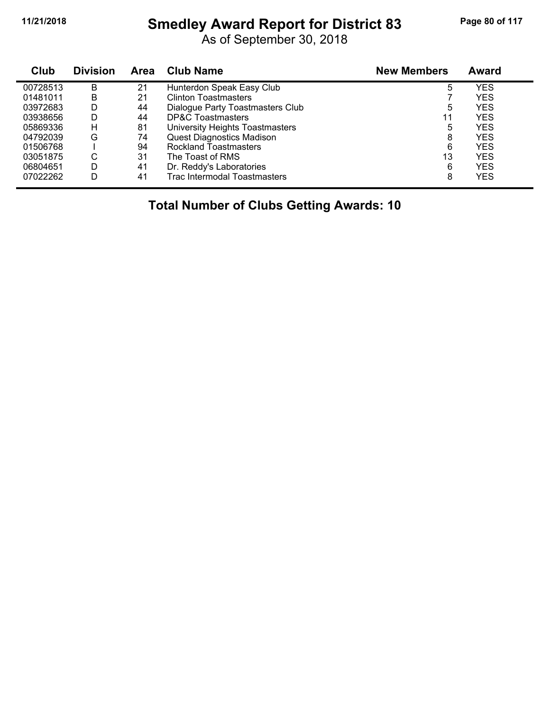#### **11/21/2018 Smedley Award Report for District 83 Page 80 of 117**

As of September 30, 2018

| <b>Club</b> | <b>Division</b> | <b>Area</b> | <b>Club Name</b>                    | <b>New Members</b> | Award |  |
|-------------|-----------------|-------------|-------------------------------------|--------------------|-------|--|
| 00728513    | B               | 21          | Hunterdon Speak Easy Club           | 5                  | YES   |  |
| 01481011    | B               | 21          | <b>Clinton Toastmasters</b>         |                    | YES   |  |
| 03972683    | D               | 44          | Dialogue Party Toastmasters Club    | 5                  | YES   |  |
| 03938656    | D               | 44          | <b>DP&amp;C Toastmasters</b>        | 11                 | YES   |  |
| 05869336    | н               | 81          | University Heights Toastmasters     | 5                  | YES   |  |
| 04792039    | G               | 74          | <b>Quest Diagnostics Madison</b>    | 8                  | YES   |  |
| 01506768    |                 | 94          | <b>Rockland Toastmasters</b>        | 6                  | YES   |  |
| 03051875    | С               | 31          | The Toast of RMS                    | 13                 | YES   |  |
| 06804651    | D               | 41          | Dr. Reddy's Laboratories            | 6                  | YES   |  |
| 07022262    | D               | 41          | <b>Trac Intermodal Toastmasters</b> | 8                  | YES   |  |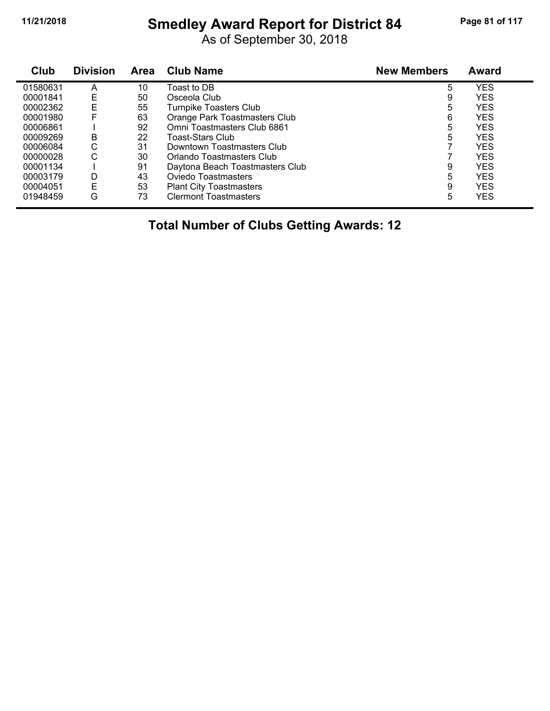# **11/21/2018 Smedley Award Report for District 84 Page 81 of 117**

As of September 30, 2018

| Club     | <b>Division</b> | <b>Area</b> | <b>Club Name</b>                | <b>New Members</b> | <b>Award</b> |
|----------|-----------------|-------------|---------------------------------|--------------------|--------------|
| 01580631 | A               | 10          | Toast to DB                     | 5                  | <b>YES</b>   |
| 00001841 | E               | 50          | Osceola Club                    | 9                  | <b>YES</b>   |
| 00002362 | E               | 55          | Turnpike Toasters Club          | 5                  | <b>YES</b>   |
| 00001980 | F               | 63          | Orange Park Toastmasters Club   | 6                  | <b>YES</b>   |
| 00006861 |                 | 92          | Omni Toastmasters Club 6861     | 5                  | <b>YES</b>   |
| 00009269 | B               | 22          | Toast-Stars Club                | 5                  | <b>YES</b>   |
| 00006084 | С               | 31          | Downtown Toastmasters Club      |                    | <b>YES</b>   |
| 00000028 | С               | 30          | Orlando Toastmasters Club       |                    | YES          |
| 00001134 |                 | 91          | Daytona Beach Toastmasters Club | 9                  | <b>YES</b>   |
| 00003179 | D               | 43          | Oviedo Toastmasters             | 5                  | <b>YES</b>   |
| 00004051 | E               | 53          | <b>Plant City Toastmasters</b>  | 9                  | <b>YES</b>   |
| 01948459 | G               | 73          | <b>Clermont Toastmasters</b>    | 5                  | YES          |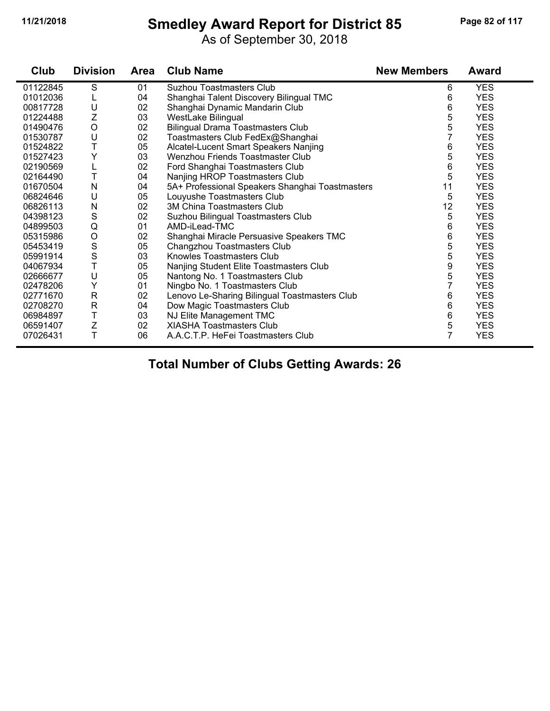# **11/21/2018 Smedley Award Report for District 85 Page 82 of 117**

As of September 30, 2018

| Club     | <b>Division</b> | <b>Area</b> | <b>Club Name</b>                                | <b>New Members</b> | <b>Award</b> |
|----------|-----------------|-------------|-------------------------------------------------|--------------------|--------------|
| 01122845 | S               | 01          | <b>Suzhou Toastmasters Club</b>                 | 6                  | <b>YES</b>   |
| 01012036 | L               | 04          | Shanghai Talent Discovery Bilingual TMC         | 6                  | <b>YES</b>   |
| 00817728 | U               | 02          | Shanghai Dynamic Mandarin Club                  | 6                  | <b>YES</b>   |
| 01224488 | Z               | 03          | WestLake Bilingual                              | 5                  | <b>YES</b>   |
| 01490476 | $\circ$         | 02          | <b>Bilingual Drama Toastmasters Club</b>        | 5                  | <b>YES</b>   |
| 01530787 | U               | 02          | Toastmasters Club FedEx@Shanghai                | 7                  | <b>YES</b>   |
| 01524822 | Т               | 05          | Alcatel-Lucent Smart Speakers Nanjing           | 6                  | <b>YES</b>   |
| 01527423 | Y               | 03          | Wenzhou Friends Toastmaster Club                | 5                  | <b>YES</b>   |
| 02190569 |                 | 02          | Ford Shanghai Toastmasters Club                 | 6                  | <b>YES</b>   |
| 02164490 | T               | 04          | Nanjing HROP Toastmasters Club                  | 5                  | <b>YES</b>   |
| 01670504 | N               | 04          | 5A+ Professional Speakers Shanghai Toastmasters | 11                 | <b>YES</b>   |
| 06824646 | U               | 05          | Louyushe Toastmasters Club                      | 5                  | <b>YES</b>   |
| 06826113 | N               | 02          | <b>3M China Toastmasters Club</b>               | 12                 | <b>YES</b>   |
| 04398123 | S               | 02          | Suzhou Bilingual Toastmasters Club              | 5                  | <b>YES</b>   |
| 04899503 | $\mathsf Q$     | 01          | AMD-iLead-TMC                                   | 6                  | <b>YES</b>   |
| 05315986 | $\circ$         | 02          | Shanghai Miracle Persuasive Speakers TMC        | 6                  | <b>YES</b>   |
| 05453419 | S               | 05          | Changzhou Toastmasters Club                     | 5                  | <b>YES</b>   |
| 05991914 | $\mathbf S$     | 03          | Knowles Toastmasters Club                       | 5                  | <b>YES</b>   |
| 04067934 | T               | 05          | Nanjing Student Elite Toastmasters Club         | 9                  | <b>YES</b>   |
| 02666677 | U               | 05          | Nantong No. 1 Toastmasters Club                 | 5                  | <b>YES</b>   |
| 02478206 | Υ               | 01          | Ningbo No. 1 Toastmasters Club                  |                    | <b>YES</b>   |
| 02771670 | ${\sf R}$       | 02          | Lenovo Le-Sharing Bilingual Toastmasters Club   | 6                  | <b>YES</b>   |
| 02708270 | $\mathsf{R}$    | 04          | Dow Magic Toastmasters Club                     | 6                  | <b>YES</b>   |
| 06984897 | Τ               | 03          | NJ Elite Management TMC                         | 6                  | <b>YES</b>   |
| 06591407 | Z               | 02          | <b>XIASHA Toastmasters Club</b>                 | 5                  | <b>YES</b>   |
| 07026431 | T               | 06          | A.A.C.T.P. HeFei Toastmasters Club              | 7                  | <b>YES</b>   |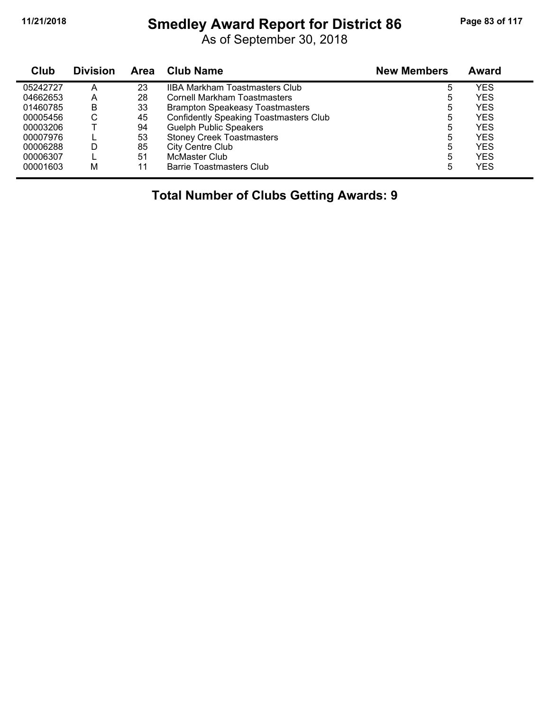# **11/21/2018 Smedley Award Report for District 86 Page 83 of 117**

As of September 30, 2018

| Club     | <b>Division</b> | Area | <b>Club Name</b>                              | <b>New Members</b> | <b>Award</b> |
|----------|-----------------|------|-----------------------------------------------|--------------------|--------------|
| 05242727 | А               | 23   | <b>IIBA Markham Toastmasters Club</b>         | 5                  | YES          |
| 04662653 | A               | 28   | Cornell Markham Toastmasters                  | 5                  | YES          |
| 01460785 | B               | 33   | <b>Brampton Speakeasy Toastmasters</b>        | 5                  | YES          |
| 00005456 | С               | 45   | <b>Confidently Speaking Toastmasters Club</b> | 5                  | YES          |
| 00003206 |                 | 94   | <b>Guelph Public Speakers</b>                 | 5                  | YES          |
| 00007976 |                 | 53   | <b>Stoney Creek Toastmasters</b>              | 5                  | YES          |
| 00006288 | D               | 85   | City Centre Club                              | 5                  | YES          |
| 00006307 |                 | 51   | McMaster Club                                 | 5                  | YES          |
| 00001603 | М               | 11   | Barrie Toastmasters Club                      | 5                  | YES          |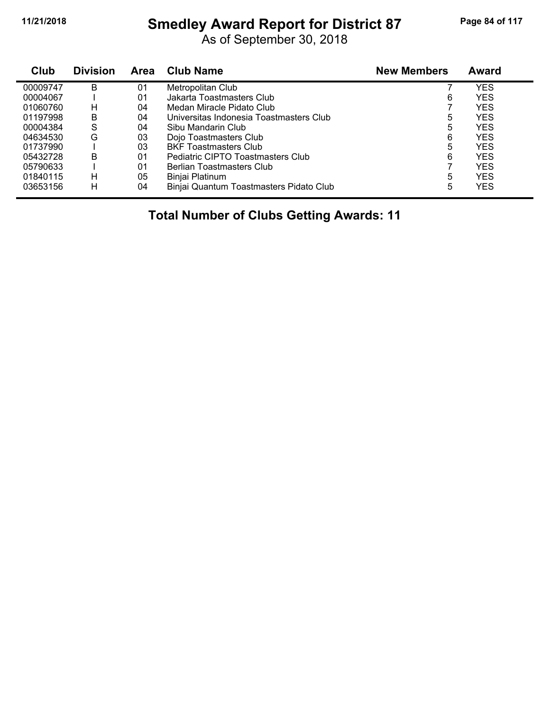# **11/21/2018 Smedley Award Report for District 87 Page 84 of 117**

As of September 30, 2018

| Club     | <b>Division</b> | Area | <b>Club Name</b>                        | <b>New Members</b> | <b>Award</b> |
|----------|-----------------|------|-----------------------------------------|--------------------|--------------|
| 00009747 | B               | 01   | Metropolitan Club                       |                    | YES          |
| 00004067 |                 | 01   | Jakarta Toastmasters Club               | 6                  | <b>YES</b>   |
| 01060760 | н               | 04   | Medan Miracle Pidato Club               |                    | <b>YES</b>   |
| 01197998 | B               | 04   | Universitas Indonesia Toastmasters Club | 5                  | <b>YES</b>   |
| 00004384 | S               | 04   | Sibu Mandarin Club                      | 5                  | <b>YES</b>   |
| 04634530 | G               | 03   | Dojo Toastmasters Club                  | 6                  | <b>YES</b>   |
| 01737990 |                 | 03   | <b>BKF Toastmasters Club</b>            | 5                  | <b>YES</b>   |
| 05432728 | в               | 01   | Pediatric CIPTO Toastmasters Club       | 6                  | <b>YES</b>   |
| 05790633 |                 | 01   | Berlian Toastmasters Club               |                    | <b>YES</b>   |
| 01840115 | н               | 05   | Binjai Platinum                         | 5                  | <b>YES</b>   |
| 03653156 | н               | 04   | Binjai Quantum Toastmasters Pidato Club | 5                  | <b>YES</b>   |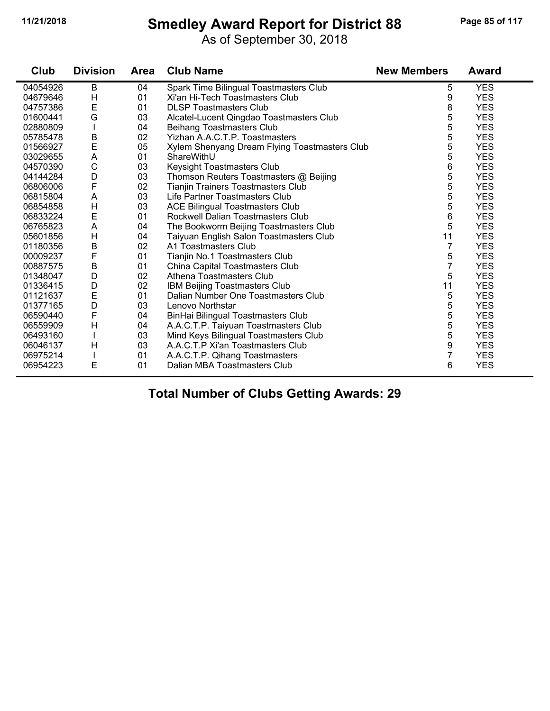#### **11/21/2018 Smedley Award Report for District 88 Page 85 of 117**

As of September 30, 2018

| Club     | <b>Division</b> | <b>Area</b> | <b>Club Name</b>                              | <b>New Members</b> | <b>Award</b> |
|----------|-----------------|-------------|-----------------------------------------------|--------------------|--------------|
| 04054926 | B               | 04          | Spark Time Bilingual Toastmasters Club        | 5                  | <b>YES</b>   |
| 04679646 | H               | 01          | Xi'an Hi-Tech Toastmasters Club               | 9                  | <b>YES</b>   |
| 04757386 | E               | 01          | <b>DLSP Toastmasters Club</b>                 | 8                  | <b>YES</b>   |
| 01600441 | G               | 03          | Alcatel-Lucent Qingdao Toastmasters Club      | 5                  | <b>YES</b>   |
| 02880809 |                 | 04          | Beihang Toastmasters Club                     | 5                  | <b>YES</b>   |
| 05785478 | B               | 02          | Yizhan A.A.C.T.P. Toastmasters                | 5                  | <b>YES</b>   |
| 01566927 | E               | 05          | Xylem Shenyang Dream Flying Toastmasters Club | 5                  | <b>YES</b>   |
| 03029655 | A               | 01          | ShareWithU                                    | 5                  | <b>YES</b>   |
| 04570390 | $\mathsf{C}$    | 03          | Keysight Toastmasters Club                    | 6                  | <b>YES</b>   |
| 04144284 | D               | 03          | Thomson Reuters Toastmasters @ Beijing        | 5                  | <b>YES</b>   |
| 06806006 | $\mathsf F$     | 02          | Tianjin Trainers Toastmasters Club            | 5                  | <b>YES</b>   |
| 06815804 | A               | 03          | Life Partner Toastmasters Club                | 5                  | <b>YES</b>   |
| 06854858 | Н               | 03          | <b>ACE Bilingual Toastmasters Club</b>        | 5                  | <b>YES</b>   |
| 06833224 | E               | 01          | Rockwell Dalian Toastmasters Club             | 6                  | <b>YES</b>   |
| 06765823 | A               | 04          | The Bookworm Beijing Toastmasters Club        | 5                  | <b>YES</b>   |
| 05601856 | $\mathsf{H}$    | 04          | Taiyuan English Salon Toastmasters Club       | 11                 | <b>YES</b>   |
| 01180356 | $\sf B$         | 02          | A1 Toastmasters Club                          | $\overline{7}$     | <b>YES</b>   |
| 00009237 | F               | 01          | Tianjin No.1 Toastmasters Club                | 5                  | <b>YES</b>   |
| 00887575 | B               | 01          | China Capital Toastmasters Club               | 7                  | <b>YES</b>   |
| 01348047 | D               | 02          | Athena Toastmasters Club                      | 5                  | <b>YES</b>   |
| 01336415 | D               | 02          | <b>IBM Beijing Toastmasters Club</b>          | 11                 | <b>YES</b>   |
| 01121637 | E               | 01          | Dalian Number One Toastmasters Club           | 5                  | <b>YES</b>   |
| 01377165 | D               | 03          | Lenovo Northstar                              | 5                  | <b>YES</b>   |
| 06590440 | $\mathsf{F}$    | 04          | BinHai Bilingual Toastmasters Club            | 5                  | <b>YES</b>   |
| 06559909 | H               | 04          | A.A.C.T.P. Taiyuan Toastmasters Club          | 5                  | <b>YES</b>   |
| 06493160 |                 | 03          | Mind Keys Bilingual Toastmasters Club         | 5                  | <b>YES</b>   |
| 06046137 | H               | 03          | A.A.C.T.P Xi'an Toastmasters Club             | 9                  | <b>YES</b>   |
| 06975214 |                 | 01          | A.A.C.T.P. Qihang Toastmasters                | 7                  | <b>YES</b>   |
| 06954223 | E               | 01          | Dalian MBA Toastmasters Club                  | 6                  | <b>YES</b>   |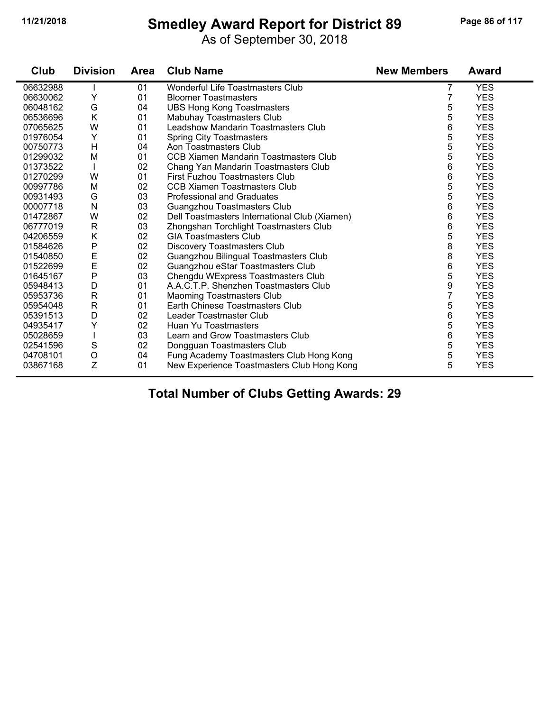#### **11/21/2018 Smedley Award Report for District 89 Page 86 of 117**

As of September 30, 2018

| Club     | <b>Division</b> | Area | <b>Club Name</b>                              | <b>New Members</b> | <b>Award</b> |
|----------|-----------------|------|-----------------------------------------------|--------------------|--------------|
| 06632988 |                 | 01   | Wonderful Life Toastmasters Club              | 7                  | <b>YES</b>   |
| 06630062 | Υ               | 01   | <b>Bloomer Toastmasters</b>                   | 7                  | <b>YES</b>   |
| 06048162 | G               | 04   | <b>UBS Hong Kong Toastmasters</b>             | 5                  | <b>YES</b>   |
| 06536696 | K               | 01   | Mabuhay Toastmasters Club                     | 5                  | <b>YES</b>   |
| 07065625 | W               | 01   | Leadshow Mandarin Toastmasters Club           | 6                  | <b>YES</b>   |
| 01976054 | Υ               | 01   | <b>Spring City Toastmasters</b>               | 5                  | <b>YES</b>   |
| 00750773 | $\mathsf{H}$    | 04   | Aon Toastmasters Club                         | 5                  | <b>YES</b>   |
| 01299032 | M               | 01   | <b>CCB Xiamen Mandarin Toastmasters Club</b>  | 5                  | <b>YES</b>   |
| 01373522 |                 | 02   | Chang Yan Mandarin Toastmasters Club          | 6                  | <b>YES</b>   |
| 01270299 | W               | 01   | First Fuzhou Toastmasters Club                | 6                  | <b>YES</b>   |
| 00997786 | M               | 02   | <b>CCB Xiamen Toastmasters Club</b>           | 5                  | <b>YES</b>   |
| 00931493 | G               | 03   | <b>Professional and Graduates</b>             | 5                  | <b>YES</b>   |
| 00007718 | N               | 03   | Guangzhou Toastmasters Club                   | 6                  | <b>YES</b>   |
| 01472867 | W               | 02   | Dell Toastmasters International Club (Xiamen) | 6                  | <b>YES</b>   |
| 06777019 | $\mathsf{R}$    | 03   | Zhongshan Torchlight Toastmasters Club        | 6                  | <b>YES</b>   |
| 04206559 | Κ               | 02   | <b>GIA Toastmasters Club</b>                  | 5                  | <b>YES</b>   |
| 01584626 | P               | 02   | <b>Discovery Toastmasters Club</b>            | 8                  | <b>YES</b>   |
| 01540850 | E<br>E          | 02   | Guangzhou Bilingual Toastmasters Club         | 8                  | <b>YES</b>   |
| 01522699 |                 | 02   | Guangzhou eStar Toastmasters Club             | 6                  | <b>YES</b>   |
| 01645167 | P               | 03   | Chengdu WExpress Toastmasters Club            | 5                  | <b>YES</b>   |
| 05948413 | D               | 01   | A.A.C.T.P. Shenzhen Toastmasters Club         | 9                  | <b>YES</b>   |
| 05953736 | $\mathsf{R}$    | 01   | <b>Maoming Toastmasters Club</b>              | $\overline{7}$     | <b>YES</b>   |
| 05954048 | $\mathsf{R}$    | 01   | Earth Chinese Toastmasters Club               | 5                  | <b>YES</b>   |
| 05391513 | D               | 02   | Leader Toastmaster Club                       | 6                  | <b>YES</b>   |
| 04935417 | Υ               | 02   | Huan Yu Toastmasters                          | 5                  | <b>YES</b>   |
| 05028659 |                 | 03   | Learn and Grow Toastmasters Club              | 6                  | <b>YES</b>   |
| 02541596 | S               | 02   | Dongguan Toastmasters Club                    | 5                  | <b>YES</b>   |
| 04708101 | $\circ$         | 04   | Fung Academy Toastmasters Club Hong Kong      | 5                  | <b>YES</b>   |
| 03867168 | Z               | 01   | New Experience Toastmasters Club Hong Kong    | 5                  | <b>YES</b>   |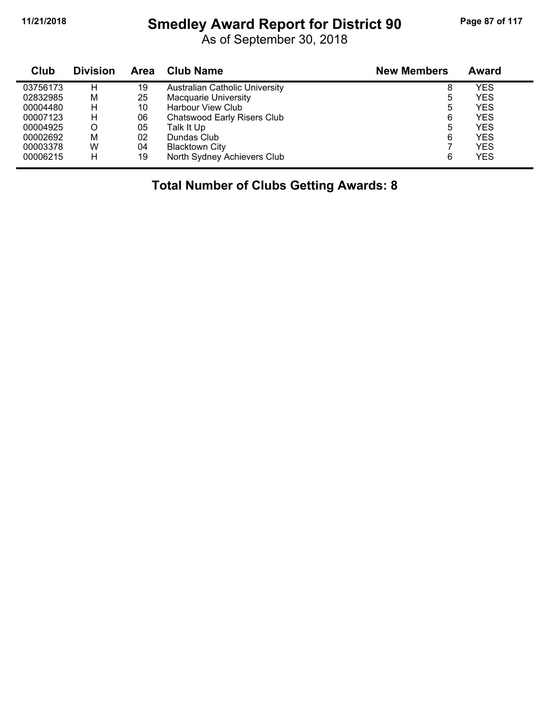#### **11/21/2018 Smedley Award Report for District 90 Page 87 of 117**

As of September 30, 2018

| Club     | <b>Division</b> | Area | <b>Club Name</b>                      | <b>New Members</b> | Award      |
|----------|-----------------|------|---------------------------------------|--------------------|------------|
| 03756173 | н               | 19   | <b>Australian Catholic University</b> | 8                  | <b>YES</b> |
| 02832985 | M               | 25   | <b>Macquarie University</b>           | 5                  | <b>YES</b> |
| 00004480 | н               | 10   | Harbour View Club                     | 5                  | <b>YES</b> |
| 00007123 | н               | 06   | Chatswood Early Risers Club           | 6                  | <b>YES</b> |
| 00004925 | O               | 05   | Talk It Up                            | 5                  | <b>YES</b> |
| 00002692 | М               | 02   | Dundas Club                           | 6                  | <b>YES</b> |
| 00003378 | W               | 04   | <b>Blacktown City</b>                 |                    | <b>YES</b> |
| 00006215 | H               | 19   | North Sydney Achievers Club           | 6                  | <b>YES</b> |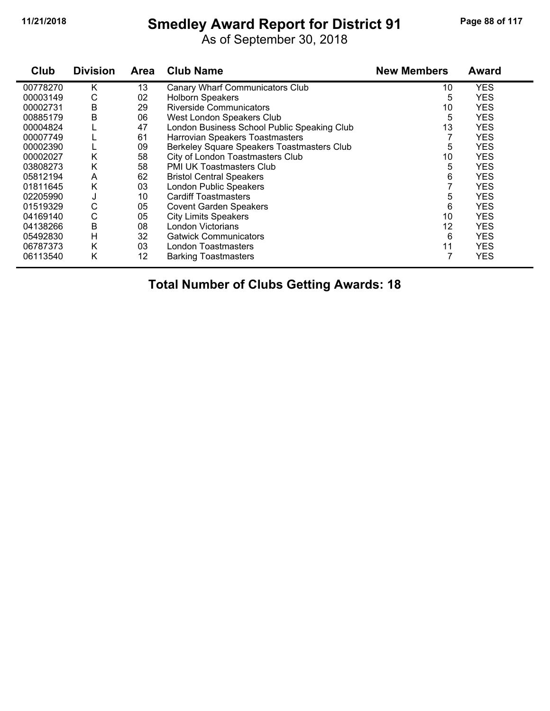#### **11/21/2018 Smedley Award Report for District 91 Page 88 of 117**

As of September 30, 2018

| Club     | <b>Division</b> | <b>Area</b> | <b>Club Name</b>                            | <b>New Members</b> | <b>Award</b> |
|----------|-----------------|-------------|---------------------------------------------|--------------------|--------------|
| 00778270 | K               | 13          | Canary Wharf Communicators Club             | 10                 | <b>YES</b>   |
| 00003149 | С               | 02          | <b>Holborn Speakers</b>                     | 5                  | <b>YES</b>   |
| 00002731 | В               | 29          | <b>Riverside Communicators</b>              | 10                 | <b>YES</b>   |
| 00885179 | Β               | 06          | West London Speakers Club                   | 5                  | <b>YES</b>   |
| 00004824 |                 | 47          | London Business School Public Speaking Club | 13                 | <b>YES</b>   |
| 00007749 |                 | 61          | Harrovian Speakers Toastmasters             |                    | <b>YES</b>   |
| 00002390 |                 | 09          | Berkeley Square Speakers Toastmasters Club  | 5                  | <b>YES</b>   |
| 00002027 | K               | 58          | City of London Toastmasters Club            | 10                 | <b>YES</b>   |
| 03808273 | Κ               | 58          | PMI UK Toastmasters Club                    | 5                  | <b>YES</b>   |
| 05812194 | A               | 62          | <b>Bristol Central Speakers</b>             | 6                  | <b>YES</b>   |
| 01811645 | Κ               | 03          | <b>London Public Speakers</b>               |                    | <b>YES</b>   |
| 02205990 | J               | 10          | <b>Cardiff Toastmasters</b>                 | 5                  | <b>YES</b>   |
| 01519329 | $\mathsf C$     | 05          | <b>Covent Garden Speakers</b>               | 6                  | <b>YES</b>   |
| 04169140 | С               | 05          | <b>City Limits Speakers</b>                 | 10                 | <b>YES</b>   |
| 04138266 | Β               | 08          | London Victorians                           | 12                 | <b>YES</b>   |
| 05492830 | H               | 32          | <b>Gatwick Communicators</b>                | 6                  | <b>YES</b>   |
| 06787373 | K               | 03          | London Toastmasters                         | 11                 | <b>YES</b>   |
| 06113540 | Κ               | 12          | <b>Barking Toastmasters</b>                 | 7                  | <b>YES</b>   |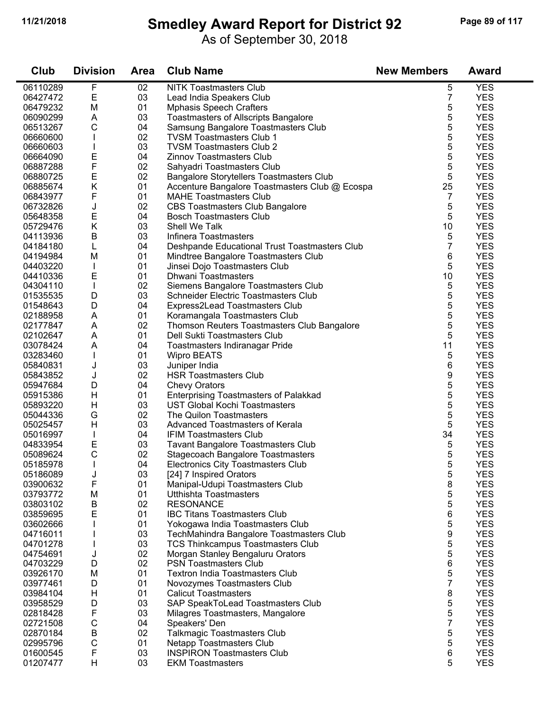$\blacksquare$ 

#### **11/21/2018 Smedley Award Report for District 92 Page 89 of 117**

As of September 30, 2018

| Club                 | <b>Division</b> | <b>Area</b> | <b>Club Name</b>                                                             | <b>New Members</b> | <b>Award</b>             |
|----------------------|-----------------|-------------|------------------------------------------------------------------------------|--------------------|--------------------------|
| 06110289             | F               | 02          | <b>NITK Toastmasters Club</b>                                                | 5                  | <b>YES</b>               |
| 06427472             | E               | 03          | Lead India Speakers Club                                                     | 7                  | <b>YES</b>               |
| 06479232             | M               | 01          | <b>Mphasis Speech Crafters</b>                                               | 5                  | <b>YES</b>               |
| 06090299             | Α               | 03          | <b>Toastmasters of Allscripts Bangalore</b>                                  | 5                  | <b>YES</b>               |
| 06513267             | C               | 04          | Samsung Bangalore Toastmasters Club                                          | 5                  | <b>YES</b>               |
| 06660600             |                 | 02          | <b>TVSM Toastmasters Club 1</b>                                              | 5                  | <b>YES</b>               |
| 06660603             |                 | 03          | <b>TVSM Toastmasters Club 2</b>                                              | 5                  | <b>YES</b>               |
| 06664090             | Е               | 04          | <b>Zinnov Toastmasters Club</b>                                              | 5                  | <b>YES</b>               |
| 06887288             | $\mathsf F$     | 02          | Sahyadri Toastmasters Club                                                   | 5                  | <b>YES</b>               |
| 06880725             | $\mathsf E$     | 02          | <b>Bangalore Storytellers Toastmasters Club</b>                              | 5                  | <b>YES</b>               |
| 06885674             | Κ               | 01          | Accenture Bangalore Toastmasters Club @ Ecospa                               | 25                 | <b>YES</b>               |
| 06843977             | F               | 01          | <b>MAHE Toastmasters Club</b>                                                | 7                  | <b>YES</b>               |
| 06732826             | J               | 02          | <b>CBS Toastmasters Club Bangalore</b>                                       | 5                  | <b>YES</b>               |
| 05648358             | E               | 04          | <b>Bosch Toastmasters Club</b>                                               | 5                  | <b>YES</b>               |
| 05729476             | Κ               | 03          | Shell We Talk                                                                | 10                 | <b>YES</b>               |
| 04113936             | B               | 03          | Infinera Toastmasters                                                        | 5                  | <b>YES</b>               |
| 04184180             | L               | 04          | Deshpande Educational Trust Toastmasters Club                                | 7                  | <b>YES</b>               |
| 04194984             | M               | 01          | Mindtree Bangalore Toastmasters Club                                         | 6                  | <b>YES</b>               |
| 04403220             |                 | 01          | Jinsei Dojo Toastmasters Club                                                | 5                  | <b>YES</b>               |
| 04410336             | E               | 01          | Dhwani Toastmasters                                                          | 10                 | <b>YES</b>               |
| 04304110             | $\mathbf{I}$    | 02          | Siemens Bangalore Toastmasters Club                                          | 5                  | <b>YES</b>               |
| 01535535             | D               | 03          | Schneider Electric Toastmasters Club                                         | 5                  | <b>YES</b>               |
| 01548643             | D               | 04          | Express2Lead Toastmasters Club                                               | 5                  | <b>YES</b>               |
| 02188958             | Α               | 01          | Koramangala Toastmasters Club                                                | 5                  | <b>YES</b>               |
| 02177847             | A               | 02          | Thomson Reuters Toastmasters Club Bangalore                                  | 5                  | <b>YES</b>               |
| 02102647             | A               | 01          | Dell Sukti Toastmasters Club                                                 | 5                  | <b>YES</b>               |
| 03078424             | A               | 04          | Toastmasters Indiranagar Pride                                               | 11                 | <b>YES</b>               |
| 03283460             | $\mathbf{I}$    | 01          | <b>Wipro BEATS</b>                                                           | 5                  | <b>YES</b>               |
| 05840831             | J               | 03          | Juniper India                                                                | 6                  | <b>YES</b>               |
| 05843852             | J               | 02          | <b>HSR Toastmasters Club</b>                                                 | 9                  | <b>YES</b>               |
| 05947684             | D               | 04          | <b>Chevy Orators</b>                                                         | 5                  | <b>YES</b>               |
| 05915386             | H               | 01          | <b>Enterprising Toastmasters of Palakkad</b>                                 | 5                  | <b>YES</b>               |
| 05893220             | Η               | 03          | <b>UST Global Kochi Toastmasters</b>                                         | 5                  | <b>YES</b>               |
| 05044336             | G               | 02          | The Quilon Toastmasters                                                      | 5                  | <b>YES</b>               |
| 05025457             | H               | 03          | <b>Advanced Toastmasters of Kerala</b>                                       | 5                  | <b>YES</b>               |
| 05016997             |                 | 04          | <b>IFIM Toastmasters Club</b>                                                | 34                 | <b>YES</b>               |
| 04833954             | E               | 03          | <b>Tavant Bangalore Toastmasters Club</b>                                    | 5                  | <b>YES</b>               |
| 05089624             | $\mathsf C$     | 02          | <b>Stagecoach Bangalore Toastmasters</b>                                     | 5                  | <b>YES</b>               |
| 05185978             |                 | 04          | <b>Electronics City Toastmasters Club</b>                                    | 5                  | <b>YES</b>               |
| 05186089             | J               | 03          | [24] 7 Inspired Orators                                                      | 5                  | <b>YES</b>               |
| 03900632             | F               | 01          | Manipal-Udupi Toastmasters Club                                              | 8                  | <b>YES</b>               |
| 03793772             | M               | 01          | <b>Utthishta Toastmasters</b>                                                | 5                  | <b>YES</b>               |
| 03803102             | B               | 02          | <b>RESONANCE</b>                                                             | 5                  | <b>YES</b>               |
| 03859695             | E               | 01          | <b>IBC Titans Toastmasters Club</b>                                          | 6                  | <b>YES</b>               |
| 03602666<br>04716011 |                 | 01<br>03    | Yokogawa India Toastmasters Club                                             | 5                  | <b>YES</b><br><b>YES</b> |
| 04701278             |                 | 03          | TechMahindra Bangalore Toastmasters Club                                     | 9<br>5             | <b>YES</b>               |
| 04754691             |                 | 02          | <b>TCS Thinkcampus Toastmasters Club</b><br>Morgan Stanley Bengaluru Orators | 5                  | <b>YES</b>               |
| 04703229             | J<br>D          | 02          | <b>PSN Toastmasters Club</b>                                                 | 6                  | <b>YES</b>               |
| 03926170             | M               | 01          | <b>Textron India Toastmasters Club</b>                                       | 5                  | <b>YES</b>               |
| 03977461             | D               | 01          | Novozymes Toastmasters Club                                                  | 7                  | <b>YES</b>               |
| 03984104             | H               | 01          | <b>Calicut Toastmasters</b>                                                  | 8                  | <b>YES</b>               |
| 03958529             | D               | 03          | SAP SpeakToLead Toastmasters Club                                            | 5                  | <b>YES</b>               |
| 02818428             | F               | 03          | Milagres Toastmasters, Mangalore                                             | 5                  | <b>YES</b>               |
| 02721508             | $\mathsf C$     | 04          | Speakers' Den                                                                | 7                  | <b>YES</b>               |
| 02870184             | B               | 02          | <b>Talkmagic Toastmasters Club</b>                                           | 5                  | <b>YES</b>               |
| 02995796             | C               | 01          | Netapp Toastmasters Club                                                     | 5                  | <b>YES</b>               |
| 01600545             | F               | 03          | <b>INSPIRON Toastmasters Club</b>                                            | 6                  | <b>YES</b>               |
| 01207477             | H               | 03          | <b>EKM Toastmasters</b>                                                      | 5                  | <b>YES</b>               |
|                      |                 |             |                                                                              |                    |                          |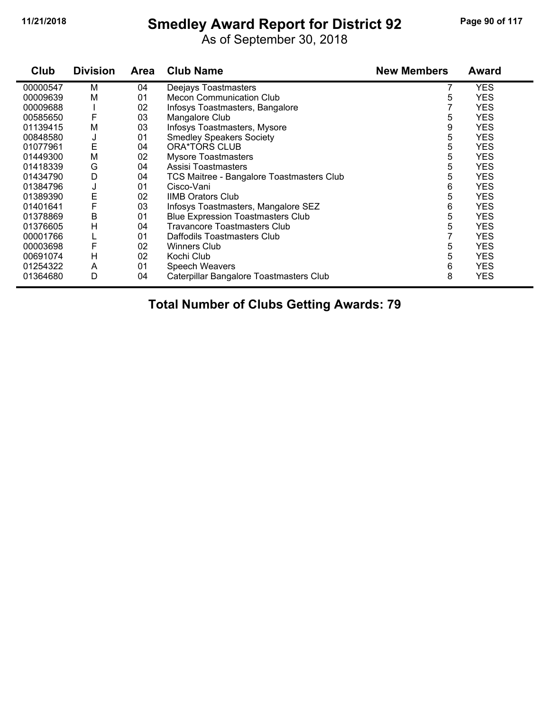# **11/21/2018 Smedley Award Report for District 92 Page 90 of 117**

As of September 30, 2018

| Club     | <b>Division</b> | <b>Area</b> | <b>Club Name</b>                          | <b>New Members</b> | <b>Award</b> |
|----------|-----------------|-------------|-------------------------------------------|--------------------|--------------|
| 00000547 | м               | 04          | Deejays Toastmasters                      |                    | <b>YES</b>   |
| 00009639 | M               | 01          | <b>Mecon Communication Club</b>           | 5                  | YES          |
| 00009688 |                 | 02          | Infosys Toastmasters, Bangalore           |                    | YES          |
| 00585650 | F               | 03          | Mangalore Club                            | 5                  | YES          |
| 01139415 | M               | 03          | Infosys Toastmasters, Mysore              | 9                  | <b>YES</b>   |
| 00848580 | J               | 01          | <b>Smedley Speakers Society</b>           | 5                  | YES          |
| 01077961 | Е               | 04          | <b>ORA*TORS CLUB</b>                      | 5                  | <b>YES</b>   |
| 01449300 | M               | 02          | <b>Mysore Toastmasters</b>                | 5                  | <b>YES</b>   |
| 01418339 | G               | 04          | Assisi Toastmasters                       | 5                  | <b>YES</b>   |
| 01434790 | D               | 04          | TCS Maitree - Bangalore Toastmasters Club | 5                  | <b>YES</b>   |
| 01384796 | J               | 01          | Cisco-Vani                                | 6                  | <b>YES</b>   |
| 01389390 | Е               | 02          | <b>IIMB Orators Club</b>                  | 5                  | <b>YES</b>   |
| 01401641 | F               | 03          | Infosys Toastmasters, Mangalore SEZ       | 6                  | <b>YES</b>   |
| 01378869 | В               | 01          | <b>Blue Expression Toastmasters Club</b>  | 5                  | <b>YES</b>   |
| 01376605 | н               | 04          | <b>Travancore Toastmasters Club</b>       | 5                  | <b>YES</b>   |
| 00001766 |                 | 01          | Daffodils Toastmasters Club               |                    | YES          |
| 00003698 | F               | 02          | <b>Winners Club</b>                       | 5                  | YES          |
| 00691074 | H               | 02          | Kochi Club                                | 5                  | <b>YES</b>   |
| 01254322 | A               | 01          | Speech Weavers                            | 6                  | YES          |
| 01364680 | D               | 04          | Caterpillar Bangalore Toastmasters Club   | 8                  | <b>YES</b>   |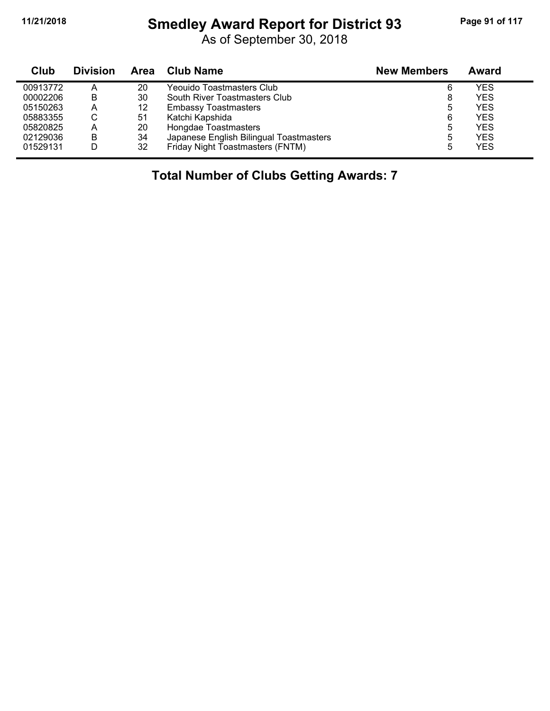# **11/21/2018 Smedley Award Report for District 93 Page 91 of 117**

As of September 30, 2018

| Club     | <b>Division</b> | Area | Club Name                               | <b>New Members</b> | Award      |  |
|----------|-----------------|------|-----------------------------------------|--------------------|------------|--|
| 00913772 |                 | 20   | Yeouido Toastmasters Club               | 6                  | <b>YES</b> |  |
| 00002206 | B               | 30   | South River Toastmasters Club           | 8                  | <b>YES</b> |  |
| 05150263 | А               | 12   | <b>Embassy Toastmasters</b>             | 5                  | <b>YES</b> |  |
| 05883355 | ◡               | 51   | Katchi Kapshida                         | 6                  | <b>YES</b> |  |
| 05820825 | A               | 20   | Hongdae Toastmasters                    |                    | <b>YES</b> |  |
| 02129036 | B               | 34   | Japanese English Bilingual Toastmasters |                    | <b>YES</b> |  |
| 01529131 |                 | 32   | Friday Night Toastmasters (FNTM)        |                    | <b>YES</b> |  |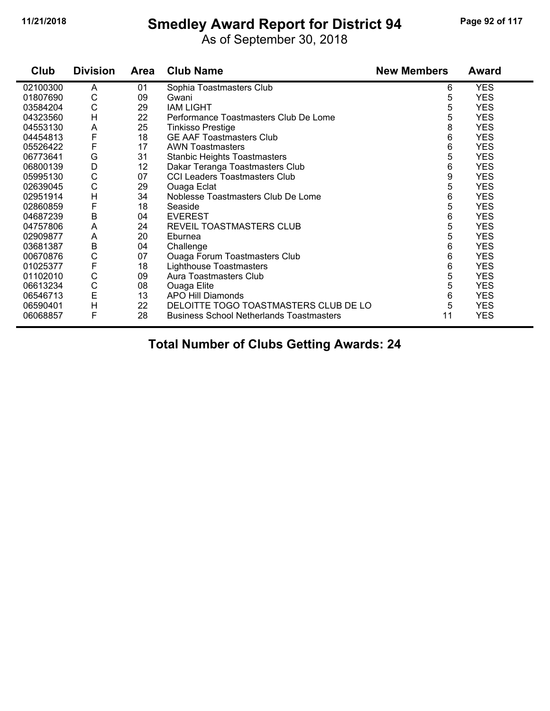# **11/21/2018 Smedley Award Report for District 94 Page 92 of 117**

As of September 30, 2018

| Club     | <b>Division</b> | <b>Area</b> | <b>Club Name</b>                                | <b>New Members</b> | <b>Award</b> |
|----------|-----------------|-------------|-------------------------------------------------|--------------------|--------------|
| 02100300 | A               | 01          | Sophia Toastmasters Club                        | 6                  | <b>YES</b>   |
| 01807690 | С               | 09          | Gwani                                           | 5                  | <b>YES</b>   |
| 03584204 | C               | 29          | <b>IAM LIGHT</b>                                | 5                  | <b>YES</b>   |
| 04323560 | H               | 22          | Performance Toastmasters Club De Lome           | 5                  | <b>YES</b>   |
| 04553130 | A               | 25          | <b>Tinkisso Prestige</b>                        | 8                  | <b>YES</b>   |
| 04454813 | F               | 18          | <b>GE AAF Toastmasters Club</b>                 | 6                  | <b>YES</b>   |
| 05526422 | F               | 17          | <b>AWN Toastmasters</b>                         | 6                  | <b>YES</b>   |
| 06773641 | G               | 31          | <b>Stanbic Heights Toastmasters</b>             | 5                  | <b>YES</b>   |
| 06800139 | D               | 12          | Dakar Teranga Toastmasters Club                 | 6                  | <b>YES</b>   |
| 05995130 | C               | 07          | <b>CCI Leaders Toastmasters Club</b>            | 9                  | <b>YES</b>   |
| 02639045 | C               | 29          | Ouaga Eclat                                     | 5                  | <b>YES</b>   |
| 02951914 | H               | 34          | Noblesse Toastmasters Club De Lome              | 6                  | <b>YES</b>   |
| 02860859 | F               | 18          | Seaside                                         | 5                  | <b>YES</b>   |
| 04687239 | B               | 04          | <b>EVEREST</b>                                  | 6                  | <b>YES</b>   |
| 04757806 | A               | 24          | REVEIL TOASTMASTERS CLUB                        | 5                  | <b>YES</b>   |
| 02909877 | A               | 20          | Eburnea                                         | 5                  | <b>YES</b>   |
| 03681387 | B               | 04          | Challenge                                       | 6                  | <b>YES</b>   |
| 00670876 | C               | 07          | <b>Ouaga Forum Toastmasters Club</b>            | 6                  | <b>YES</b>   |
| 01025377 | F               | 18          | <b>Lighthouse Toastmasters</b>                  | 6                  | <b>YES</b>   |
| 01102010 | C               | 09          | Aura Toastmasters Club                          | 5                  | <b>YES</b>   |
| 06613234 | С               | 08          | Ouaga Elite                                     | 5                  | <b>YES</b>   |
| 06546713 | E               | 13          | APO Hill Diamonds                               | 6                  | <b>YES</b>   |
| 06590401 | H               | 22          | DELOITTE TOGO TOASTMASTERS CLUB DE LO           | 5                  | <b>YES</b>   |
| 06068857 | F               | 28          | <b>Business School Netherlands Toastmasters</b> | 11                 | <b>YES</b>   |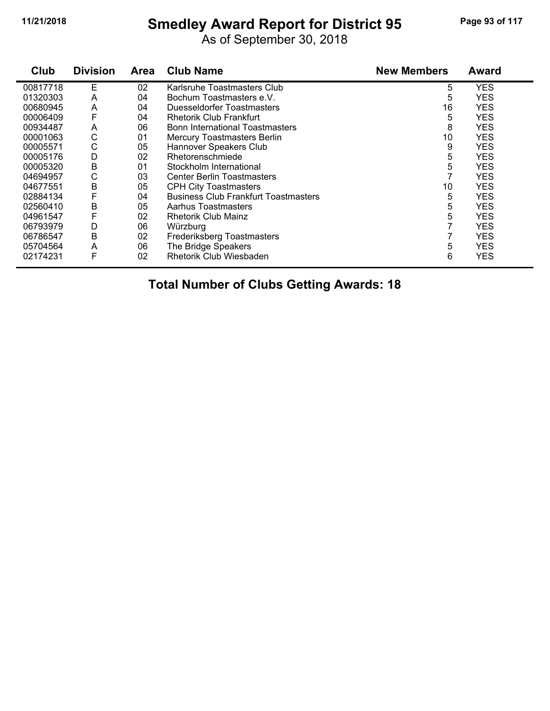# **11/21/2018 Smedley Award Report for District 95 Page 93 of 117**

As of September 30, 2018

| Club     | <b>Division</b> | <b>Area</b> | <b>Club Name</b>                            | <b>New Members</b> | Award      |
|----------|-----------------|-------------|---------------------------------------------|--------------------|------------|
| 00817718 | E               | 02          | Karlsruhe Toastmasters Club                 | 5                  | <b>YES</b> |
| 01320303 | A               | 04          | Bochum Toastmasters e.V.                    | 5                  | YES        |
| 00680945 | A               | 04          | Duesseldorfer Toastmasters                  | 16                 | <b>YES</b> |
| 00006409 | F               | 04          | <b>Rhetorik Club Frankfurt</b>              | 5                  | <b>YES</b> |
| 00934487 | A               | 06          | <b>Bonn International Toastmasters</b>      | 8                  | <b>YES</b> |
| 00001063 | С               | 01          | <b>Mercury Toastmasters Berlin</b>          | 10                 | <b>YES</b> |
| 00005571 | $\mathsf{C}$    | 05          | Hannover Speakers Club                      | 9                  | YES        |
| 00005176 | D               | 02          | Rhetorenschmiede                            | 5                  | <b>YES</b> |
| 00005320 | B               | 01          | Stockholm International                     | 5                  | <b>YES</b> |
| 04694957 | С               | 03          | <b>Center Berlin Toastmasters</b>           |                    | <b>YES</b> |
| 04677551 | В               | 05          | <b>CPH City Toastmasters</b>                | 10                 | <b>YES</b> |
| 02884134 | F               | 04          | <b>Business Club Frankfurt Toastmasters</b> | 5                  | <b>YES</b> |
| 02560410 | B               | 05          | Aarhus Toastmasters                         | 5                  | <b>YES</b> |
| 04961547 | F               | 02          | <b>Rhetorik Club Mainz</b>                  | 5                  | YES        |
| 06793979 | D               | 06          | Würzburg                                    |                    | <b>YES</b> |
| 06786547 | B               | 02          | Frederiksberg Toastmasters                  |                    | <b>YES</b> |
| 05704564 | A               | 06          | The Bridge Speakers                         | 5                  | <b>YES</b> |
| 02174231 | F               | 02          | <b>Rhetorik Club Wiesbaden</b>              | 6                  | <b>YES</b> |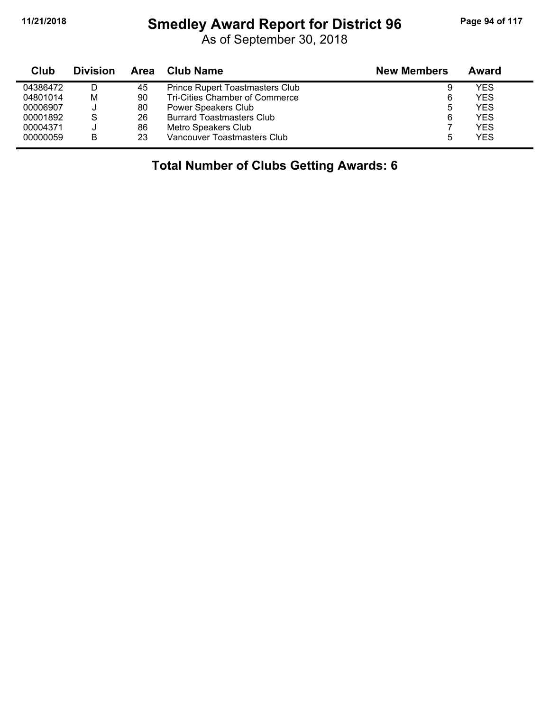#### **11/21/2018 Smedley Award Report for District 96 Page 94 of 117**

As of September 30, 2018

| Club     | <b>Division</b> | Area | Club Name                        | <b>New Members</b> | Award |
|----------|-----------------|------|----------------------------------|--------------------|-------|
| 04386472 |                 | 45   | Prince Rupert Toastmasters Club  | 9                  | YES   |
| 04801014 | М               | 90   | Tri-Cities Chamber of Commerce   | 6                  | YES   |
| 00006907 |                 | 80   | Power Speakers Club              | 5                  | YES   |
| 00001892 | S               | 26   | <b>Burrard Toastmasters Club</b> | 6                  | YES   |
| 00004371 |                 | 86   | Metro Speakers Club              |                    | YES   |
| 00000059 | B               | 23   | Vancouver Toastmasters Club      | 5                  | YES   |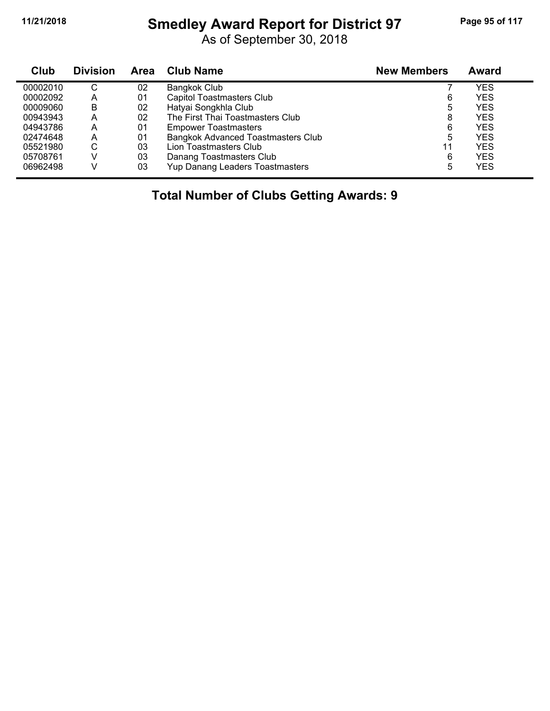# **11/21/2018 Smedley Award Report for District 97 Page 95 of 117**

As of September 30, 2018

| Club     | <b>Division</b> | <b>Area</b> | <b>Club Name</b>                          | <b>New Members</b> | Award      |  |
|----------|-----------------|-------------|-------------------------------------------|--------------------|------------|--|
| 00002010 | C               | 02          | Bangkok Club                              |                    | YES        |  |
| 00002092 | А               | 01          | <b>Capitol Toastmasters Club</b>          | 6                  | <b>YES</b> |  |
| 00009060 | В               | 02          | Hatyai Songkhla Club                      | 5                  | <b>YES</b> |  |
| 00943943 | А               | 02          | The First Thai Toastmasters Club          | 8                  | <b>YES</b> |  |
| 04943786 | А               | 01          | <b>Empower Toastmasters</b>               | 6                  | <b>YES</b> |  |
| 02474648 | А               | 01          | <b>Bangkok Advanced Toastmasters Club</b> | 5                  | <b>YES</b> |  |
| 05521980 | ⌒<br>◡          | 03          | Lion Toastmasters Club                    | 11                 | <b>YES</b> |  |
| 05708761 |                 | 03          | Danang Toastmasters Club                  | 6                  | <b>YES</b> |  |
| 06962498 |                 | 03          | Yup Danang Leaders Toastmasters           | 5                  | <b>YES</b> |  |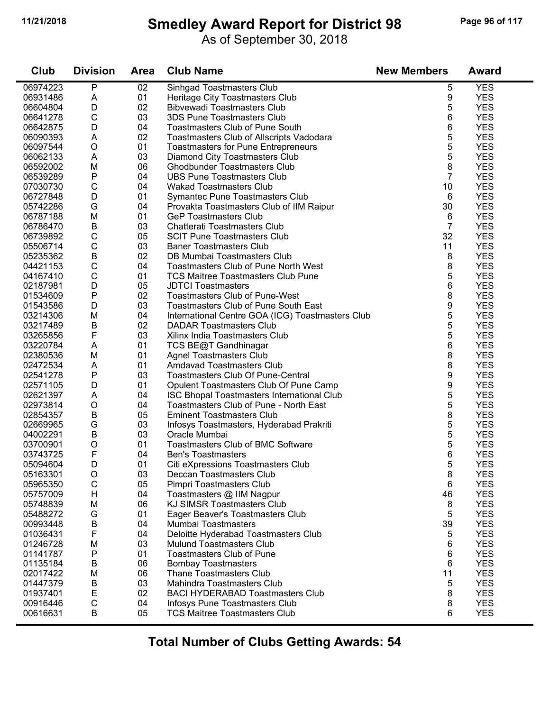# **11/21/2018 Smedley Award Report for District 98 Page 96 of 117**

As of September 30, 2018

| Club     | <b>Division</b> | <b>Area</b> | <b>Club Name</b>                                 | <b>New Members</b> | <b>Award</b> |
|----------|-----------------|-------------|--------------------------------------------------|--------------------|--------------|
| 06974223 | Ρ               | 02          | Sinhgad Toastmasters Club                        | 5                  | <b>YES</b>   |
| 06931486 | Α               | 01          | Heritage City Toastmasters Club                  | 9                  | <b>YES</b>   |
| 06604804 | D               | 02          | <b>Bibvewadi Toastmasters Club</b>               | 5                  | <b>YES</b>   |
| 06641278 | $\mathsf C$     | 03          | 3DS Pune Toastmasters Club                       | 6                  | <b>YES</b>   |
| 06642875 | D               | 04          | <b>Toastmasters Club of Pune South</b>           | 6                  | <b>YES</b>   |
| 06090393 | Α               | 02          | Toastmasters Club of Allscripts Vadodara         | 5                  | <b>YES</b>   |
| 06097544 | $\circ$         | 01          | <b>Toastmasters for Pune Entrepreneurs</b>       | 5                  | <b>YES</b>   |
| 06062133 | A               | 03          | Diamond City Toastmasters Club                   | 5                  | <b>YES</b>   |
| 06592002 | M               | 06          | <b>Ghodbunder Toastmasters Club</b>              | 8                  | <b>YES</b>   |
| 06539289 | P               | 04          | <b>UBS Pune Toastmasters Club</b>                | $\overline{7}$     | <b>YES</b>   |
| 07030730 | C               | 04          | <b>Wakad Toastmasters Club</b>                   | 10                 | <b>YES</b>   |
| 06727848 | D               | 01          | Symantec Pune Toastmasters Club                  | 6                  | <b>YES</b>   |
| 05742286 | G               | 04          | Provakta Toastmasters Club of IIM Raipur         | 30                 | <b>YES</b>   |
| 06787188 | M               | 01          | <b>GeP Toastmasters Club</b>                     | 6                  | <b>YES</b>   |
| 06786470 | B               | 03          | Chatterati Toastmasters Club                     | $\overline{7}$     | <b>YES</b>   |
| 06739892 | $\mathsf C$     | 05          | <b>SCIT Pune Toastmasters Club</b>               | 32                 | <b>YES</b>   |
| 05506714 | $\mathsf C$     | 03          | <b>Baner Toastmasters Club</b>                   | 11                 | <b>YES</b>   |
| 05235362 | B               | 02          | DB Mumbai Toastmasters Club                      | 8                  | <b>YES</b>   |
| 04421153 | C               | 04          | <b>Toastmasters Club of Pune North West</b>      | 8                  | <b>YES</b>   |
| 04167410 | $\mathsf{C}$    | 01          | <b>TCS Maitree Toastmasters Club Pune</b>        | 5                  | <b>YES</b>   |
| 02187981 | D               | 05          | <b>JDTCI Toastmasters</b>                        | 6                  | <b>YES</b>   |
| 01534609 | P               | 02          | <b>Toastmasters Club of Pune-West</b>            | 8                  | <b>YES</b>   |
| 01543586 | D               | 03          | Toastmasters Club of Pune South East             | 9                  | <b>YES</b>   |
| 03214306 | M               | 04          | International Centre GOA (ICG) Toastmasters Club | 5                  | <b>YES</b>   |
| 03217489 | B               | 02          | <b>DADAR Toastmasters Club</b>                   | 5                  | <b>YES</b>   |
| 03265856 | F               | 03          | Xilinx India Toastmasters Club                   | 5                  | <b>YES</b>   |
| 03220784 | A               | 01          | TCS BE@T Gandhinagar                             | 6                  | <b>YES</b>   |
| 02380536 | M               | 01          | <b>Agnel Toastmasters Club</b>                   | 8                  | <b>YES</b>   |
| 02472534 | Α               | 01          | <b>Amdavad Toastmasters Club</b>                 | 8                  | <b>YES</b>   |
| 02541278 | Ρ               | 03          | <b>Toastmasters Club Of Pune-Central</b>         | 9                  | <b>YES</b>   |
| 02571105 | D               | 01          | Opulent Toastmasters Club Of Pune Camp           | 9                  | <b>YES</b>   |
| 02621397 | Α               | 04          | ISC Bhopal Toastmasters International Club       | 5                  | <b>YES</b>   |
| 02973814 | $\circ$         | 04          | Toastmasters Club of Pune - North East           | 5                  | <b>YES</b>   |
| 02854357 | $\sf B$         | 05          | <b>Eminent Toastmasters Club</b>                 | 8                  | <b>YES</b>   |
| 02669965 | G               | 03          | Infosys Toastmasters, Hyderabad Prakriti         | 5                  | <b>YES</b>   |
| 04002291 | B               | 03          | Oracle Mumbai                                    | 5                  | <b>YES</b>   |
| 03700901 | O               | 01          | Toastmasters Club of BMC Software                | 5                  | <b>YES</b>   |
| 03743725 | F               | 04          | <b>Ben's Toastmasters</b>                        | 6                  | <b>YES</b>   |
| 05094604 | D               | 01          | Citi eXpressions Toastmasters Club               | 5                  | <b>YES</b>   |
| 05163301 | O               | 03          | Deccan Toastmasters Club                         | 8                  | <b>YES</b>   |
| 05965350 | $\mathsf C$     | 05          | Pimpri Toastmasters Club                         | 6                  | <b>YES</b>   |
| 05757009 | H               | 04          | Toastmasters @ IIM Nagpur                        | 46                 | <b>YES</b>   |
| 05748839 | M               | 06          | KJ SIMSR Toastmasters Club                       | 8                  | <b>YES</b>   |
| 05488272 | G               | 01          | Eager Beaver's Toastmasters Club                 | 5                  | <b>YES</b>   |
| 00993448 | B               | 04          | Mumbai Toastmasters                              | 39                 | <b>YES</b>   |
| 01036431 | F               | 04          | Deloitte Hyderabad Toastmasters Club             | 5                  | <b>YES</b>   |
| 01246728 | M               | 03          | <b>Mulund Toastmasters Club</b>                  | 6                  | <b>YES</b>   |
| 01141787 | Ρ               | 01          | <b>Toastmasters Club of Pune</b>                 | 6                  | <b>YES</b>   |
| 01135184 | Β               | 06          | <b>Bombay Toastmasters</b>                       | 6                  | <b>YES</b>   |
| 02017422 | M               | 06          | <b>Thane Toastmasters Club</b>                   | 11                 | <b>YES</b>   |
| 01447379 | Β               | 03          | Mahindra Toastmasters Club                       | 5                  | <b>YES</b>   |
| 01937401 | E               | 02          | <b>BACI HYDERABAD Toastmasters Club</b>          | 8                  | <b>YES</b>   |
| 00916446 | $\mathsf C$     | 04          | Infosys Pune Toastmasters Club                   | 8                  | <b>YES</b>   |
| 00616631 | B               | 05          | <b>TCS Maitree Toastmasters Club</b>             | 6                  | <b>YES</b>   |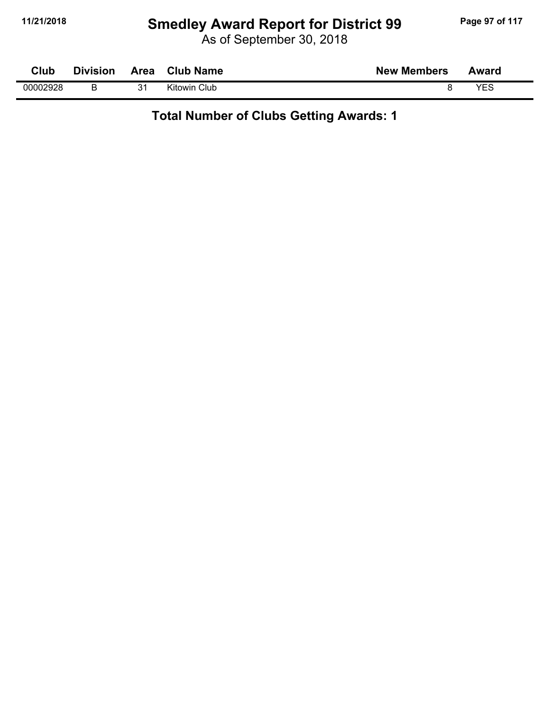# **11/21/2018 Smedley Award Report for District 99 Page 97 of 117**

As of September 30, 2018

| Club     | <b>Division</b> | Area | <b>Club Name</b> | <b>New Members</b> | Award |
|----------|-----------------|------|------------------|--------------------|-------|
| 00002928 |                 | 21   | Kitowin Club     |                    | VEC   |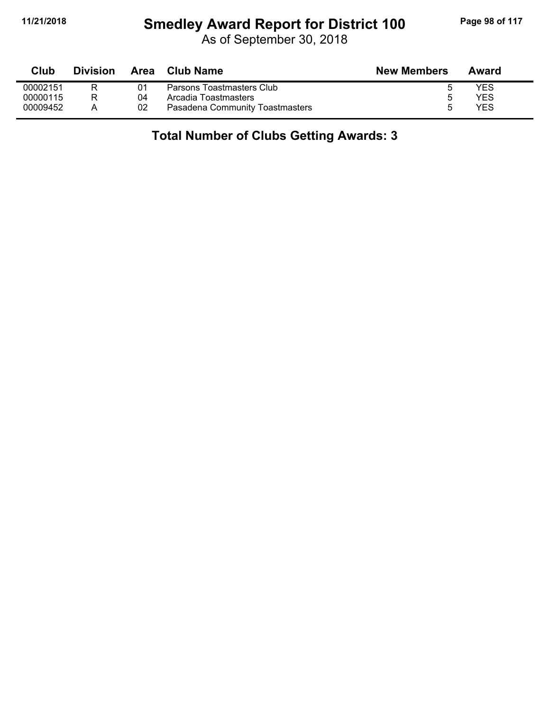#### **11/21/2018 Smedley Award Report for District 100 Page 98 of 117**

As of September 30, 2018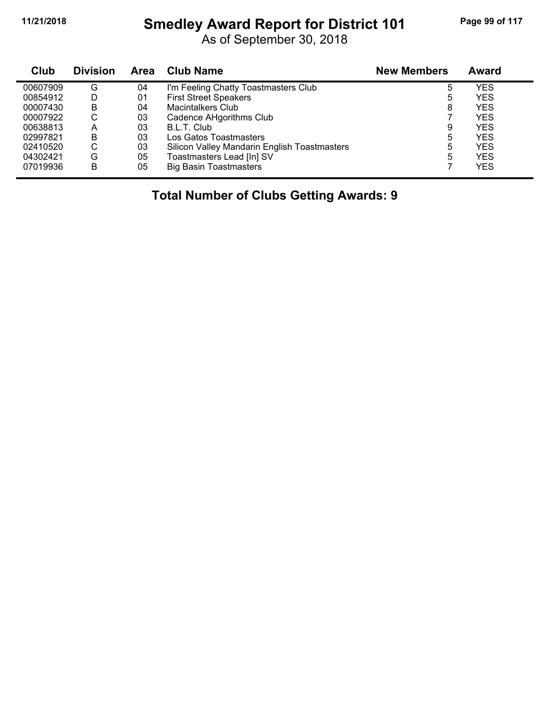# **11/21/2018 Smedley Award Report for District 101 Page 99 of 117**

As of September 30, 2018

| <b>Club</b> | <b>Division</b> | <b>Area</b> | <b>Club Name</b>                             | <b>New Members</b> | Award      |
|-------------|-----------------|-------------|----------------------------------------------|--------------------|------------|
| 00607909    | G               | 04          | I'm Feeling Chatty Toastmasters Club         | 5                  | YES        |
| 00854912    | D               | 01          | <b>First Street Speakers</b>                 | 5                  | YES        |
| 00007430    | B               | 04          | <b>Macintalkers Club</b>                     | 8                  | <b>YES</b> |
| 00007922    | С               | 03          | Cadence AHgorithms Club                      |                    | <b>YES</b> |
| 00638813    | А               | 03          | B.L.T. Club                                  | 9                  | <b>YES</b> |
| 02997821    | B               | 03          | Los Gatos Toastmasters                       | 5                  | YES        |
| 02410520    | С               | 03          | Silicon Valley Mandarin English Toastmasters | 5                  | YES        |
| 04302421    | G               | 05          | Toastmasters Lead [In] SV                    | 5                  | <b>YES</b> |
| 07019936    | B               | 05          | <b>Big Basin Toastmasters</b>                |                    | YES        |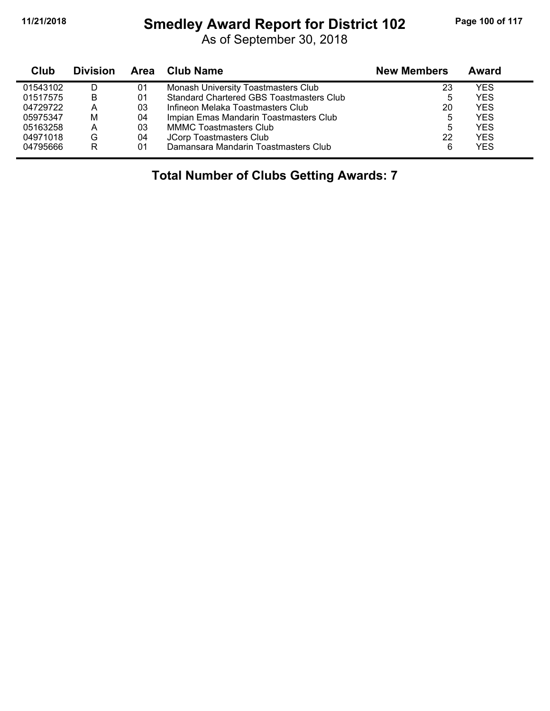#### **11/21/2018 Smedley Award Report for District 102 Page 100 of 117**

As of September 30, 2018

| Club     | <b>Division</b> |    | Area Club Name                           | <b>New Members</b> | Award      |  |
|----------|-----------------|----|------------------------------------------|--------------------|------------|--|
| 01543102 |                 | 01 | Monash University Toastmasters Club      | 23                 | YES        |  |
| 01517575 | В               | 01 | Standard Chartered GBS Toastmasters Club | 5                  | <b>YES</b> |  |
| 04729722 | Α               | 03 | Infineon Melaka Toastmasters Club        | 20                 | <b>YES</b> |  |
| 05975347 | M               | 04 | Impian Emas Mandarin Toastmasters Club   | 5                  | <b>YES</b> |  |
| 05163258 | Α               | 03 | <b>MMMC Toastmasters Club</b>            | 5                  | <b>YES</b> |  |
| 04971018 | G               | 04 | JCorp Toastmasters Club                  | 22                 | <b>YES</b> |  |
| 04795666 | R               | 01 | Damansara Mandarin Toastmasters Club     | 6                  | <b>YES</b> |  |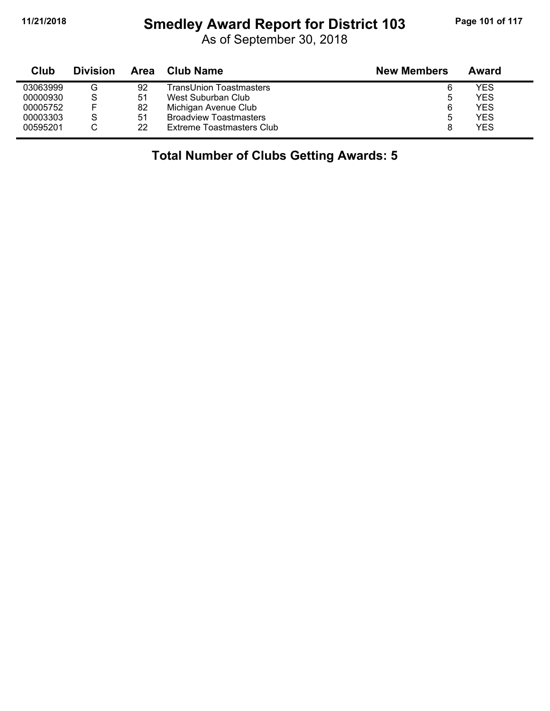# **11/21/2018 Smedley Award Report for District 103 Page 101 of 117**

As of September 30, 2018

| Club     | <b>Division</b> | Area | Club Name                     | <b>New Members</b> | Award      |
|----------|-----------------|------|-------------------------------|--------------------|------------|
| 03063999 | G               | 92   | TransUnion Toastmasters       | 6                  | YES        |
| 00000930 | S               | 51   | West Suburban Club            | ხ                  | <b>YES</b> |
| 00005752 |                 | 82   | Michigan Avenue Club          | 6                  | <b>YES</b> |
| 00003303 | S               | 51   | <b>Broadview Toastmasters</b> | ხ                  | <b>YES</b> |
| 00595201 |                 | 22   | Extreme Toastmasters Club     | 8                  | <b>YES</b> |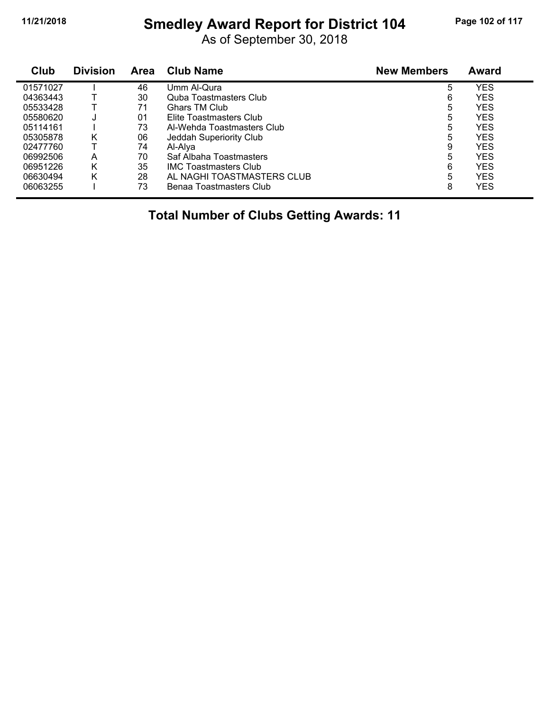# **11/21/2018 Smedley Award Report for District 104 Page 102 of 117**

As of September 30, 2018

| Club     | <b>Division</b> | <b>Area</b> | <b>Club Name</b>              | <b>New Members</b> | Award      |  |
|----------|-----------------|-------------|-------------------------------|--------------------|------------|--|
| 01571027 |                 | 46          | Umm Al-Qura                   | 5                  | YES        |  |
| 04363443 |                 | 30          | <b>Quba Toastmasters Club</b> | 6                  | YES        |  |
| 05533428 |                 | 71          | Ghars TM Club                 | 5                  | YES        |  |
| 05580620 | J               | 01          | Elite Toastmasters Club       | 5                  | YES        |  |
| 05114161 |                 | 73          | Al-Wehda Toastmasters Club    | 5                  | YES        |  |
| 05305878 | Κ               | 06          | Jeddah Superiority Club       | 5                  | <b>YES</b> |  |
| 02477760 |                 | 74          | Al-Alva                       | 9                  | YES        |  |
| 06992506 | A               | 70          | Saf Albaha Toastmasters       | 5                  | YES        |  |
| 06951226 | Κ               | 35          | <b>IMC Toastmasters Club</b>  | 6                  | YES        |  |
| 06630494 | Κ               | 28          | AL NAGHI TOASTMASTERS CLUB    | 5                  | YES        |  |
| 06063255 |                 | 73          | Benaa Toastmasters Club       | 8                  | YES        |  |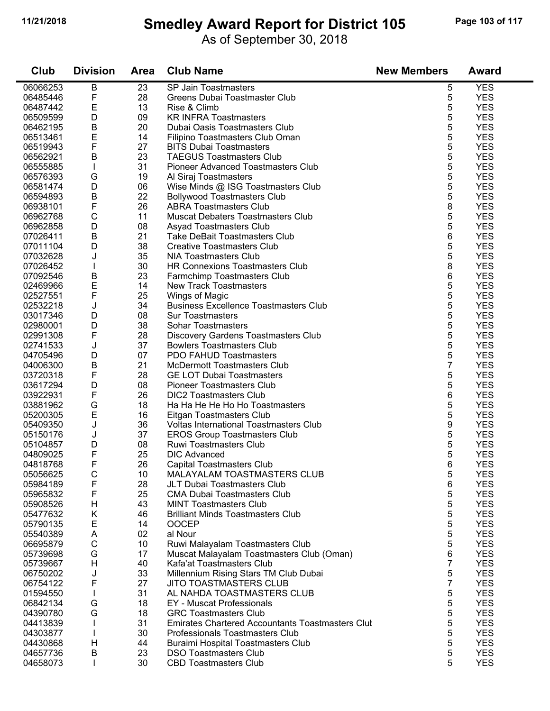#### **11/21/2018 Smedley Award Report for District 105 Page 103 of 117**

As of September 30, 2018

| Club                 | <b>Division</b> | <b>Area</b> | <b>Club Name</b>                                           | <b>New Members</b> | <b>Award</b>             |
|----------------------|-----------------|-------------|------------------------------------------------------------|--------------------|--------------------------|
| 06066253             | B               | 23          | SP Jain Toastmasters                                       | 5                  | <b>YES</b>               |
| 06485446             | F               | 28          | Greens Dubai Toastmaster Club                              | 5                  | <b>YES</b>               |
| 06487442             | E               | 13          | Rise & Climb                                               | 5                  | <b>YES</b>               |
| 06509599             | D               | 09          | <b>KR INFRA Toastmasters</b>                               | 5                  | <b>YES</b>               |
| 06462195             | В               | 20          | Dubai Oasis Toastmasters Club                              | 5                  | <b>YES</b>               |
| 06513461             | E               | 14          | Filipino Toastmasters Club Oman                            | 5                  | <b>YES</b>               |
| 06519943             | F               | 27          | <b>BITS Dubai Toastmasters</b>                             | 5                  | <b>YES</b>               |
| 06562921             | B               | 23          | <b>TAEGUS Toastmasters Club</b>                            | 5                  | <b>YES</b>               |
| 06555885             | $\mathbf{I}$    | 31          | Pioneer Advanced Toastmasters Club                         | 5                  | <b>YES</b>               |
| 06576393             | G               | 19          | Al Siraj Toastmasters                                      | 5                  | <b>YES</b>               |
| 06581474             | D               | 06          | Wise Minds @ ISG Toastmasters Club                         | 5                  | <b>YES</b>               |
| 06594893             | B               | 22          | <b>Bollywood Toastmasters Club</b>                         | 5                  | <b>YES</b>               |
| 06938101             | F               | 26          | <b>ABRA Toastmasters Club</b>                              | 8                  | <b>YES</b>               |
| 06962768             | $\mathsf C$     | 11          | <b>Muscat Debaters Toastmasters Club</b>                   | 5                  | <b>YES</b>               |
| 06962858             | D               | 08          | Asyad Toastmasters Club                                    | 5                  | <b>YES</b>               |
| 07026411             | B               | 21          | <b>Take DeBait Toastmasters Club</b>                       | 6                  | <b>YES</b>               |
| 07011104             | D               | 38          | <b>Creative Toastmasters Club</b>                          | 5                  | <b>YES</b>               |
| 07032628             | J               | 35          | <b>NIA Toastmasters Club</b>                               | 5                  | <b>YES</b>               |
| 07026452             |                 | 30          | <b>HR Connexions Toastmasters Club</b>                     | 8                  | <b>YES</b>               |
| 07092546             | В               | 23          | Farmchimp Toastmasters Club                                | 6                  | <b>YES</b>               |
| 02469966             | E               | 14          | <b>New Track Toastmasters</b>                              | 5                  | <b>YES</b>               |
| 02527551             | F               | 25          | Wings of Magic                                             | 5                  | <b>YES</b>               |
| 02532218             | J               | 34          | <b>Business Excellence Toastmasters Club</b>               | 5                  | <b>YES</b>               |
| 03017346             | D               | 08          | <b>Sur Toastmasters</b>                                    | 5                  | <b>YES</b>               |
| 02980001             | D               | 38          | <b>Sohar Toastmasters</b>                                  | 5                  | <b>YES</b>               |
| 02991308             | F               | 28          | Discovery Gardens Toastmasters Club                        | 5                  | <b>YES</b>               |
| 02741533             | J               | 37          | <b>Bowlers Toastmasters Club</b>                           | 5                  | <b>YES</b>               |
| 04705496             | D               | 07          | PDO FAHUD Toastmasters                                     | 5                  | <b>YES</b>               |
| 04006300             | B               | 21          | <b>McDermott Toastmasters Club</b>                         | 7                  | <b>YES</b>               |
| 03720318             | F               | 28          | <b>GE LOT Dubai Toastmasters</b>                           | 5                  | <b>YES</b>               |
| 03617294             | D               | 08          | <b>Pioneer Toastmasters Club</b>                           | 5                  | <b>YES</b>               |
| 03922931             | F<br>G          | 26<br>18    | <b>DIC2 Toastmasters Club</b>                              | 6<br>5             | <b>YES</b><br><b>YES</b> |
| 03881962<br>05200305 | E               | 16          | Ha Ha He He Ho Ho Toastmasters<br>Eitgan Toastmasters Club | 5                  | <b>YES</b>               |
| 05409350             | J               | 36          | <b>Voltas International Toastmasters Club</b>              | 9                  | <b>YES</b>               |
| 05150176             | J               | 37          | <b>EROS Group Toastmasters Club</b>                        | 5                  | <b>YES</b>               |
| 05104857             | D               | 08          | Ruwi Toastmasters Club                                     | 5                  | <b>YES</b>               |
| 04809025             | F               | 25          | <b>DIC Advanced</b>                                        | 5                  | <b>YES</b>               |
| 04818768             | F               | 26          | Capital Toastmasters Club                                  | 6                  | <b>YES</b>               |
| 05056625             | С               | 10          | MALAYALAM TOASTMASTERS CLUB                                | 5                  | <b>YES</b>               |
| 05984189             | F               | 28          | JLT Dubai Toastmasters Club                                | 6                  | <b>YES</b>               |
| 05965832             | F               | 25          | <b>CMA Dubai Toastmasters Club</b>                         | 5                  | <b>YES</b>               |
| 05908526             | Н               | 43          | <b>MINT Toastmasters Club</b>                              | 5                  | <b>YES</b>               |
| 05477632             | Κ               | 46          | <b>Brilliant Minds Toastmasters Club</b>                   | 5                  | <b>YES</b>               |
| 05790135             | Е               | 14          | <b>OOCEP</b>                                               | 5                  | <b>YES</b>               |
| 05540389             | Α               | 02          | al Nour                                                    | 5                  | <b>YES</b>               |
| 06695879             | $\mathsf C$     | 10          | Ruwi Malayalam Toastmasters Club                           | 5                  | <b>YES</b>               |
| 05739698             | G               | 17          | Muscat Malayalam Toastmasters Club (Oman)                  | 6                  | <b>YES</b>               |
| 05739667             | H               | 40          | Kafa'at Toastmasters Club                                  | 7                  | <b>YES</b>               |
| 06750202             | J               | 33          | Millennium Rising Stars TM Club Dubai                      | 5                  | <b>YES</b>               |
| 06754122             | F               | 27          | <b>JITO TOASTMASTERS CLUB</b>                              | 7                  | <b>YES</b>               |
| 01594550             |                 | 31          | AL NAHDA TOASTMASTERS CLUB                                 | 5                  | <b>YES</b>               |
| 06842134             | G               | 18          | EY - Muscat Professionals                                  | 5                  | <b>YES</b>               |
| 04390780             | G               | 18          | <b>GRC Toastmasters Club</b>                               | 5                  | <b>YES</b>               |
| 04413839             |                 | 31          | Emirates Chartered Accountants Toastmasters Clut           | 5                  | <b>YES</b>               |
| 04303877             |                 | 30          | Professionals Toastmasters Club                            | 5                  | <b>YES</b>               |
| 04430868             | H               | 44          | Buraimi Hospital Toastmasters Club                         | 5                  | <b>YES</b>               |
| 04657736             | Β               | 23          | <b>DSO Toastmasters Club</b>                               | 5                  | <b>YES</b>               |
| 04658073             | T               | 30          | <b>CBD Toastmasters Club</b>                               | 5                  | <b>YES</b>               |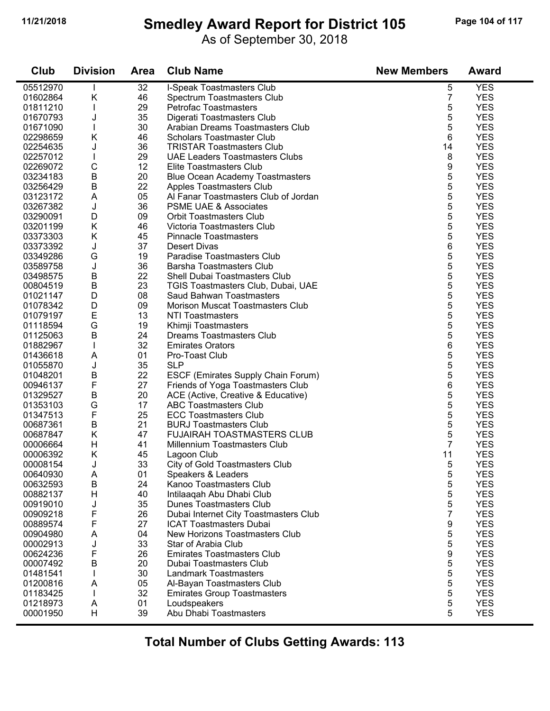# **11/21/2018 Smedley Award Report for District 105 Page 104 of 117**

As of September 30, 2018

| Club     | <b>Division</b> | <b>Area</b> | <b>Club Name</b>                       | <b>New Members</b> | <b>Award</b> |
|----------|-----------------|-------------|----------------------------------------|--------------------|--------------|
| 05512970 |                 | 32          | I-Speak Toastmasters Club              | 5                  | <b>YES</b>   |
| 01602864 | Κ               | 46          | Spectrum Toastmasters Club             | $\overline{7}$     | <b>YES</b>   |
| 01811210 | T               | 29          | Petrofac Toastmasters                  | 5                  | <b>YES</b>   |
| 01670793 | J               | 35          | Digerati Toastmasters Club             | 5                  | <b>YES</b>   |
| 01671090 | T               | 30          | Arabian Dreams Toastmasters Club       | 5                  | <b>YES</b>   |
| 02298659 | Κ               | 46          | <b>Scholars Toastmaster Club</b>       | 6                  | <b>YES</b>   |
| 02254635 | J               | 36          | <b>TRISTAR Toastmasters Club</b>       | 14                 | <b>YES</b>   |
| 02257012 |                 | 29          | <b>UAE Leaders Toastmasters Clubs</b>  | 8                  | <b>YES</b>   |
| 02269072 | $\mathsf C$     | 12          | Elite Toastmasters Club                | 9                  | <b>YES</b>   |
| 03234183 | $\sf B$         | 20          | <b>Blue Ocean Academy Toastmasters</b> | 5                  | <b>YES</b>   |
| 03256429 | B               | 22          | Apples Toastmasters Club               | 5                  | <b>YES</b>   |
| 03123172 | A               | 05          | Al Fanar Toastmasters Club of Jordan   | 5                  | <b>YES</b>   |
| 03267382 | J               | 36          | <b>PSME UAE &amp; Associates</b>       | 5                  | <b>YES</b>   |
| 03290091 | D               | 09          | <b>Orbit Toastmasters Club</b>         | 5                  | <b>YES</b>   |
| 03201199 | Κ               | 46          | Victoria Toastmasters Club             | 5                  | <b>YES</b>   |
| 03373303 | Κ               | 45          | <b>Pinnacle Toastmasters</b>           | 5                  | <b>YES</b>   |
| 03373392 | J               | 37          | <b>Desert Divas</b>                    | 6                  | <b>YES</b>   |
| 03349286 | G               | 19          | Paradise Toastmasters Club             | 5                  | <b>YES</b>   |
| 03589758 | J               | 36          | <b>Barsha Toastmasters Club</b>        | 5                  | <b>YES</b>   |
| 03498575 | В               | 22          | Shell Dubai Toastmasters Club          | 5                  | <b>YES</b>   |
| 00804519 | B               | 23          | TGIS Toastmasters Club, Dubai, UAE     | 5                  | <b>YES</b>   |
| 01021147 | D               | 08          | Saud Bahwan Toastmasters               | 5                  | <b>YES</b>   |
| 01078342 | D               | 09          | Morison Muscat Toastmasters Club       | 5                  | <b>YES</b>   |
| 01079197 | E               | 13          | <b>NTI Toastmasters</b>                | 5                  | <b>YES</b>   |
| 01118594 | G               | 19          | Khimji Toastmasters                    | 5                  | <b>YES</b>   |
| 01125063 | B               | 24          | <b>Dreams Toastmasters Club</b>        | 5                  | <b>YES</b>   |
| 01882967 |                 | 32          | <b>Emirates Orators</b>                | 6                  | <b>YES</b>   |
| 01436618 | A               | 01          | Pro-Toast Club                         | 5                  | <b>YES</b>   |
| 01055870 | J               | 35          | <b>SLP</b>                             | 5                  | <b>YES</b>   |
| 01048201 | B               | 22          | ESCF (Emirates Supply Chain Forum)     | 5                  | <b>YES</b>   |
| 00946137 | F               | 27          | Friends of Yoga Toastmasters Club      | 6                  | <b>YES</b>   |
| 01329527 | В               | 20          | ACE (Active, Creative & Educative)     | 5                  | <b>YES</b>   |
| 01353103 | G               | 17          | <b>ABC Toastmasters Club</b>           | 5                  | <b>YES</b>   |
| 01347513 | F               | 25          | <b>ECC Toastmasters Club</b>           | 5                  | <b>YES</b>   |
| 00687361 | $\sf B$         | 21          | <b>BURJ Toastmasters Club</b>          | 5                  | <b>YES</b>   |
| 00687847 | K               | 47          | <b>FUJAIRAH TOASTMASTERS CLUB</b>      | 5                  | <b>YES</b>   |
| 00006664 | H               | 41          | Millennium Toastmasters Club           | $\overline{7}$     | <b>YES</b>   |
| 00006392 | Κ               | 45          | Lagoon Club                            | 11                 | <b>YES</b>   |
| 00008154 | J               | 33          | City of Gold Toastmasters Club         | 5                  | <b>YES</b>   |
| 00640930 | A               | 01          | Speakers & Leaders                     | 5                  | <b>YES</b>   |
| 00632593 | B               | 24          | Kanoo Toastmasters Club                | 5                  | <b>YES</b>   |
| 00882137 | H               | 40          | Intilaagah Abu Dhabi Club              | 5                  | <b>YES</b>   |
| 00919010 | J               | 35          | <b>Dunes Toastmasters Club</b>         | 5                  | <b>YES</b>   |
| 00909218 | F               | 26          | Dubai Internet City Toastmasters Club  | 7                  | <b>YES</b>   |
| 00889574 | F               | 27          | <b>ICAT Toastmasters Dubai</b>         | 9                  | <b>YES</b>   |
| 00904980 | A               | 04          | New Horizons Toastmasters Club         | 5                  | <b>YES</b>   |
| 00002913 | J               | 33          | Star of Arabia Club                    | 5                  | <b>YES</b>   |
| 00624236 | F               | 26          | <b>Emirates Toastmasters Club</b>      | 9                  | <b>YES</b>   |
| 00007492 | В               | 20          | Dubai Toastmasters Club                | 5                  | <b>YES</b>   |
| 01481541 |                 | 30          | <b>Landmark Toastmasters</b>           | 5                  | <b>YES</b>   |
| 01200816 | A               | 05          | Al-Bayan Toastmasters Club             | 5                  | <b>YES</b>   |
| 01183425 |                 | 32          | <b>Emirates Group Toastmasters</b>     | 5                  | <b>YES</b>   |
| 01218973 | A               | 01          | Loudspeakers                           | 5                  | <b>YES</b>   |
| 00001950 | H               | 39          | Abu Dhabi Toastmasters                 | 5                  | <b>YES</b>   |
|          |                 |             |                                        |                    |              |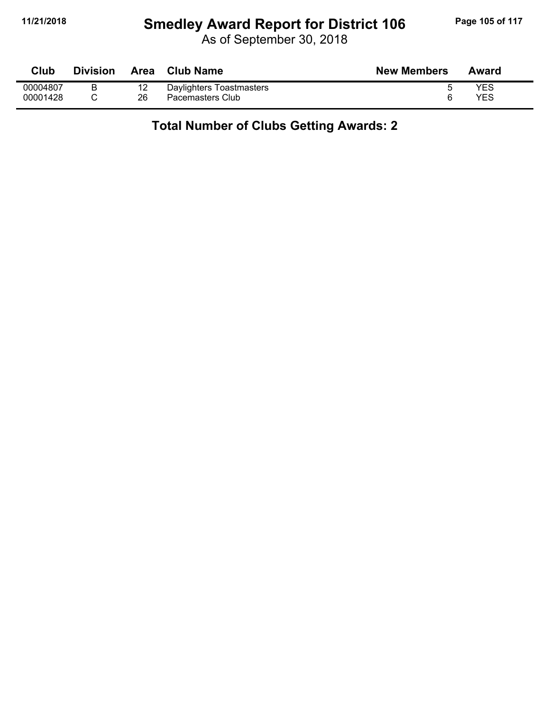# **11/21/2018 Smedley Award Report for District 106 Page 105 of 117**

As of September 30, 2018

| Club     | <b>Division</b> | Area | <b>Club Name</b>         | <b>New Members</b> | Award |
|----------|-----------------|------|--------------------------|--------------------|-------|
| 00004807 | B               | 12   | Daylighters Toastmasters |                    | YES   |
| 00001428 |                 | 26   | Pacemasters Club         |                    | YES   |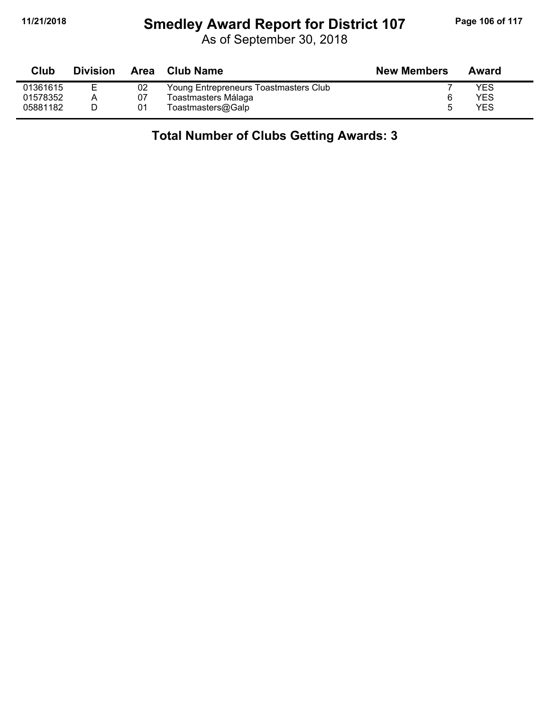## **11/21/2018 Smedley Award Report for District 107 Page 106 of 117**

As of September 30, 2018

| Club     | <b>Division</b> | Area | Club Name                             | <b>New Members</b> | Award |
|----------|-----------------|------|---------------------------------------|--------------------|-------|
| 01361615 |                 | 02   | Young Entrepreneurs Toastmasters Club |                    | YES   |
| 01578352 |                 | 07   | Toastmasters Málaga                   | 6                  | YES   |
| 05881182 |                 | 01   | Toastmasters@Galp                     | h                  | YES   |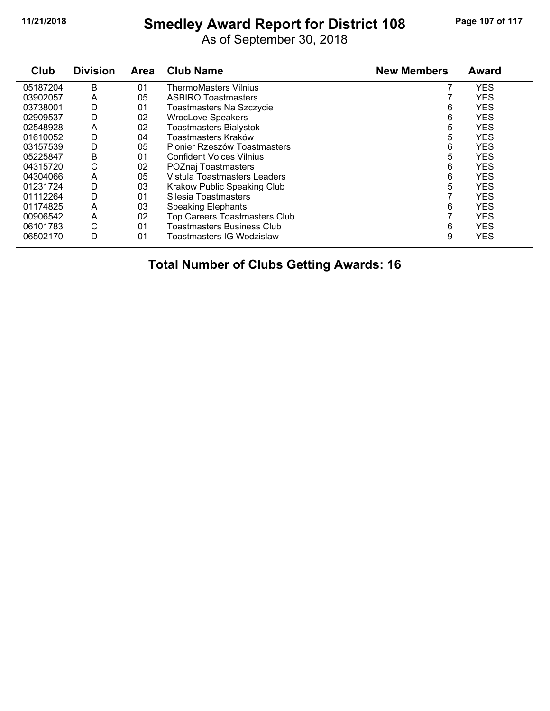# **11/21/2018 Smedley Award Report for District 108 Page 107 of 117**

As of September 30, 2018

| Club     | <b>Division</b> | <b>Area</b> | <b>Club Name</b>                     | <b>New Members</b> | <b>Award</b> |
|----------|-----------------|-------------|--------------------------------------|--------------------|--------------|
| 05187204 | В               | 01          | <b>ThermoMasters Vilnius</b>         |                    | <b>YES</b>   |
| 03902057 | A               | 05          | <b>ASBIRO Toastmasters</b>           |                    | <b>YES</b>   |
| 03738001 | D               | 01          | Toastmasters Na Szczycie             | 6                  | <b>YES</b>   |
| 02909537 | D               | 02          | <b>WrocLove Speakers</b>             | 6                  | <b>YES</b>   |
| 02548928 | A               | 02          | <b>Toastmasters Bialystok</b>        | 5                  | <b>YES</b>   |
| 01610052 | D               | 04          | Toastmasters Kraków                  | 5                  | <b>YES</b>   |
| 03157539 | D               | 05          | Pionier Rzeszów Toastmasters         | 6                  | <b>YES</b>   |
| 05225847 | В               | 01          | <b>Confident Voices Vilnius</b>      | 5                  | <b>YES</b>   |
| 04315720 | С               | 02          | POZnaj Toastmasters                  | 6                  | <b>YES</b>   |
| 04304066 | A               | 05          | Vistula Toastmasters Leaders         | 6                  | <b>YES</b>   |
| 01231724 | D               | 03          | Krakow Public Speaking Club          | 5                  | <b>YES</b>   |
| 01112264 | D               | 01          | Silesia Toastmasters                 |                    | <b>YES</b>   |
| 01174825 | Α               | 03          | <b>Speaking Elephants</b>            | 6                  | <b>YES</b>   |
| 00906542 | A               | 02          | <b>Top Careers Toastmasters Club</b> |                    | <b>YES</b>   |
| 06101783 | С               | 01          | <b>Toastmasters Business Club</b>    | 6                  | <b>YES</b>   |
| 06502170 | D               | 01          | Toastmasters IG Wodzislaw            | 9                  | <b>YES</b>   |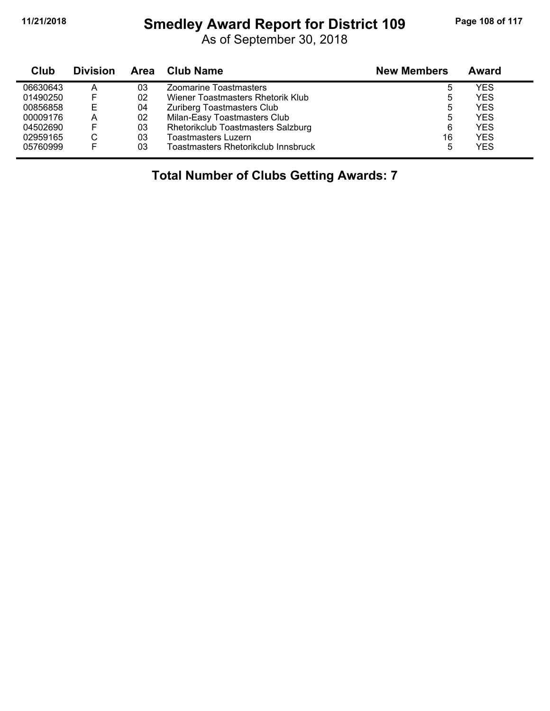# **11/21/2018 Smedley Award Report for District 109 Page 108 of 117**

| Club     | <b>Division</b> |    | Area Club Name                      | <b>New Members</b> | Award      |  |
|----------|-----------------|----|-------------------------------------|--------------------|------------|--|
| 06630643 | A               | 03 | Zoomarine Toastmasters              | ა                  | YES        |  |
| 01490250 | F               | 02 | Wiener Toastmasters Rhetorik Klub   | 5                  | <b>YES</b> |  |
| 00856858 | Е               | 04 | Zuriberg Toastmasters Club          | 5                  | <b>YES</b> |  |
| 00009176 | A               | 02 | Milan-Easy Toastmasters Club        | 5                  | YES        |  |
| 04502690 | F               | 03 | Rhetorikclub Toastmasters Salzburg  | 6                  | <b>YES</b> |  |
| 02959165 | C               | 03 | <b>Toastmasters Luzern</b>          | 16                 | <b>YES</b> |  |
| 05760999 | F               | 03 | Toastmasters Rhetorikclub Innsbruck | 5                  | YES        |  |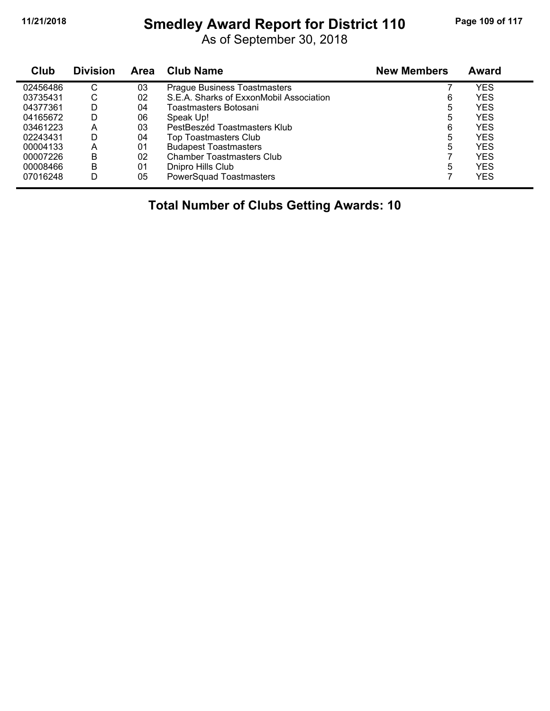## **11/21/2018 Smedley Award Report for District 110 Page 109 of 117**

As of September 30, 2018

| Club     | <b>Division</b> | Area | <b>Club Name</b>                        | <b>New Members</b> | Award      |  |
|----------|-----------------|------|-----------------------------------------|--------------------|------------|--|
| 02456486 | С               | 03   | <b>Prague Business Toastmasters</b>     |                    | YES        |  |
| 03735431 | С               | 02   | S.E.A. Sharks of ExxonMobil Association | 6                  | <b>YES</b> |  |
| 04377361 | D               | 04   | Toastmasters Botosani                   | 5                  | <b>YES</b> |  |
| 04165672 | D               | 06   | Speak Up!                               | 5                  | <b>YES</b> |  |
| 03461223 | А               | 03   | PestBeszéd Toastmasters Klub            | 6                  | <b>YES</b> |  |
| 02243431 | D               | 04   | Top Toastmasters Club                   | 5                  | <b>YES</b> |  |
| 00004133 | Α               | 01   | <b>Budapest Toastmasters</b>            | 5                  | <b>YES</b> |  |
| 00007226 | В               | 02   | <b>Chamber Toastmasters Club</b>        |                    | <b>YES</b> |  |
| 00008466 | B               | 01   | Dnipro Hills Club                       | 5                  | <b>YES</b> |  |
| 07016248 | D               | 05   | <b>PowerSquad Toastmasters</b>          |                    | <b>YES</b> |  |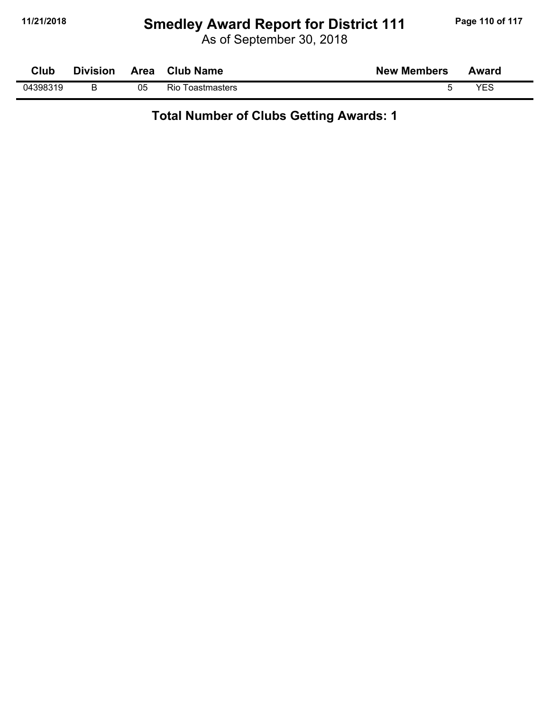# **11/21/2018 Smedley Award Report for District 111 Page 110 of 117**

As of September 30, 2018

| Club     | <b>Division</b> | Area | <b>Club Name</b>        | <b>New Members</b> | Award |
|----------|-----------------|------|-------------------------|--------------------|-------|
| 04398319 |                 | 05   | <b>Rio Toastmasters</b> |                    | VES   |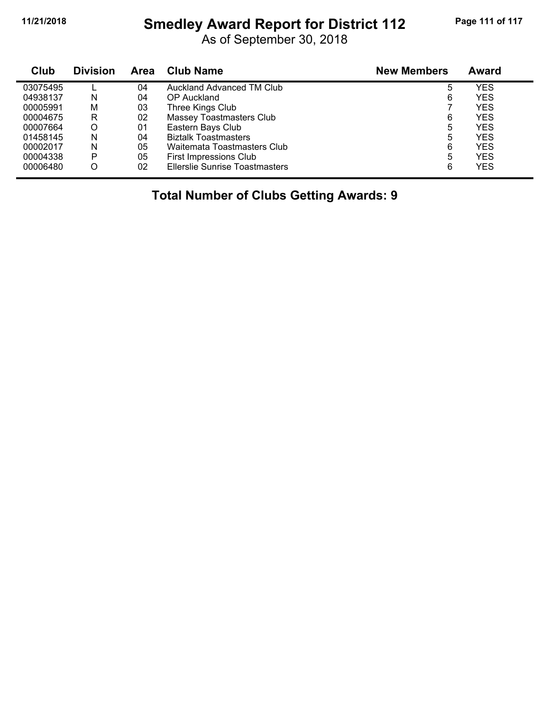## **11/21/2018 Smedley Award Report for District 112 Page 111 of 117**

As of September 30, 2018

| Club     | <b>Division</b> | Area | <b>Club Name</b>                      | <b>New Members</b> | Award      |
|----------|-----------------|------|---------------------------------------|--------------------|------------|
| 03075495 |                 | 04   | Auckland Advanced TM Club             | 5                  | YES        |
| 04938137 | N               | 04   | OP Auckland                           | 6                  | <b>YES</b> |
| 00005991 | M               | 03   | Three Kings Club                      |                    | YES        |
| 00004675 | R               | 02   | Massey Toastmasters Club              | 6                  | <b>YES</b> |
| 00007664 | O               | 01   | Eastern Bays Club                     | 5                  | YES        |
| 01458145 | N               | 04   | <b>Biztalk Toastmasters</b>           | 5                  | YES        |
| 00002017 | N               | 05   | Waitemata Toastmasters Club           | 6                  | <b>YES</b> |
| 00004338 | P               | 05   | First Impressions Club                | 5                  | YES        |
| 00006480 |                 | 02   | <b>Ellerslie Sunrise Toastmasters</b> | 6                  | YES        |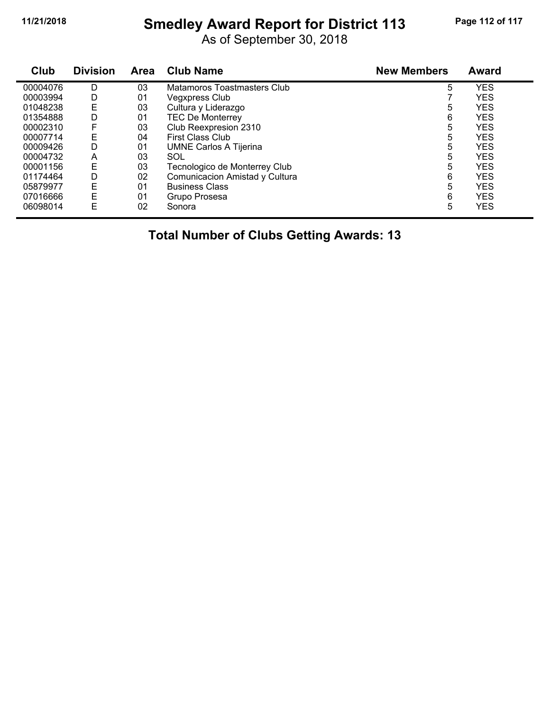## **11/21/2018 Smedley Award Report for District 113 Page 112 of 117**

As of September 30, 2018

| Club     | <b>Division</b> | Area | <b>Club Name</b>               | <b>New Members</b> | Award      |  |
|----------|-----------------|------|--------------------------------|--------------------|------------|--|
| 00004076 | D               | 03   | Matamoros Toastmasters Club    | 5                  | <b>YES</b> |  |
| 00003994 | D               | 01   | <b>Vegxpress Club</b>          |                    | <b>YES</b> |  |
| 01048238 | Ε               | 03   | Cultura y Liderazgo            | 5                  | <b>YES</b> |  |
| 01354888 | D               | 01   | <b>TEC De Monterrey</b>        | 6                  | <b>YES</b> |  |
| 00002310 | F               | 03   | Club Reexpresion 2310          | 5                  | <b>YES</b> |  |
| 00007714 | E               | 04   | <b>First Class Club</b>        | 5                  | <b>YES</b> |  |
| 00009426 | D               | 01   | <b>UMNE Carlos A Tijerina</b>  | 5                  | <b>YES</b> |  |
| 00004732 | Α               | 03   | SOL                            | 5                  | <b>YES</b> |  |
| 00001156 | E               | 03   | Tecnologico de Monterrey Club  | 5                  | <b>YES</b> |  |
| 01174464 | D               | 02   | Comunicacion Amistad y Cultura | 6                  | <b>YES</b> |  |
| 05879977 | E               | 01   | <b>Business Class</b>          | 5                  | <b>YES</b> |  |
| 07016666 | Ε               | 01   | Grupo Prosesa                  | 6                  | <b>YES</b> |  |
| 06098014 | E               | 02   | Sonora                         | 5                  | YES        |  |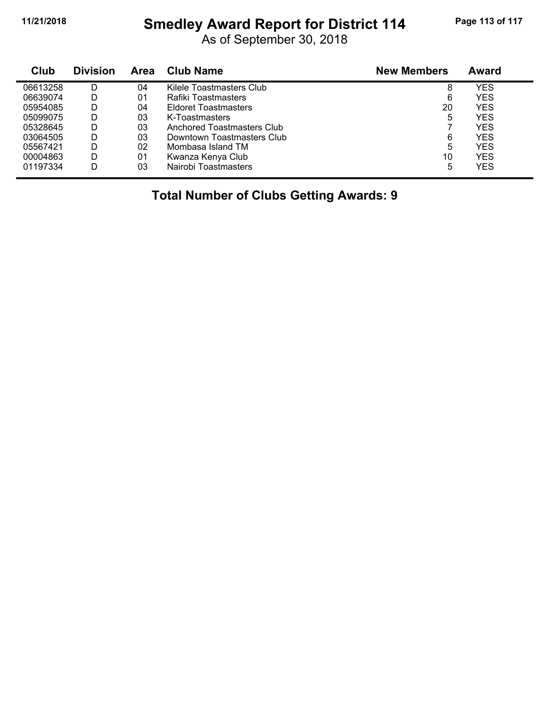## **11/21/2018 Smedley Award Report for District 114 Page 113 of 117**

As of September 30, 2018

| Club     | <b>Division</b> | Area | <b>Club Name</b>            | <b>New Members</b> | Award |  |
|----------|-----------------|------|-----------------------------|--------------------|-------|--|
| 06613258 | D               | 04   | Kilele Toastmasters Club    | 8                  | YES   |  |
| 06639074 | D               | 01   | Rafiki Toastmasters         | 6                  | YES   |  |
| 05954085 | D               | 04   | <b>Eldoret Toastmasters</b> | 20                 | YES   |  |
| 05099075 | D               | 03   | K-Toastmasters              | 5                  | YES   |  |
| 05328645 | D               | 03   | Anchored Toastmasters Club  |                    | YES   |  |
| 03064505 | D               | 03   | Downtown Toastmasters Club  | 6                  | YES   |  |
| 05567421 | D               | 02   | Mombasa Island TM           | 5                  | YES   |  |
| 00004863 | D               | 01   | Kwanza Kenya Club           | 10                 | YES   |  |
| 01197334 | D               | 03   | Nairobi Toastmasters        | 5                  | YES   |  |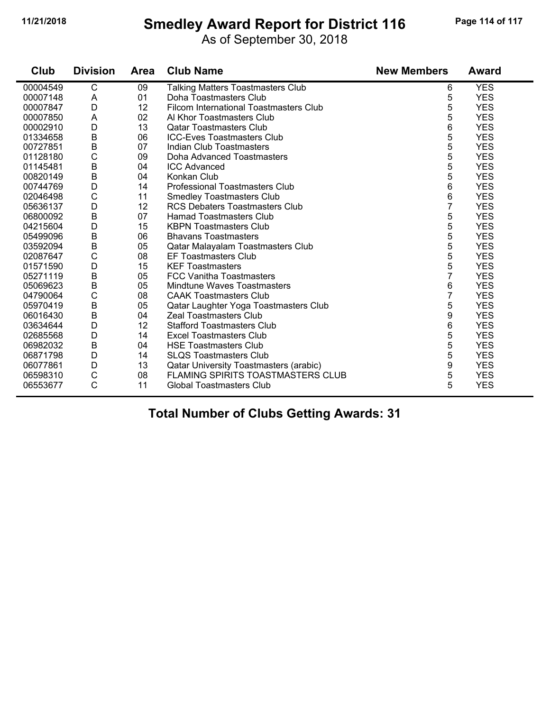#### **11/21/2018 Smedley Award Report for District 116 Page 114 of 117**

As of September 30, 2018

**Club Division Area Club Name New Members Award** 00004549 C 09 Talking Matters Toastmasters Club 6 YES A 01 Doha Toastmasters Club 5 YES D 12 Filcom International Toastmasters Club 5 YES 00007850 A 02 Al Khor Toastmasters Club 5 YES D 13 Qatar Toastmasters Club 6 YES B 06 ICC-Eves Toastmasters Club 5 YES B 07 Indian Club Toastmasters 5 YES 01128180 C 09 Doha Advanced Toastmasters C 3 S YES B 04 ICC Advanced 5 YES 00820149 B 04 Konkan Club 5 YES D 14 Professional Toastmasters Club 6 YES 02046498 C 11 Smedley Toastmasters Club<br>05636137 D 12 RCS Debaters Toastmasters Club 6 7 YES D 12 RCS Debaters Toastmasters Club 7 YES Hamad Toastmasters Club D 15 KBPN Toastmasters Club 5 YES B 06 Bhavans Toastmasters 5 YES B 05 Qatar Malayalam Toastmasters Club 5 YES C 08 EF Toastmasters Club 5 YES D 15 KEF Toastmasters 5 YES B 05 FCC Vanitha Toastmasters 7 YES E 05 Mindtune Waves Toastmasters 6 YESS 6 YESS 6 YESS 6 YESS 6 YESS 6 YESS 6 YESS 6 YESS 6 YESS 6 YESS 7 C 08 CAAK Toastmasters Club 7 YES B 05 Qatar Laughter Yoga Toastmasters Club 5 YES B 04 Zeal Toastmasters Club 9 YES 0364564 D 12 Stafford Toastmasters Club<br>14 Excel Toastmasters Club 6 4 S 02685568 D 14 Excel Toastmasters Club<br>06982032 B 04 HSE Toastmasters Club 3 COSS 5 YES B 04 HSE Toastmasters Club 5 YES D 14 SLQS Toastmasters Club 5 YES 06077861 D 13 Qatar University Toastmasters (arabic) 9<br>06598310 C 08 FLAMING SPIRITS TOASTMASTERS CLUB 5 C 08 FLAMING SPIRITS TOASTMASTERS CLUB 5 YES 06553677 C 11 Global Toastmasters Club 5 YES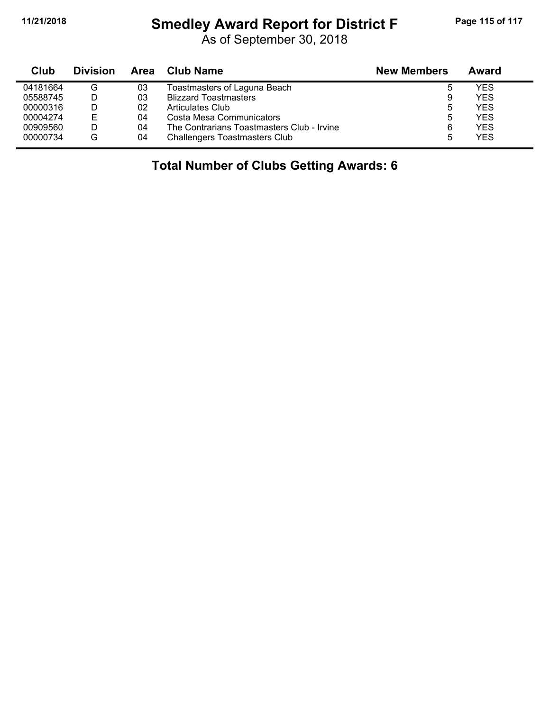#### **11/21/2018 Smedley Award Report for District F Page 115 of 117**

As of September 30, 2018

| Club     | <b>Division</b> | Area | <b>Club Name</b>                           | <b>New Members</b> | Award |
|----------|-----------------|------|--------------------------------------------|--------------------|-------|
| 04181664 | G               | 03   | Toastmasters of Laguna Beach               | b                  | YES   |
| 05588745 |                 | 03   | <b>Blizzard Toastmasters</b>               | 9                  | YES   |
| 00000316 |                 | 02   | Articulates Club                           | 5                  | YES   |
| 00004274 | E               | 04   | Costa Mesa Communicators                   | 5                  | YES   |
| 00909560 |                 | 04   | The Contrarians Toastmasters Club - Irvine | 6                  | YES   |
| 00000734 | G               | 04   | <b>Challengers Toastmasters Club</b>       | 5                  | YES   |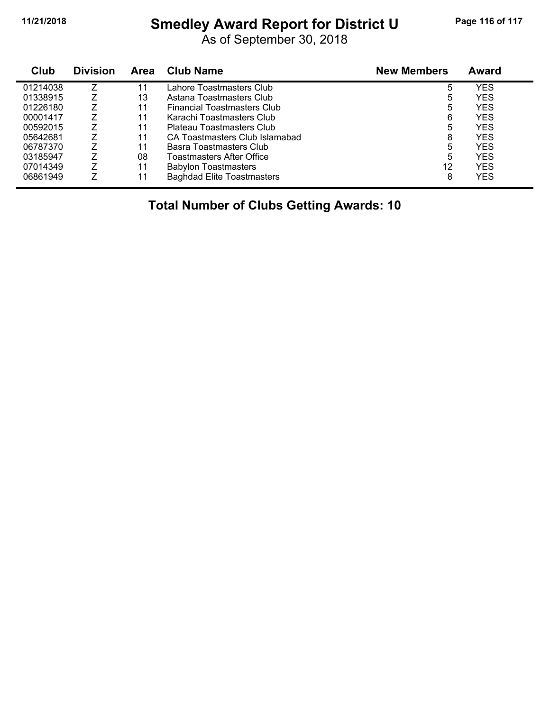#### **11/21/2018 Smedley Award Report for District U Page 116 of 117**

As of September 30, 2018

| Club     | <b>Division</b> | <b>Area</b> | <b>Club Name</b>                   | <b>New Members</b> | Award |
|----------|-----------------|-------------|------------------------------------|--------------------|-------|
| 01214038 |                 | 11          | Lahore Toastmasters Club           | 5                  | YES   |
| 01338915 |                 | 13          | Astana Toastmasters Club           | 5                  | YES   |
| 01226180 |                 | 11          | <b>Financial Toastmasters Club</b> | 5                  | YES   |
| 00001417 |                 | 11          | Karachi Toastmasters Club          | 6                  | YES   |
| 00592015 |                 | 11          | Plateau Toastmasters Club          | 5                  | YES   |
| 05642681 | 7               | 11          | CA Toastmasters Club Islamabad     | 8                  | YES   |
| 06787370 | 7               | 11          | Basra Toastmasters Club            | 5                  | YES   |
| 03185947 | 7               | 08          | Toastmasters After Office          | 5                  | YES   |
| 07014349 | Z               | 11          | <b>Babylon Toastmasters</b>        | 12                 | YES   |
| 06861949 |                 | 11          | <b>Baghdad Elite Toastmasters</b>  | 8                  | YES   |